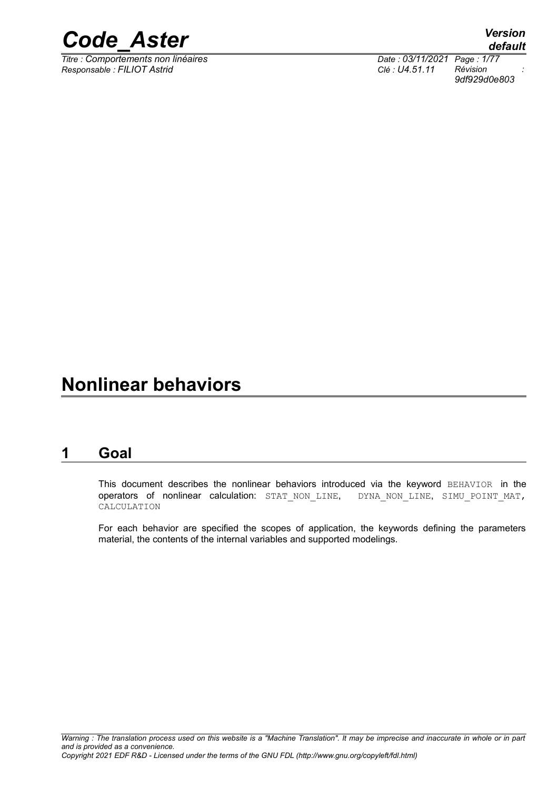

*Titre : Comportements non linéaires Date : 03/11/2021 Page : 1/77 Responsable : FILIOT Astrid Clé : U4.51.11 Révision :*

*default 9df929d0e803*

### **Nonlinear behaviors**

### **1 Goal**

<span id="page-0-0"></span>This document describes the nonlinear behaviors introduced via the keyword BEHAVIOR in the operators of nonlinear calculation: STAT NON LINE, DYNA NON LINE, SIMU POINT MAT, CALCULATION

For each behavior are specified the scopes of application, the keywords defining the parameters material, the contents of the internal variables and supported modelings.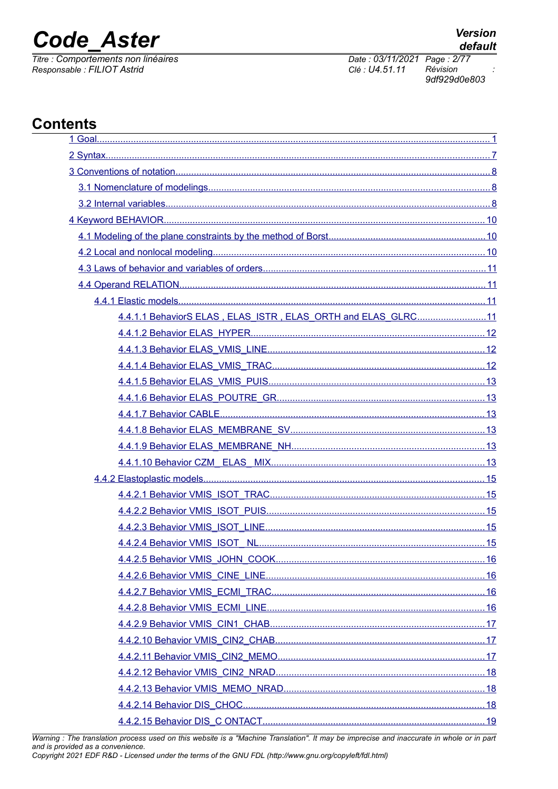## **Code Aster**

Titre : Comportements non linéaires Responsable : FILIOT Astrid

 $\dot{\cdot}$ 

Date: 03/11/2021 Page: 2/77 Révision Clé : U4.51.11

9df929d0e803

### **Contents**

| 4.4.1.1 BehaviorS ELAS, ELAS ISTR, ELAS ORTH and ELAS GLRC11 |  |
|--------------------------------------------------------------|--|
|                                                              |  |
|                                                              |  |
|                                                              |  |
|                                                              |  |
|                                                              |  |
|                                                              |  |
|                                                              |  |
|                                                              |  |
|                                                              |  |
|                                                              |  |
|                                                              |  |
|                                                              |  |
|                                                              |  |
|                                                              |  |
|                                                              |  |
|                                                              |  |
|                                                              |  |
|                                                              |  |
|                                                              |  |
|                                                              |  |
|                                                              |  |
|                                                              |  |
|                                                              |  |
|                                                              |  |
|                                                              |  |

Warning : The translation process used on this website is a "Machine Translation". It may be imprecise and inaccurate in whole or in part and is provided as a convenience.

Copyright 2021 EDF R&D - Licensed under the terms of the GNU FDL (http://www.gnu.org/copyleft/fdl.html)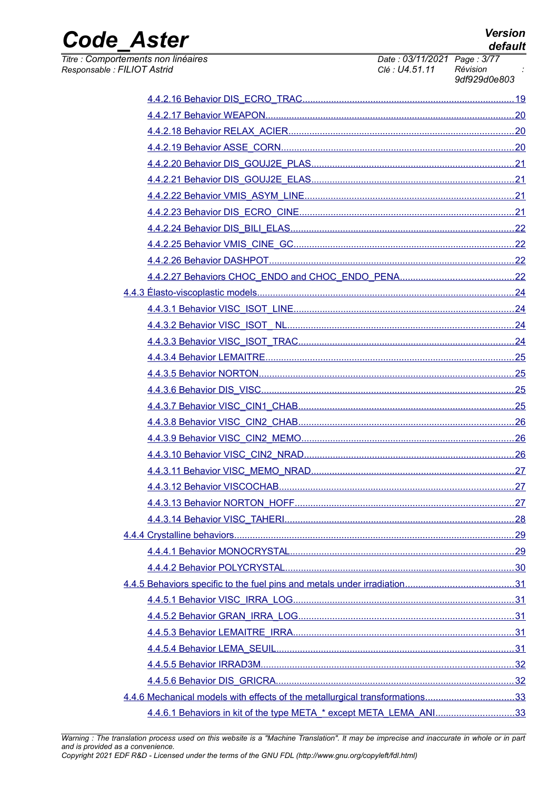**Version** default

**Code Aster** 

Titre : Comportements non linéaires Responsable : FILIOT Astrid

Date: 03/11/2021 Page: 3/77 Clé : U4.51.11 Révision 9df929d0e803

|                                                                             | .27 |
|-----------------------------------------------------------------------------|-----|
|                                                                             |     |
|                                                                             |     |
|                                                                             |     |
|                                                                             |     |
|                                                                             |     |
|                                                                             |     |
|                                                                             |     |
|                                                                             |     |
|                                                                             |     |
|                                                                             |     |
|                                                                             |     |
| 4.4.6 Mechanical models with effects of the metallurgical transformations33 |     |
| 4.4.6.1 Behaviors in kit of the type META * except META LEMA ANI33          |     |

Warning : The translation process used on this website is a "Machine Translation". It may be imprecise and inaccurate in whole or in part and is provided as a convenience. Copyright 2021 EDF R&D - Licensed under the terms of the GNU FDL (http://www.gnu.org/copyleft/fdl.html)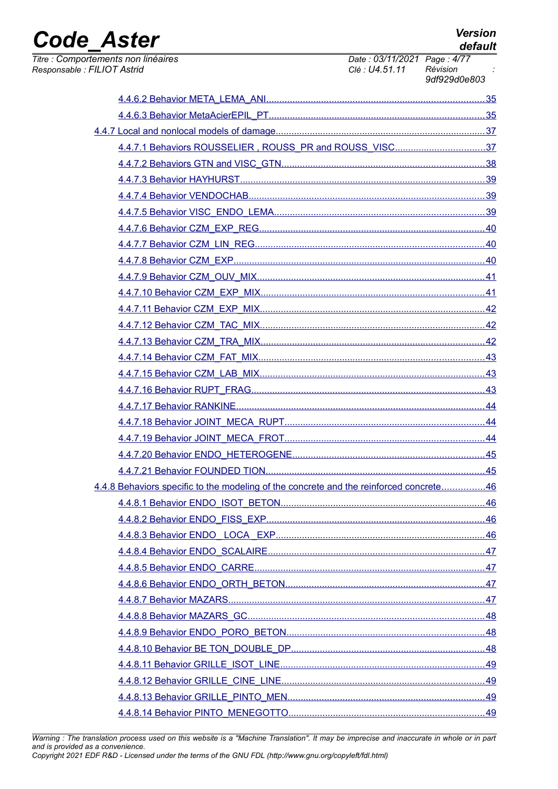# Code\_Aster

Titre : Comporte Responsable : Fl

| Version |
|---------|
| default |

| ements non linéaires<br><b>ILIOT Astrid</b>                                            | Date: 03/11/2021 Page: 4/77<br>Clé : U4.51.11 | Révision<br>9df929d0e803 |
|----------------------------------------------------------------------------------------|-----------------------------------------------|--------------------------|
|                                                                                        |                                               |                          |
|                                                                                        |                                               |                          |
|                                                                                        |                                               |                          |
| 4.4.7.1 Behaviors ROUSSELIER, ROUSS_PR and ROUSS_VISC37                                |                                               |                          |
|                                                                                        |                                               |                          |
|                                                                                        |                                               |                          |
|                                                                                        |                                               |                          |
|                                                                                        |                                               |                          |
|                                                                                        |                                               |                          |
|                                                                                        |                                               |                          |
|                                                                                        |                                               |                          |
|                                                                                        |                                               |                          |
|                                                                                        |                                               |                          |
|                                                                                        |                                               |                          |
|                                                                                        |                                               |                          |
|                                                                                        |                                               |                          |
|                                                                                        |                                               |                          |
|                                                                                        |                                               |                          |
|                                                                                        |                                               |                          |
|                                                                                        |                                               |                          |
|                                                                                        |                                               |                          |
|                                                                                        |                                               |                          |
|                                                                                        |                                               |                          |
|                                                                                        |                                               |                          |
| 4.4.8 Behaviors specific to the modeling of the concrete and the reinforced concrete46 |                                               |                          |
|                                                                                        |                                               |                          |
|                                                                                        |                                               |                          |
|                                                                                        |                                               |                          |
|                                                                                        |                                               |                          |
|                                                                                        |                                               |                          |
|                                                                                        |                                               |                          |
|                                                                                        |                                               |                          |
|                                                                                        |                                               |                          |
|                                                                                        |                                               |                          |
|                                                                                        |                                               |                          |
|                                                                                        |                                               |                          |
|                                                                                        |                                               |                          |
|                                                                                        |                                               |                          |
|                                                                                        |                                               |                          |

Warning : The translation process used on this website is a "Machine Translation". It may be imprecise and inaccurate in whole or in part and is provided as a convenience.<br>Copyright 2021 EDF R&D - Licensed under the terms of the GNU FDL (http://www.gnu.org/copyleft/fdl.html)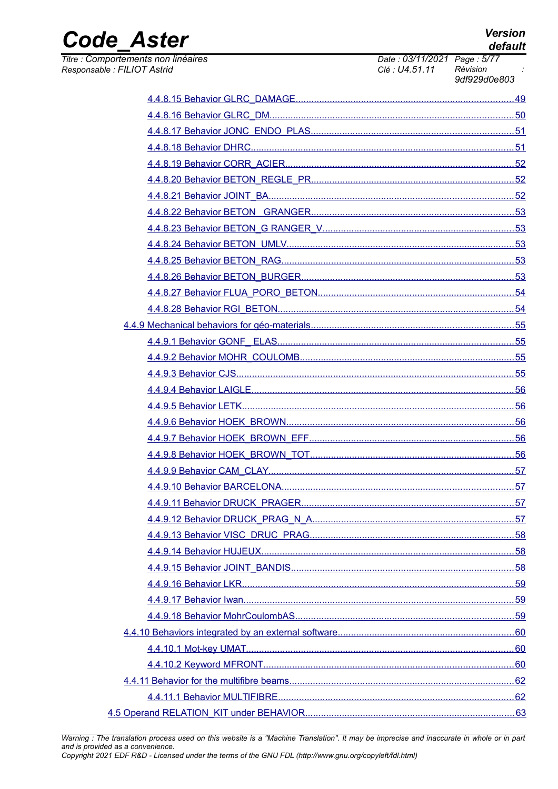**Version** default

**Code Aster** 

Titre : Comportements non linéaires Responsable : FILIOT Astrid

Date: 03/11/2021 Page: 5/77 Clé : U4.51.11 Révision 9df929d0e803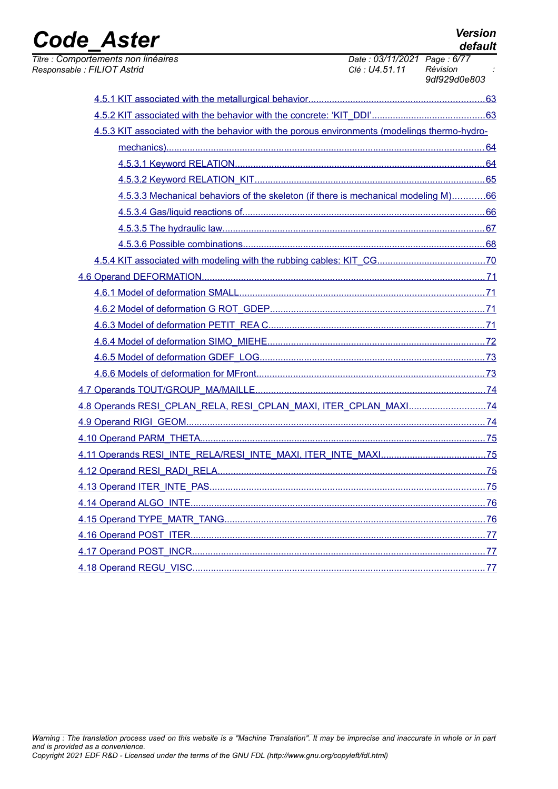| <u> 1989 - Johann Stoff, amerikansk politiker (* 1908)</u>                                   |                                                        |              |
|----------------------------------------------------------------------------------------------|--------------------------------------------------------|--------------|
| Titre : Comportements non linéaires<br>Responsable : FILIOT Astrid                           | Date: 03/11/2021 Page: 6/77<br>Clé : U4.51.11 Révision | 9df929d0e803 |
|                                                                                              |                                                        |              |
|                                                                                              |                                                        |              |
| 4.5.3 KIT associated with the behavior with the porous environments (modelings thermo-hydro- |                                                        |              |
|                                                                                              |                                                        |              |
|                                                                                              |                                                        |              |
|                                                                                              |                                                        |              |
| 4.5.3.3 Mechanical behaviors of the skeleton (if there is mechanical modeling M)66           |                                                        |              |
|                                                                                              |                                                        |              |
|                                                                                              |                                                        |              |
|                                                                                              |                                                        |              |
|                                                                                              |                                                        |              |
|                                                                                              |                                                        |              |
|                                                                                              |                                                        |              |
|                                                                                              |                                                        |              |
|                                                                                              |                                                        |              |
|                                                                                              |                                                        |              |
|                                                                                              |                                                        |              |
|                                                                                              |                                                        |              |
|                                                                                              |                                                        |              |
| 4.8 Operands RESI_CPLAN_RELA, RESI_CPLAN_MAXI, ITER_CPLAN_MAXI74                             |                                                        |              |
|                                                                                              |                                                        |              |
|                                                                                              |                                                        |              |
|                                                                                              |                                                        |              |
|                                                                                              |                                                        |              |
|                                                                                              |                                                        |              |
|                                                                                              |                                                        |              |
|                                                                                              |                                                        |              |
|                                                                                              |                                                        |              |
|                                                                                              |                                                        |              |
|                                                                                              |                                                        |              |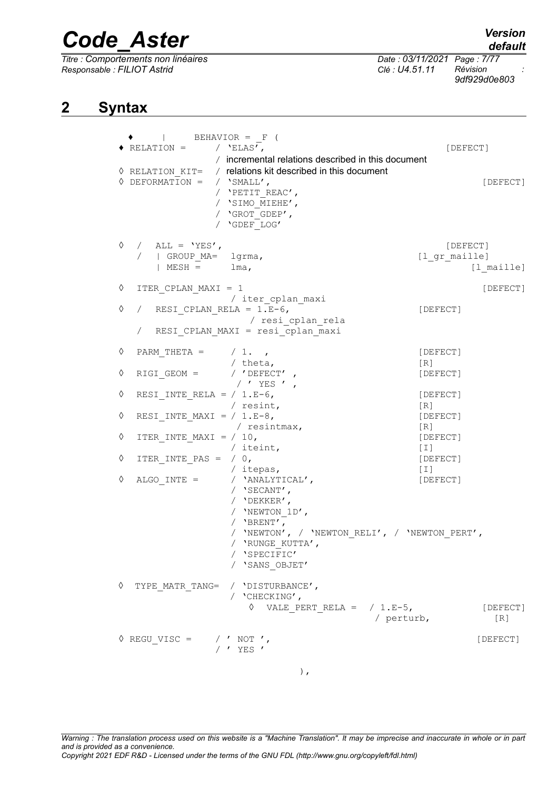*Titre : Comportements non linéaires Date : 03/11/2021 Page : 7/77 Responsable : FILIOT Astrid Clé : U4.51.11 Révision :*

*9df929d0e803*

### **2 Syntax**

<span id="page-6-0"></span>

|   | BEHAVIOR = F (                                                                                                                                                                       |                               |
|---|--------------------------------------------------------------------------------------------------------------------------------------------------------------------------------------|-------------------------------|
|   | $\bullet$ RELATION = / 'ELAS',                                                                                                                                                       | [DEFECT]                      |
|   | / incremental relations described in this document                                                                                                                                   |                               |
|   | <b>O</b> RELATION KIT= / relations kit described in this document<br>$\Diamond$ DEFORMATION = / 'SMALL',<br>/ 'PETIT REAC',<br>/ 'SIMO MIEHE',<br>/ 'GROT GDEP',<br>/ 'GDEF LOG'     | [DEFECT]                      |
| ♦ | / $\Delta LL = YES'$ ,<br>  GROUP MA= lgrma,                                                                                                                                         | [DEFECT]<br>[l gr maille]     |
|   | $MESH = \text{Im}a,$                                                                                                                                                                 | $[1$ maille]                  |
| ♦ | ITER CPLAN MAXI = 1<br>/ iter cplan maxi                                                                                                                                             | [DEFECT]                      |
| ♦ | RESI CPLAN RELA = $1.E-6$ ,<br>/ resi cplan rela                                                                                                                                     | [DEFECT]                      |
|   | RESI CPLAN MAXI = resi cplan maxi                                                                                                                                                    |                               |
| ♦ | PARM THETA = $/ 1.$<br>/ theta,                                                                                                                                                      | [DEFECT]<br>[R]               |
| ♦ | $RIGI$ GEOM =<br>/ $^{\prime}$ DEFECT $^{\prime}$ ,<br>/ 'YES ' ,                                                                                                                    | [DEFECT]                      |
| ♦ | RESI INTE RELA = $/ 1.E-6$ ,<br>/ resint,                                                                                                                                            | [DEFECT]<br>$\lceil R \rceil$ |
| ♦ | RESI INTE MAXI = $/ 1.E-8$ ,                                                                                                                                                         | [DEFECT]                      |
| ♦ | / resintmax,<br>ITER INTE MAXI = $/ 10$ ,                                                                                                                                            | [R]<br>[DEFECT]               |
| ♦ | / iteint,<br>ITER INTE PAS = $/ 0,$                                                                                                                                                  | $[1]$<br>[DEFECT]             |
| ♦ | / itepas,<br>$\begin{minipage}{.4\linewidth} \texttt{ALGO\_INTE} = & \texttt{}/ & \texttt{YANALYTICAL} \end{minipage} \texttt{,}$<br>/ $'$ SECANT',<br>/ 'DEKKER',<br>/ 'NEWTON 1D', | [T]<br>[DEFECT]               |
|   | / $'BFENT'$ ,<br>/ 'NEWTON', / 'NEWTON RELI', / 'NEWTON PERT',<br>/ 'RUNGE KUTTA',<br>/ 'SPECIFIC'<br>/ 'SANS OBJET'                                                                 |                               |
| ♦ | TYPE MATR TANG= / 'DISTURBANCE',<br>/ 'CHECKING',<br>$\Diamond$ VALE PERT RELA = / 1.E-5,<br>/ perturb,                                                                              | [DEFECT]<br>[R]               |
|   | $\Diamond$ REGU VISC = $\quad$ / $\prime$ NOT $\prime$ ,<br>/ ' YES '                                                                                                                | [DEFECT]                      |
|   | $\,$ ,                                                                                                                                                                               |                               |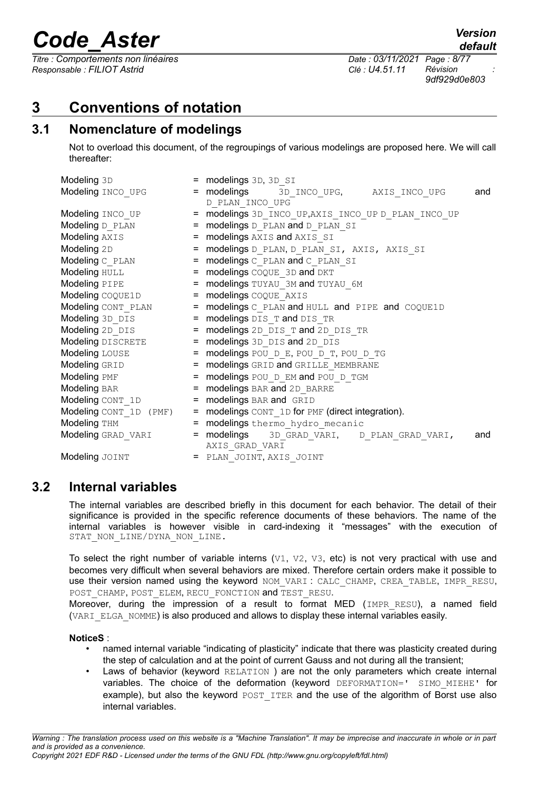*Titre : Comportements non linéaires Date : 03/11/2021 Page : 8/77 Responsable : FILIOT Astrid Clé : U4.51.11 Révision :*

*9df929d0e803*

### <span id="page-7-2"></span>**3 Conventions of notation**

### **3.1 Nomenclature of modelings**

<span id="page-7-1"></span>Not to overload this document, of the regroupings of various modelings are proposed here. We will call thereafter:

| Modeling 3D              | = modelings 3D, 3D SI                                 |
|--------------------------|-------------------------------------------------------|
| Modeling INCO UPG        | = modelings 3D INCO UPG, AXIS_INCO_UPG<br>and         |
|                          | D PLAN INCO UPG                                       |
| <b>Modeling</b> INCO UP  | = modelings 3D INCO UP, AXIS INCO UP D PLAN INCO UP   |
| Modeling D PLAN          | = modelings D PLAN and D_PLAN_SI                      |
| Modeling AXIS            | = modelings AXIS and AXIS SI                          |
| Modeling 2D              | = modelings D_PLAN, D_PLAN_SI, AXIS, AXIS_SI          |
| Modeling C PLAN          | = modelings C PLAN and C PLAN SI                      |
| Modeling HULL            | $=$ modelings COQUE 3D and DKT                        |
| Modeling PIPE            | = modelings TUYAU 3M and TUYAU 6M                     |
| Modeling COQUE1D         | = modelings COQUE AXIS                                |
| Modeling CONT PLAN       | = modelings C PLAN and HULL and PIPE and COQUE1D      |
| <b>Modeling</b> 3D DIS   | = modelings DIS T and DIS TR                          |
| Modeling 2D DIS          | = modelings 2D DIS_T and 2D_DIS_TR                    |
| <b>Modeling</b> DISCRETE | = modelings 3D DIS and 2D DIS                         |
| Modeling LOUSE           | = modelings POU D E, POU D T, POU D TG                |
| Modeling GRID            | = modelings GRID and GRILLE MEMBRANE                  |
| Modeling PMF             | = modelings POU D EM and POU D TGM                    |
| Modeling BAR             | = modelings BAR and 2D BARRE                          |
| Modeling CONT 1D         | = modelings BAR and GRID                              |
| Modeling CONT_1D (PMF)   | = modelings CONT 1D for PMF (direct integration).     |
| Modeling THM             | = modelings thermo hydro mecanic                      |
| Modeling GRAD VARI       | = modelings<br>3D GRAD VARI, D PLAN GRAD VARI,<br>and |
|                          | AXIS GRAD VARI                                        |
| Modeling JOINT           | = PLAN JOINT, AXIS_JOINT                              |

### **3.2 Internal variables**

<span id="page-7-0"></span>The internal variables are described briefly in this document for each behavior. The detail of their significance is provided in the specific reference documents of these behaviors. The name of the internal variables is however visible in card-indexing it "messages" with the execution of STAT\_NON\_LINE/DYNA\_NON\_LINE.

To select the right number of variable interns  $(v1, v2, v3, \text{ etc})$  is not very practical with use and becomes very difficult when several behaviors are mixed. Therefore certain orders make it possible to use their version named using the keyword NOM VARI : CALC\_CHAMP, CREA\_TABLE, IMPR\_RESU, POST\_CHAMP, POST\_ELEM, RECU\_FONCTION and TEST\_RESU.

Moreover, during the impression of a result to format MED (IMPR\_RESU), a named field (VARI\_ELGA\_NOMME) is also produced and allows to display these internal variables easily.

#### **NoticeS** :

- named internal variable "indicating of plasticity" indicate that there was plasticity created during the step of calculation and at the point of current Gauss and not during all the transient;
- Laws of behavior (keyword RELATION) are not the only parameters which create internal variables. The choice of the deformation (keyword DEFORMATION=' SIMO MIEHE' for example), but also the keyword POST ITER and the use of the algorithm of Borst use also internal variables.

*default*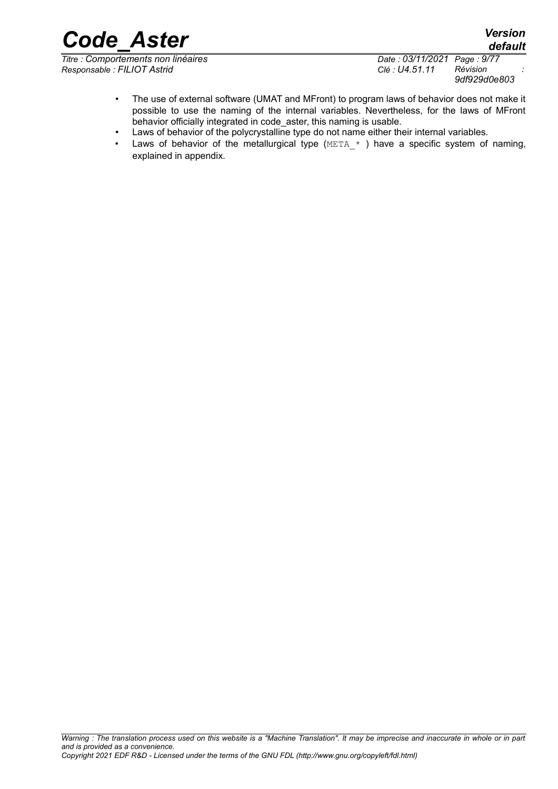*Code\_Aster Version default*

*Titre : Comportements non linéaires Date : 03/11/2021 Page : 9/77 Responsable : FILIOT Astrid Clé : U4.51.11 Révision :*

*9df929d0e803*

- The use of external software (UMAT and MFront) to program laws of behavior does not make it possible to use the naming of the internal variables. Nevertheless, for the laws of MFront behavior officially integrated in code\_aster, this naming is usable.
- Laws of behavior of the polycrystalline type do not name either their internal variables.
- Laws of behavior of the metallurgical type  $(META)*$  ) have a specific system of naming, explained in appendix.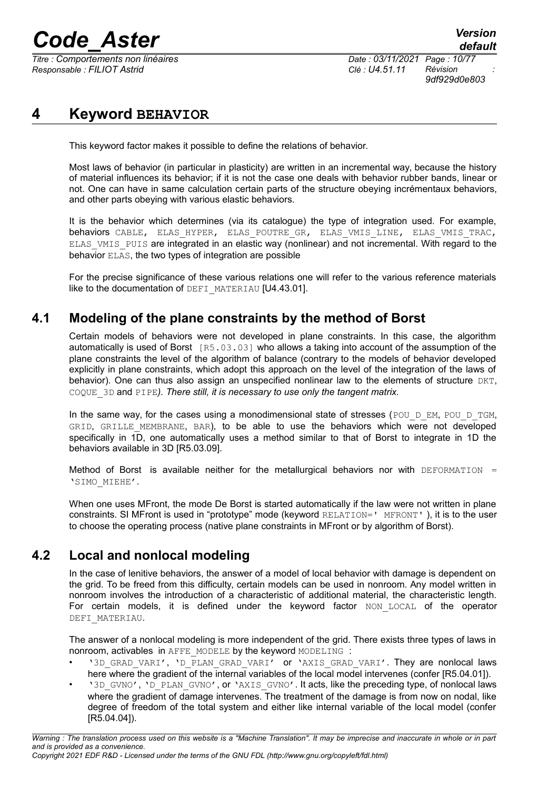*Titre : Comportements non linéaires Date : 03/11/2021 Page : 10/77 Responsable : FILIOT Astrid Clé : U4.51.11 Révision :*

*9df929d0e803*

### **4 Keyword BEHAVIOR**

<span id="page-9-2"></span>This keyword factor makes it possible to define the relations of behavior.

Most laws of behavior (in particular in plasticity) are written in an incremental way, because the history of material influences its behavior; if it is not the case one deals with behavior rubber bands, linear or not. One can have in same calculation certain parts of the structure obeying incrémentaux behaviors, and other parts obeying with various elastic behaviors.

It is the behavior which determines (via its catalogue) the type of integration used. For example, behaviors CABLE, ELAS HYPER, ELAS POUTRE GR, ELAS VMIS LINE, ELAS VMIS TRAC, ELAS\_VMIS\_PUIS are integrated in an elastic way (nonlinear) and not incremental. With regard to the behavior ELAS, the two types of integration are possible

For the precise significance of these various relations one will refer to the various reference materials like to the documentation of DEFI\_MATERIAU [U4.43.01].

### **4.1 Modeling of the plane constraints by the method of Borst**

<span id="page-9-1"></span>Certain models of behaviors were not developed in plane constraints. In this case, the algorithm automatically is used of Borst [R5.03.03] who allows a taking into account of the assumption of the plane constraints the level of the algorithm of balance (contrary to the models of behavior developed explicitly in plane constraints, which adopt this approach on the level of the integration of the laws of behavior). One can thus also assign an unspecified nonlinear law to the elements of structure DKT, COQUE\_3D and PIPE*). There still, it is necessary to use only the tangent matrix.* 

In the same way, for the cases using a monodimensional state of stresses (POU D EM, POU D TGM, GRID, GRILLE\_MEMBRANE, BAR), to be able to use the behaviors which were not developed specifically in 1D, one automatically uses a method similar to that of Borst to integrate in 1D the behaviors available in 3D [R5.03.09].

Method of Borst is available neither for the metallurgical behaviors nor with DEFORMATION  $=$ 'SIMO\_MIEHE'.

When one uses MFront, the mode De Borst is started automatically if the law were not written in plane constraints. SI MFront is used in "prototype" mode (keyword RELATION=' MFRONT' ), it is to the user to choose the operating process (native plane constraints in MFront or by algorithm of Borst).

### **4.2 Local and nonlocal modeling**

<span id="page-9-0"></span>In the case of lenitive behaviors, the answer of a model of local behavior with damage is dependent on the grid. To be freed from this difficulty, certain models can be used in nonroom. Any model written in nonroom involves the introduction of a characteristic of additional material, the characteristic length. For certain models, it is defined under the keyword factor NON LOCAL of the operator DEFI\_MATERIAU.

The answer of a nonlocal modeling is more independent of the grid. There exists three types of laws in nonroom, activables in AFFE\_MODELE by the keyword MODELING :

- '3D GRAD VARI', 'D\_PLAN\_GRAD\_VARI' or 'AXIS\_GRAD\_VARI'. They are nonlocal laws here where the gradient of the internal variables of the local model intervenes (confer [R5.04.01]).
- '3D\_GVNO', 'D\_PLAN\_GVNO', or 'AXIS\_GVNO'. It acts, like the preceding type, of nonlocal laws where the gradient of damage intervenes. The treatment of the damage is from now on nodal, like degree of freedom of the total system and either like internal variable of the local model (confer [R5.04.04]).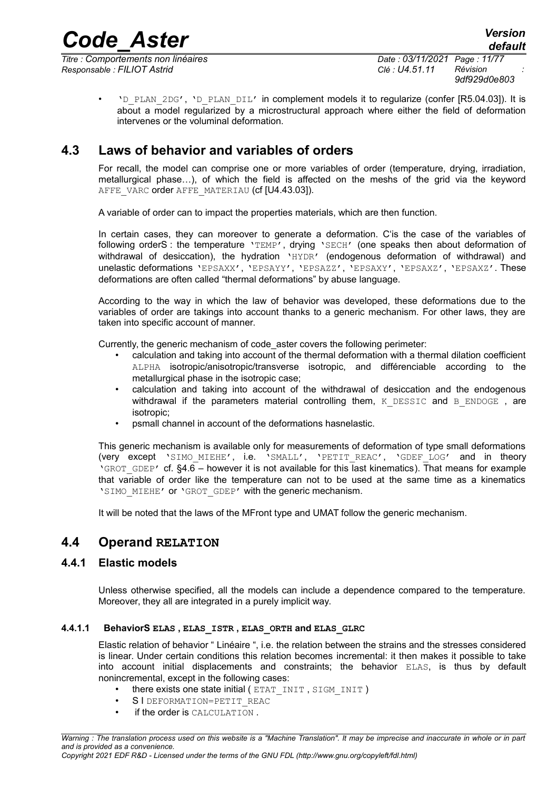*Titre : Comportements non linéaires Date : 03/11/2021 Page : 11/77 Responsable : FILIOT Astrid Clé : U4.51.11 Révision :*

• 'D\_PLAN\_2DG', 'D\_PLAN\_DIL' in complement models it to regularize (confer [R5.04.03]). It is about a model regularized by a microstructural approach where either the field of deformation intervenes or the voluminal deformation.

### **4.3 Laws of behavior and variables of orders**

<span id="page-10-3"></span>For recall, the model can comprise one or more variables of order (temperature, drying, irradiation, metallurgical phase…), of which the field is affected on the meshs of the grid via the keyword AFFE\_VARC order AFFE\_MATERIAU (cf [U4.43.03]).

A variable of order can to impact the properties materials, which are then function.

In certain cases, they can moreover to generate a deformation. C'is the case of the variables of following orderS : the temperature 'TEMP', drying 'SECH' (one speaks then about deformation of withdrawal of desiccation), the hydration 'HYDR' (endogenous deformation of withdrawal) and unelastic deformations 'EPSAXX', 'EPSAYY', 'EPSAZZ', 'EPSAXY', 'EPSAXZ', 'EPSAXZ'. These deformations are often called "thermal deformations" by abuse language.

According to the way in which the law of behavior was developed, these deformations due to the variables of order are takings into account thanks to a generic mechanism. For other laws, they are taken into specific account of manner.

Currently, the generic mechanism of code\_aster covers the following perimeter:

- calculation and taking into account of the thermal deformation with a thermal dilation coefficient ALPHA isotropic/anisotropic/transverse isotropic, and différenciable according to the metallurgical phase in the isotropic case;
- calculation and taking into account of the withdrawal of desiccation and the endogenous withdrawal if the parameters material controlling them,  $K$  DESSIC and B ENDOGE, are isotropic;
- psmall channel in account of the deformations hasnelastic.

This generic mechanism is available only for measurements of deformation of type small deformations (very except 'SIMO\_MIEHE', i.e. 'SMALL', 'PETIT\_REAC', 'GDEF\_LOG' and in theory 'GROT\_GDEP' cf. [§4.6](#page-70-3) – however it is not available for this last kinematics). That means for example that variable of order like the temperature can not to be used at the same time as a kinematics 'SIMO\_MIEHE' or 'GROT\_GDEP' with the generic mechanism.

<span id="page-10-2"></span>It will be noted that the laws of the MFront type and UMAT follow the generic mechanism.

### **4.4 Operand RELATION**

#### **4.4.1 Elastic models**

<span id="page-10-1"></span>Unless otherwise specified, all the models can include a dependence compared to the temperature. Moreover, they all are integrated in a purely implicit way.

#### **4.4.1.1 BehaviorS ELAS , ELAS\_ISTR , ELAS\_ORTH and ELAS\_GLRC**

<span id="page-10-0"></span>Elastic relation of behavior " Linéaire ", i.e. the relation between the strains and the stresses considered is linear. Under certain conditions this relation becomes incremental: it then makes it possible to take into account initial displacements and constraints; the behavior ELAS, is thus by default nonincremental, except in the following cases:

- there exists one state initial (ETAT\_INIT, SIGM\_INIT)
- S I DEFORMATION=PETIT REAC
- if the order is CALCULATION.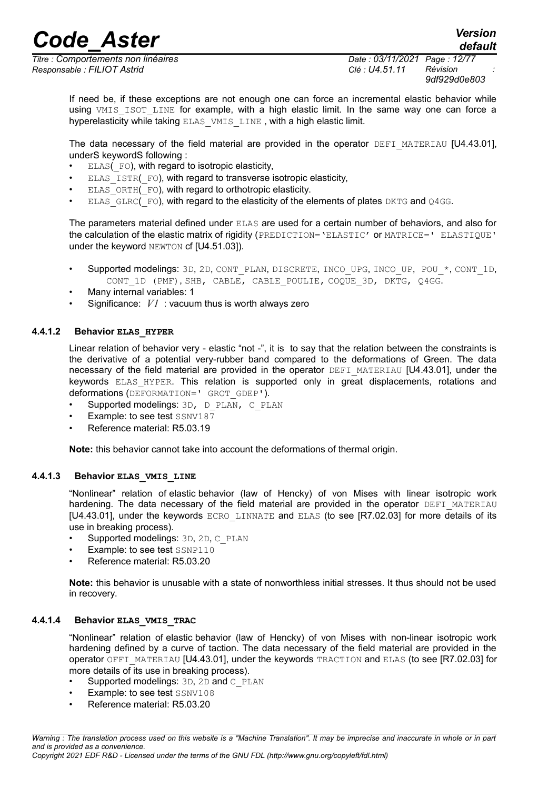*Titre : Comportements non linéaires Date : 03/11/2021 Page : 12/77 Responsable : FILIOT Astrid Clé : U4.51.11 Révision :*

*9df929d0e803*

If need be, if these exceptions are not enough one can force an incremental elastic behavior while using VMIS ISOT LINE for example, with a high elastic limit. In the same way one can force a hyperelasticity while taking ELAS VMIS LINE , with a high elastic limit.

The data necessary of the field material are provided in the operator DEFI\_MATERIAU [U4.43.01], underS keywordS following :

- ELAS( FO), with regard to isotropic elasticity,
- ELAS ISTR( FO), with regard to transverse isotropic elasticity,
- ELAS ORTH(FO), with regard to orthotropic elasticity.
- ELAS GLRC(FO), with regard to the elasticity of the elements of plates DKTG and Q4GG.

The parameters material defined under ELAS are used for a certain number of behaviors, and also for the calculation of the elastic matrix of rigidity (PREDICTION='ELASTIC' or MATRICE=' ELASTIQUE' under the keyword NEWTON cf [U4.51.03]).

- Supported modelings: 3D, 2D, CONT\_PLAN, DISCRETE, INCO\_UPG, INCO\_UP, POU\_\*, CONT\_1D, CONT 1D (PMF), SHB, CABLE, CABLE POULIE, COQUE 3D, DKTG, Q4GG.
- Many internal variables: 1
- Significance: *V1* : vacuum thus is worth always zero

#### **4.4.1.2 Behavior ELAS\_HYPER**

<span id="page-11-2"></span>Linear relation of behavior very - elastic "not -", it is to say that the relation between the constraints is the derivative of a potential very-rubber band compared to the deformations of Green. The data necessary of the field material are provided in the operator  $DEFI$  MATERIAU [U4.43.01], under the keywords ELAS HYPER. This relation is supported only in great displacements, rotations and deformations (DEFORMATION=' GROT\_GDEP').

- Supported modelings:  $3D$ ,  $D$  PLAN, C PLAN
- Example: to see test SSNV187
- Reference material: R5.03.19

**Note:** this behavior cannot take into account the deformations of thermal origin.

#### **4.4.1.3 Behavior ELAS\_VMIS\_LINE**

<span id="page-11-1"></span>"Nonlinear" relation of elastic behavior (law of Hencky) of von Mises with linear isotropic work hardening. The data necessary of the field material are provided in the operator DEFI\_MATERIAU [U4.43.01], under the keywords ECRO LINNATE and ELAS (to see [R7.02.03] for more details of its use in breaking process).

- Supported modelings: 3D, 2D, C\_PLAN
- Example: to see test SSNP110
- Reference material: R5.03.20

**Note:** this behavior is unusable with a state of nonworthless initial stresses. It thus should not be used in recovery.

#### **4.4.1.4 Behavior ELAS\_VMIS\_TRAC**

<span id="page-11-0"></span>"Nonlinear" relation of elastic behavior (law of Hencky) of von Mises with non-linear isotropic work hardening defined by a curve of taction. The data necessary of the field material are provided in the operator OFFI\_MATERIAU [U4.43.01], under the keywords TRACTION and ELAS (to see [R7.02.03] for more details of its use in breaking process).

- Supported modelings: 3D, 2D and C\_PLAN
- Example: to see test SSNV108
- Reference material: R5.03.20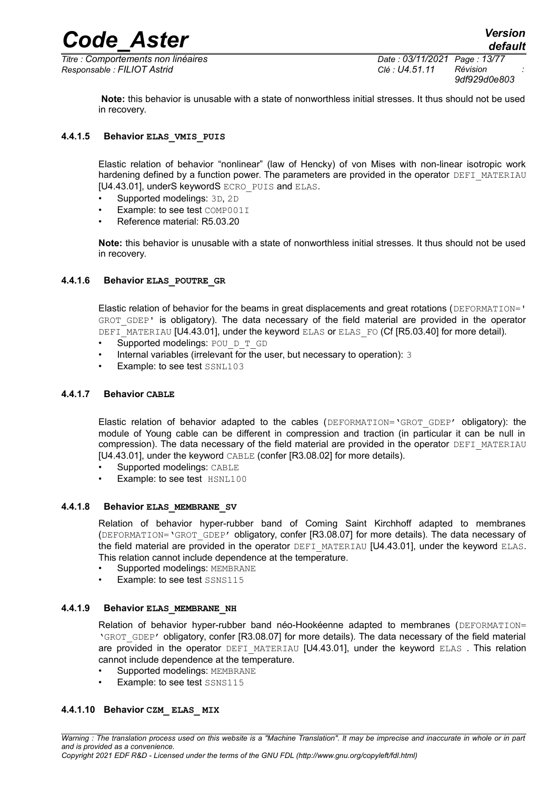*9df929d0e803*

**Note:** this behavior is unusable with a state of nonworthless initial stresses. It thus should not be used in recovery.

#### **4.4.1.5 Behavior ELAS\_VMIS\_PUIS**

<span id="page-12-5"></span>Elastic relation of behavior "nonlinear" (law of Hencky) of von Mises with non-linear isotropic work hardening defined by a function power. The parameters are provided in the operator DEFI\_MATERIAU [U4.43.01], underS keywordS ECRO PUIS and ELAS.

- Supported modelings: 3D, 2D
- Example: to see test COMP001I
- Reference material: R5.03.20

**Note:** this behavior is unusable with a state of nonworthless initial stresses. It thus should not be used in recovery.

#### **4.4.1.6 Behavior ELAS\_POUTRE\_GR**

<span id="page-12-4"></span>Elastic relation of behavior for the beams in great displacements and great rotations (DEFORMATION=' GROT GDEP' is obligatory). The data necessary of the field material are provided in the operator DEFI\_MATERIAU [U4.43.01], under the keyword ELAS or ELAS FO (Cf [R5.03.40] for more detail).

- Supported modelings: POU D T GD
- Internal variables (irrelevant for the user, but necessary to operation): 3
- <span id="page-12-3"></span>Example: to see test SSNL103

#### **4.4.1.7 Behavior CABLE**

Elastic relation of behavior adapted to the cables (DEFORMATION='GROT\_GDEP' obligatory): the module of Young cable can be different in compression and traction (in particular it can be null in compression). The data necessary of the field material are provided in the operator DEFI\_MATERIAU [U4.43.01], under the keyword CABLE (confer [R3.08.02] for more details).

- Supported modelings: CABLE
- Example: to see test HSNL100

#### **4.4.1.8 Behavior ELAS\_MEMBRANE\_SV**

<span id="page-12-2"></span>Relation of behavior hyper-rubber band of Coming Saint Kirchhoff adapted to membranes (DEFORMATION='GROT\_GDEP' obligatory, confer [R3.08.07] for more details). The data necessary of the field material are provided in the operator DEFI\_MATERIAU [U4.43.01], under the keyword ELAS. This relation cannot include dependence at the temperature.

- Supported modelings: MEMBRANE
- Example: to see test SSNS115

#### **4.4.1.9 Behavior ELAS\_MEMBRANE\_NH**

<span id="page-12-1"></span>Relation of behavior hyper-rubber band néo-Hookéenne adapted to membranes (DEFORMATION= 'GROT\_GDEP' obligatory, confer [R3.08.07] for more details). The data necessary of the field material are provided in the operator DEFI\_MATERIAU [U4.43.01], under the keyword ELAS. This relation cannot include dependence at the temperature.

- Supported modelings: MEMBRANE
- <span id="page-12-0"></span>Example: to see test SSNS115

#### **4.4.1.10 Behavior CZM\_ ELAS\_ MIX**

*Warning : The translation process used on this website is a "Machine Translation". It may be imprecise and inaccurate in whole or in part and is provided as a convenience. Copyright 2021 EDF R&D - Licensed under the terms of the GNU FDL (http://www.gnu.org/copyleft/fdl.html)*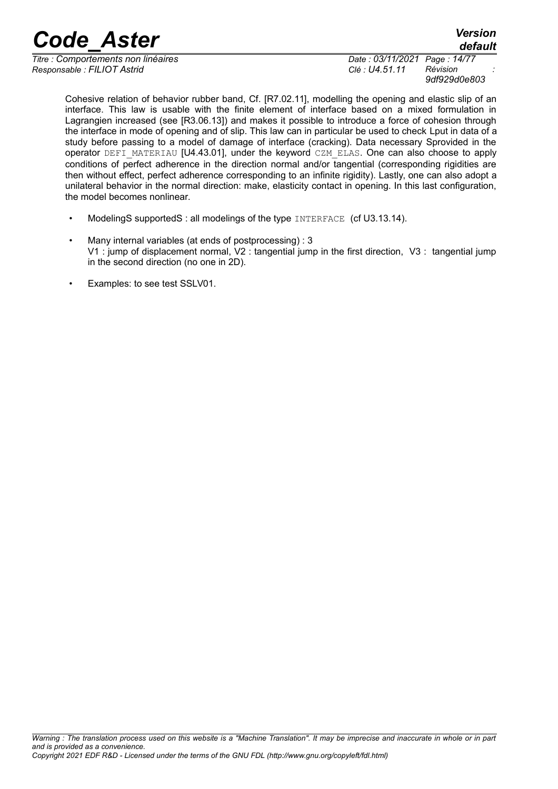*Titre : Comportements non linéaires Date : 03/11/2021 Page : 14/77 Responsable : FILIOT Astrid Clé : U4.51.11 Révision :*

*default*

*9df929d0e803*

Cohesive relation of behavior rubber band, Cf. [R7.02.11], modelling the opening and elastic slip of an interface. This law is usable with the finite element of interface based on a mixed formulation in Lagrangien increased (see [R3.06.13]) and makes it possible to introduce a force of cohesion through the interface in mode of opening and of slip. This law can in particular be used to check Lput in data of a study before passing to a model of damage of interface (cracking). Data necessary Sprovided in the operator DEFI\_MATERIAU [U4.43.01], under the keyword CZM\_ELAS. One can also choose to apply conditions of perfect adherence in the direction normal and/or tangential (corresponding rigidities are then without effect, perfect adherence corresponding to an infinite rigidity). Lastly, one can also adopt a unilateral behavior in the normal direction: make, elasticity contact in opening. In this last configuration, the model becomes nonlinear.

- ModelingS supportedS : all modelings of the type INTERFACE (cf U3.13.14).
- Many internal variables (at ends of postprocessing) : 3 V1 : jump of displacement normal, V2 : tangential jump in the first direction, V3 : tangential jump in the second direction (no one in 2D).
- Examples: to see test SSLV01.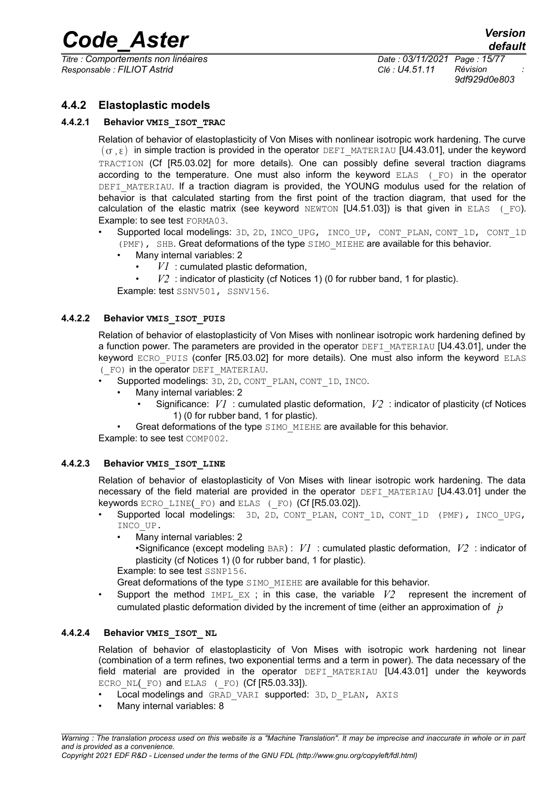*Titre : Comportements non linéaires Date : 03/11/2021 Page : 15/77 Responsable : FILIOT Astrid Clé : U4.51.11 Révision :*

*9df929d0e803*

#### **4.4.2 Elastoplastic models**

#### **4.4.2.1 Behavior VMIS\_ISOT\_TRAC**

<span id="page-14-4"></span><span id="page-14-3"></span>Relation of behavior of elastoplasticity of Von Mises with nonlinear isotropic work hardening. The curve  $(\sigma, \varepsilon)$  in simple traction is provided in the operator DEFI\_MATERIAU [U4.43.01], under the keyword TRACTION (Cf [R5.03.02] for more details). One can possibly define several traction diagrams according to the temperature. One must also inform the keyword  $ELAS$  ( $FO$ ) in the operator DEFI\_MATERIAU. If a traction diagram is provided, the YOUNG modulus used for the relation of behavior is that calculated starting from the first point of the traction diagram, that used for the calculation of the elastic matrix (see keyword NEWTON [U4.51.03]) is that given in ELAS  $(FO)$ . Example: to see test FORMA03.

- Supported local modelings: 3D, 2D, INCO\_UPG, INCO\_UP, CONT\_PLAN, CONT\_1D, CONT\_1D (PMF), SHB. Great deformations of the type SIMO\_MIEHE are available for this behavior.
	- Many internal variables: 2
		- $VI$ : cumulated plastic deformation,
		- $V2$ : indicator of plasticity (cf Notices 1) (0 for rubber band, 1 for plastic).

Example: test SSNV501, SSNV156.

#### **4.4.2.2 Behavior VMIS\_ISOT\_PUIS**

<span id="page-14-2"></span>Relation of behavior of elastoplasticity of Von Mises with nonlinear isotropic work hardening defined by a function power. The parameters are provided in the operator DEFI\_MATERIAU [U4.43.01], under the keyword ECRO PUIS (confer [R5.03.02] for more details). One must also inform the keyword ELAS (\_FO) in the operator DEFI\_MATERIAU.

- Supported modelings: 3D, 2D, CONT\_PLAN, CONT\_1D, INCO.
	- Many internal variables: 2
		- Significance: *V1* : cumulated plastic deformation, *V2* : indicator of plasticity (cf Notices 1) (0 for rubber band, 1 for plastic).
- Great deformations of the type SIMO\_MIEHE are available for this behavior.

Example: to see test COMP002.

#### **4.4.2.3 Behavior VMIS\_ISOT\_LINE**

<span id="page-14-1"></span>Relation of behavior of elastoplasticity of Von Mises with linear isotropic work hardening. The data necessary of the field material are provided in the operator DEFI\_MATERIAU [U4.43.01] under the keywords ECRO LINE(FO) and ELAS (FO) (Cf [R5.03.02]).

- Supported local modelings: 3D, 2D, CONT\_PLAN, CONT\_1D, CONT\_1D (PMF), INCO\_UPG, INCO\_UP.
	- Many internal variables: 2
		- •Significance (except modeling BAR) : *V1* : cumulated plastic deformation, *V2* : indicator of plasticity (cf Notices 1) (0 for rubber band, 1 for plastic).

Example: to see test SSNP156.

Great deformations of the type SIMO\_MIEHE are available for this behavior.

Support the method IMPL\_EX ; in this case, the variable  $V2$  represent the increment of cumulated plastic deformation divided by the increment of time (either an approximation of *p*˙

#### **4.4.2.4 Behavior VMIS\_ISOT\_ NL**

<span id="page-14-0"></span>Relation of behavior of elastoplasticity of Von Mises with isotropic work hardening not linear (combination of a term refines, two exponential terms and a term in power). The data necessary of the field material are provided in the operator DEFI MATERIAU [U4.43.01] under the keywords ECRO NL( $F$ O) and ELAS ( $F$ O) (Cf  $[R5.03.33]$ ).

- Local modelings and GRAD VARI supported: 3D, D\_PLAN, AXIS
- Many internal variables: 8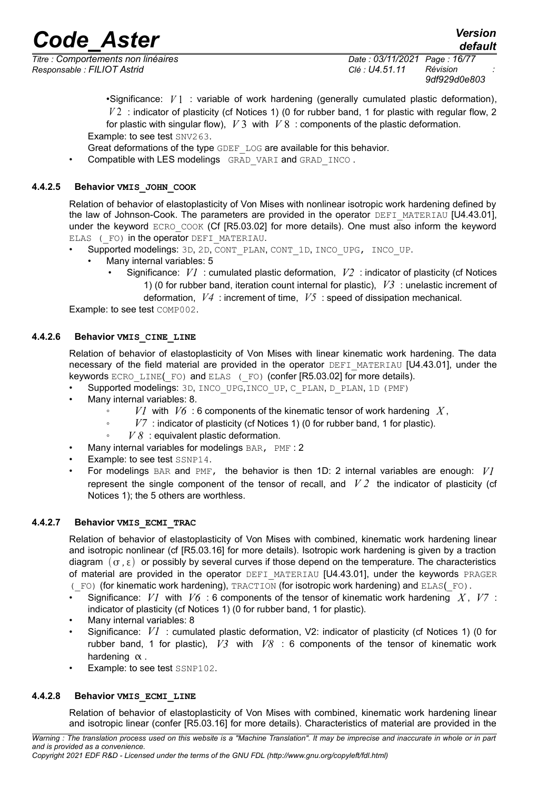*Responsable : FILIOT Astrid Clé : U4.51.11 Révision :*

*Titre : Comportements non linéaires Date : 03/11/2021 Page : 16/77 9df929d0e803*

*default*

•Significance: *V* 1 : variable of work hardening (generally cumulated plastic deformation), *V* 2 : indicator of plasticity (cf Notices 1) (0 for rubber band, 1 for plastic with regular flow, 2 for plastic with singular flow), *V* 3 with *V* 8 : components of the plastic deformation. Example: to see test SNV263.

- Great deformations of the type GDEF\_LOG are available for this behavior.
- Compatible with LES modelings GRAD VARI and GRAD INCO.

#### **4.4.2.5 Behavior VMIS\_JOHN\_COOK**

<span id="page-15-3"></span>Relation of behavior of elastoplasticity of Von Mises with nonlinear isotropic work hardening defined by the law of Johnson-Cook. The parameters are provided in the operator DEFI\_MATERIAU [U4.43.01], under the keyword ECRO COOK (Cf [R5.03.02] for more details). One must also inform the keyword ELAS (FO) in the operator DEFI\_MATERIAU.

- Supported modelings: 3D, 2D, CONT\_PLAN, CONT\_1D, INCO\_UPG, INCO\_UP.
	- Many internal variables: 5
		- Significance: *V1* : cumulated plastic deformation, *V2* : indicator of plasticity (cf Notices 1) (0 for rubber band, iteration count internal for plastic), *V3* : unelastic increment of

deformation, *V4* : increment of time, *V5* : speed of dissipation mechanical.

Example: to see test COMP002.

#### **4.4.2.6 Behavior VMIS\_CINE\_LINE**

<span id="page-15-2"></span>Relation of behavior of elastoplasticity of Von Mises with linear kinematic work hardening. The data necessary of the field material are provided in the operator DEFI\_MATERIAU [U4.43.01], under the keywords  $ECRO$  LINE( $FO$ ) and  $ELAS$  ( $FO$ ) (confer  $[R5.03.02]$  for more details).

- Supported modelings: 3D, INCO\_UPG,INCO\_UP, C\_PLAN, D\_PLAN, 1D (PMF)
- Many internal variables: 8.
	- *V1* with *V6* : 6 components of the kinematic tensor of work hardening *X* ,
		- V<sub>7</sub> : indicator of plasticity (cf Notices 1) (0 for rubber band, 1 for plastic).
	- $V8$  : equivalent plastic deformation.
- Many internal variables for modelings BAR, PMF : 2
- Example: to see test SSNP14.
- For modelings BAR and PMF, the behavior is then 1D: 2 internal variables are enough: *V1* represent the single component of the tensor of recall, and  $V2$  the indicator of plasticity (cf Notices 1); the 5 others are worthless.

#### **4.4.2.7 Behavior VMIS\_ECMI\_TRAC**

<span id="page-15-1"></span>Relation of behavior of elastoplasticity of Von Mises with combined, kinematic work hardening linear and isotropic nonlinear (cf [R5.03.16] for more details). Isotropic work hardening is given by a traction diagram  $(\sigma, \epsilon)$  or possibly by several curves if those depend on the temperature. The characteristics of material are provided in the operator DEFI\_MATERIAU [U4.43.01], under the keywords PRAGER (\_FO) (for kinematic work hardening), TRACTION (for isotropic work hardening) and ELAS(\_FO).

- Significance: *V1* with *V6* : 6 components of the tensor of kinematic work hardening *X* , *V7* : indicator of plasticity (cf Notices 1) (0 for rubber band, 1 for plastic).
- Many internal variables: 8
- Significance: *V1* : cumulated plastic deformation, V2: indicator of plasticity (cf Notices 1) (0 for rubber band, 1 for plastic), *V3* with *V8* : 6 components of the tensor of kinematic work hardening  $\alpha$ .
- Example: to see test SSNP102.

#### **4.4.2.8 Behavior VMIS\_ECMI\_LINE**

<span id="page-15-0"></span>Relation of behavior of elastoplasticity of Von Mises with combined, kinematic work hardening linear and isotropic linear (confer [R5.03.16] for more details). Characteristics of material are provided in the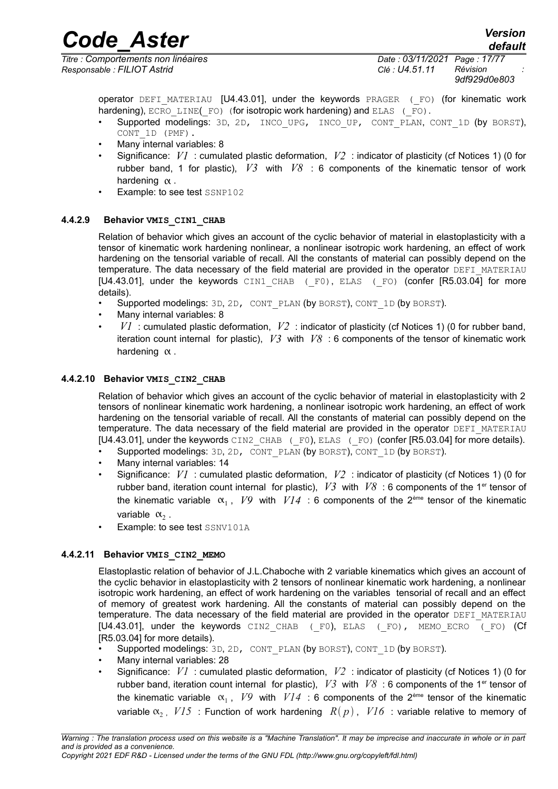*Code\_Aster Version default*

*Titre : Comportements non linéaires Date : 03/11/2021 Page : 17/77 Responsable : FILIOT Astrid Clé : U4.51.11 Révision :*

*9df929d0e803*

operator  $DEF$  MATERIAU  $[U4.43.01]$ , under the keywords PRAGER ( $F$ O) (for kinematic work hardening), ECRO LINE(FO) (for isotropic work hardening) and ELAS (FO).

- Supported modelings: 3D, 2D, INCO UPG, INCO UP, CONT PLAN, CONT 1D (by BORST), CONT\_1D (PMF).
- Many internal variables: 8
- Significance: *V1* : cumulated plastic deformation, *V2* : indicator of plasticity (cf Notices 1) (0 for rubber band, 1 for plastic), *V3* with *V8* : 6 components of the kinematic tensor of work hardening  $\alpha$ .
- Example: to see test SSNP102

#### **4.4.2.9 Behavior VMIS\_CIN1\_CHAB**

<span id="page-16-2"></span>Relation of behavior which gives an account of the cyclic behavior of material in elastoplasticity with a tensor of kinematic work hardening nonlinear, a nonlinear isotropic work hardening, an effect of work hardening on the tensorial variable of recall. All the constants of material can possibly depend on the temperature. The data necessary of the field material are provided in the operator DEFI\_MATERIAU [U4.43.01], under the keywords  $CINI$  CHAB ( $F0$ ), ELAS ( $F0$ ) (confer [R5.03.04] for more details).

- Supported modelings: 3D, 2D, CONT\_PLAN (by BORST), CONT\_1D (by BORST).
- Many internal variables: 8
- *V1* : cumulated plastic deformation, *V2* : indicator of plasticity (cf Notices 1) (0 for rubber band, iteration count internal for plastic), *V3* with *V8* : 6 components of the tensor of kinematic work hardening  $\alpha$ .

#### **4.4.2.10 Behavior VMIS\_CIN2\_CHAB**

<span id="page-16-1"></span>Relation of behavior which gives an account of the cyclic behavior of material in elastoplasticity with 2 tensors of nonlinear kinematic work hardening, a nonlinear isotropic work hardening, an effect of work hardening on the tensorial variable of recall. All the constants of material can possibly depend on the temperature. The data necessary of the field material are provided in the operator DEFI\_MATERIAU [U4.43.01], under the keywords CIN2 CHAB (F0), ELAS (F0) (confer [R5.03.04] for more details).

- Supported modelings: 3D, 2D, CONT\_PLAN (by BORST), CONT\_1D (by BORST).
- Many internal variables: 14
- Significance: *V1* : cumulated plastic deformation, *V2* : indicator of plasticity (cf Notices 1) (0 for rubber band, iteration count internal for plastic),  $V3$  with  $V8$  : 6 components of the 1<sup>er</sup> tensor of the kinematic variable  $\alpha_1$ ,  $V9$  with  $VI4$  : 6 components of the 2<sup>ème</sup> tensor of the kinematic variable  $\alpha_2$ .
- Example: to see test SSNV101A

#### **4.4.2.11 Behavior VMIS\_CIN2\_MEMO**

<span id="page-16-0"></span>Elastoplastic relation of behavior of J.L.Chaboche with 2 variable kinematics which gives an account of the cyclic behavior in elastoplasticity with 2 tensors of nonlinear kinematic work hardening, a nonlinear isotropic work hardening, an effect of work hardening on the variables tensorial of recall and an effect of memory of greatest work hardening. All the constants of material can possibly depend on the temperature. The data necessary of the field material are provided in the operator DEFI\_MATERIAU [U4.43.01], under the keywords CIN2\_CHAB (\_F0), ELAS (\_FO), MEMO\_ECRO (\_FO) (Cf [R5.03.04] for more details).

- Supported modelings: 3D, 2D, CONT\_PLAN (by BORST), CONT\_1D (by BORST).
- Many internal variables: 28
- Significance: *V1* : cumulated plastic deformation, *V2* : indicator of plasticity (cf Notices 1) (0 for rubber band, iteration count internal for plastic),  $V3$  with  $V8$  : 6 components of the 1<sup>er</sup> tensor of the kinematic variable  $\alpha_1$ , *V9* with  $VI4$  : 6 components of the 2<sup>ème</sup> tensor of the kinematic variable  $\alpha$ , *V15* : Function of work hardening  $R(p)$ , *V16* : variable relative to memory of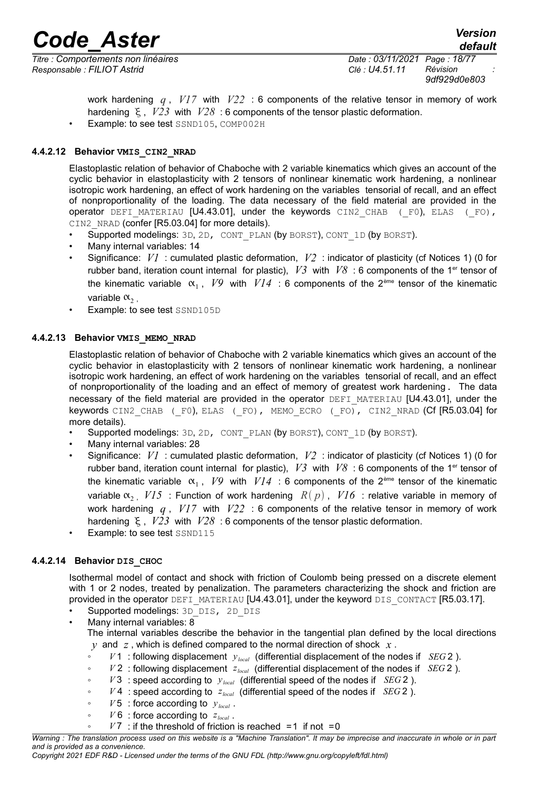*Titre : Comportements non linéaires Date : 03/11/2021 Page : 18/77 Responsable : FILIOT Astrid Clé : U4.51.11 Révision :*

*9df929d0e803*

work hardening *q* , *V17* with *V22* : 6 components of the relative tensor in memory of work hardening  $\epsilon$ ,  $V23$  with  $V28$ : 6 components of the tensor plastic deformation. • Example: to see test SSND105, COMP002H

**4.4.2.12 Behavior VMIS\_CIN2\_NRAD**

<span id="page-17-2"></span>Elastoplastic relation of behavior of Chaboche with 2 variable kinematics which gives an account of the cyclic behavior in elastoplasticity with 2 tensors of nonlinear kinematic work hardening, a nonlinear isotropic work hardening, an effect of work hardening on the variables tensorial of recall, and an effect of nonproportionality of the loading. The data necessary of the field material are provided in the operator DEFI\_MATERIAU  $[U4.43.01]$ , under the keywords CIN2 CHAB ( $F0$ ), ELAS ( $F0$ ), CIN2\_NRAD (confer [R5.03.04] for more details).

- Supported modelings: 3D, 2D, CONT\_PLAN (by BORST), CONT\_1D (by BORST).
- Many internal variables: 14
- Significance: *V1* : cumulated plastic deformation, *V2* : indicator of plasticity (cf Notices 1) (0 for rubber band, iteration count internal for plastic),  $V3$  with  $V8$  : 6 components of the 1<sup>er</sup> tensor of the kinematic variable  $\alpha_1$ ,  $V9$  with  $VI4$  : 6 components of the 2<sup>ème</sup> tensor of the kinematic variable  $\alpha$ ,
- Example: to see test SSND105D

#### **4.4.2.13 Behavior VMIS\_MEMO\_NRAD**

<span id="page-17-1"></span>Elastoplastic relation of behavior of Chaboche with 2 variable kinematics which gives an account of the cyclic behavior in elastoplasticity with 2 tensors of nonlinear kinematic work hardening, a nonlinear isotropic work hardening, an effect of work hardening on the variables tensorial of recall, and an effect of nonproportionality of the loading and an effect of memory of greatest work hardening. The data necessary of the field material are provided in the operator DEFI\_MATERIAU [U4.43.01], under the keywords CIN2 CHAB (F0), ELAS (F0), MEMO ECRO (F0), CIN2 NRAD (Cf [R5.03.04] for more details).

- Supported modelings: 3D, 2D, CONT\_PLAN (by BORST), CONT\_1D (by BORST).
- Many internal variables: 28
- Significance: *V1* : cumulated plastic deformation, *V2* : indicator of plasticity (cf Notices 1) (0 for rubber band, iteration count internal for plastic),  $V3$  with  $V8$  : 6 components of the 1<sup>er</sup> tensor of the kinematic variable  $\alpha_1$ , *V9* with  $VI4$  : 6 components of the 2<sup>ème</sup> tensor of the kinematic variable  $\alpha$ , *V15* : Function of work hardening  $R(p)$ , *V16* : relative variable in memory of work hardening *q* , *V17* with *V22* : 6 components of the relative tensor in memory of work hardening  $\xi$ ,  $V23$  with  $V28$ : 6 components of the tensor plastic deformation.
- Example: to see test SSND115

#### **4.4.2.14 Behavior DIS\_CHOC**

<span id="page-17-0"></span>Isothermal model of contact and shock with friction of Coulomb being pressed on a discrete element with 1 or 2 nodes, treated by penalization. The parameters characterizing the shock and friction are provided in the operator DEFI\_MATERIAU [U4.43.01], under the keyword DIS\_CONTACT [R5.03.17].

- Supported modelings: 3D DIS, 2D DIS
- Many internal variables:  $8$

The internal variables describe the behavior in the tangential plan defined by the local directions *y* and *z* , which is defined compared to the normal direction of shock *x* .

- *V* 1 : following displacement *ylocal* (differential displacement of the nodes if *SEG* 2 ).
- *V* 2 : following displacement *zlocal* (differential displacement of the nodes if *SEG* 2 ).
- *V* 3 : speed according to *ylocal* (differential speed of the nodes if *SEG* 2 ).
- $V$ 4 : speed according to  $z_{local}$  (differential speed of the nodes if *SEG* 2).
- *V* 5 : force according to *ylocal* .
- $V$  6 : force according to  $z_{local}$ .
- $V7$  : if the threshold of friction is reached  $=1$  if not  $=0$

*Warning : The translation process used on this website is a "Machine Translation". It may be imprecise and inaccurate in whole or in part and is provided as a convenience.*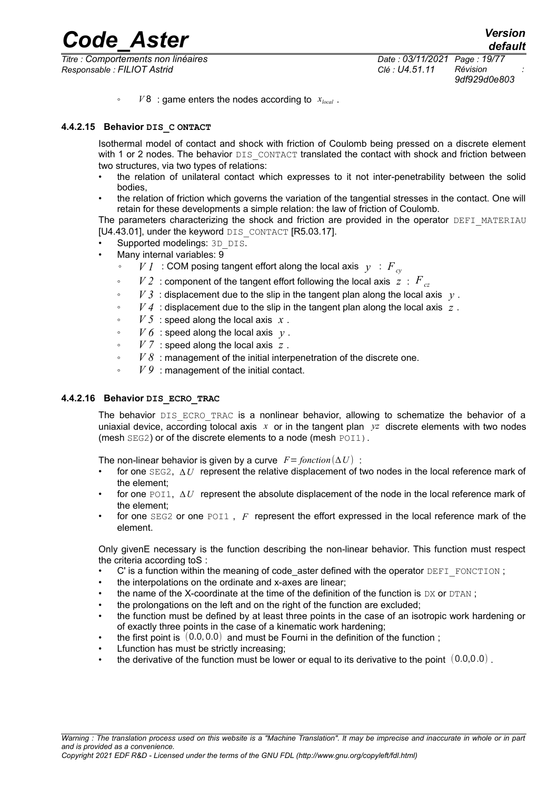*Titre : Comportements non linéaires Date : 03/11/2021 Page : 19/77 Responsable : FILIOT Astrid Clé : U4.51.11 Révision :*

*9df929d0e803*

 $V8$  : game enters the nodes according to  $x_{local}$ .

#### **4.4.2.15 Behavior DIS\_C ONTACT**

<span id="page-18-0"></span>Isothermal model of contact and shock with friction of Coulomb being pressed on a discrete element with 1 or 2 nodes. The behavior DIS\_CONTACT translated the contact with shock and friction between two structures, via two types of relations:

- the relation of unilateral contact which expresses to it not inter-penetrability between the solid bodies,
- the relation of friction which governs the variation of the tangential stresses in the contact. One will retain for these developments a simple relation: the law of friction of Coulomb.

The parameters characterizing the shock and friction are provided in the operator DEFI\_MATERIAU [U4.43.01], under the keyword DIS\_CONTACT [R5.03.17].

- Supported modelings: 3D DIS.
- Many internal variables: 9
	- *V 1* : COM posing tangent effort along the local axis *y* : *Fcy*
	- $\cdot$  *V 2* : component of the tangent effort following the local axis  $z : F_{cz}$
	- $V3$ : displacement due to the slip in the tangent plan along the local axis *y*.
	- *V 4* : displacement due to the slip in the tangent plan along the local axis *z* .
	- *V 5* : speed along the local axis *x* .
	- $\cdot$  *V 6* : speed along the local axis  $y$ .
	- *V 7* : speed along the local axis *z* .
	- *V 8* : management of the initial interpenetration of the discrete one.
	- $V9$ : management of the initial contact.

#### **4.4.2.16 Behavior DIS\_ECRO\_TRAC**

<span id="page-18-1"></span>The behavior DIS ECRO TRAC is a nonlinear behavior, allowing to schematize the behavior of a uniaxial device, according tolocal axis *x* or in the tangent plan *yz* discrete elements with two nodes (mesh SEG2) or of the discrete elements to a node (mesh POI1).

The non-linear behavior is given by a curve  $F=$  *fonction*  $(\Delta U)$  :

- for one SEG2, Δ*U* represent the relative displacement of two nodes in the local reference mark of the element;
- for one POI1,  $\Delta U$  represent the absolute displacement of the node in the local reference mark of the element;
- for one SEG2 or one POI1, F represent the effort expressed in the local reference mark of the element.

Only givenE necessary is the function describing the non-linear behavior. This function must respect the criteria according toS :

- $\mathbf C'$  is a function within the meaning of code aster defined with the operator  $DEFI$  FONCTION ;
- the interpolations on the ordinate and x-axes are linear;
- the name of the X-coordinate at the time of the definition of the function is  $DX$  or  $DTAN$ :
- the prolongations on the left and on the right of the function are excluded;
- the function must be defined by at least three points in the case of an isotropic work hardening or of exactly three points in the case of a kinematic work hardening;
- the first point is  $(0.0, 0.0)$  and must be Fourni in the definition of the function;
- Lfunction has must be strictly increasing;
- the derivative of the function must be lower or equal to its derivative to the point  $(0.0,0.0)$ .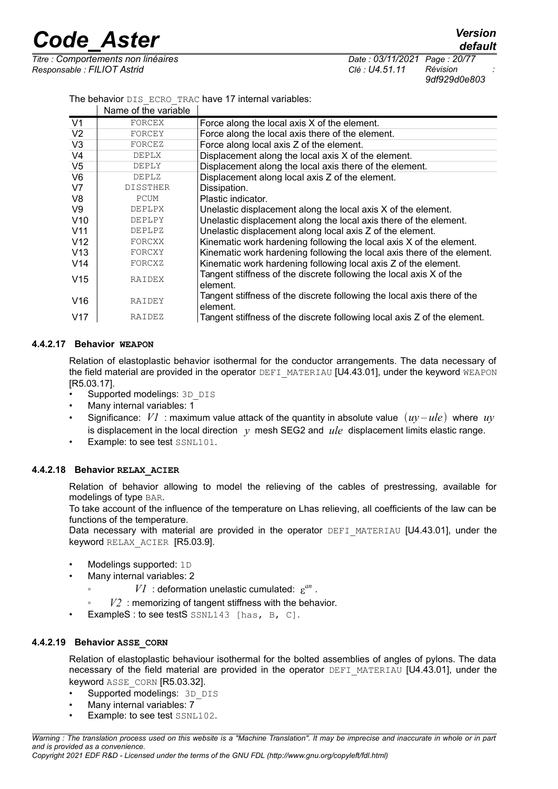*Titre : Comportements non linéaires Date : 03/11/2021 Page : 20/77 Responsable : FILIOT Astrid Clé : U4.51.11 Révision :*

*9df929d0e803*

The behavior DIS\_ECRO\_TRAC have 17 internal variables:

|                 | Name of the variable |                                                                          |
|-----------------|----------------------|--------------------------------------------------------------------------|
| V <sub>1</sub>  | FORCEX               | Force along the local axis X of the element.                             |
| V <sub>2</sub>  | FORCEY               | Force along the local axis there of the element.                         |
| V <sub>3</sub>  | FORCEZ               | Force along local axis Z of the element.                                 |
| V <sub>4</sub>  | DEPLX                | Displacement along the local axis X of the element.                      |
| V <sub>5</sub>  | DEPLY                | Displacement along the local axis there of the element.                  |
| V <sub>6</sub>  | <b>DEPLZ</b>         | Displacement along local axis Z of the element.                          |
| V <sub>7</sub>  | <b>DISSTHER</b>      | Dissipation.                                                             |
| V8              | PCUM                 | Plastic indicator.                                                       |
| V9              | DEPLPX               | Unelastic displacement along the local axis X of the element.            |
| V10             | DEPLPY               | Unelastic displacement along the local axis there of the element.        |
| V <sub>11</sub> | DEPLPZ               | Unelastic displacement along local axis Z of the element.                |
| V <sub>12</sub> | FORCXX               | Kinematic work hardening following the local axis X of the element.      |
| V13             | FORCXY               | Kinematic work hardening following the local axis there of the element.  |
| V14             | FORCXZ               | Kinematic work hardening following local axis Z of the element.          |
| V15             | RAIDEX               | Tangent stiffness of the discrete following the local axis X of the      |
|                 |                      | element.                                                                 |
| V <sub>16</sub> | RAIDEY               | Tangent stiffness of the discrete following the local axis there of the  |
|                 |                      | element.                                                                 |
| V17             | RAIDEZ               | Tangent stiffness of the discrete following local axis Z of the element. |

#### **4.4.2.17 Behavior WEAPON**

<span id="page-19-2"></span>Relation of elastoplastic behavior isothermal for the conductor arrangements. The data necessary of the field material are provided in the operator DEFI\_MATERIAU [U4.43.01], under the keyword WEAPON [R5.03.17].

- Supported modelings: 3D\_DIS
- Many internal variables: 1
- Significance:  $VI$  : maximum value attack of the quantity in absolute value  $(uv u/e)$  where  $uv$ is displacement in the local direction  $y$  mesh SEG2 and  $ule$  displacement limits elastic range.
- Example: to see test SSNL101.

#### **4.4.2.18 Behavior RELAX\_ACIER**

<span id="page-19-1"></span>Relation of behavior allowing to model the relieving of the cables of prestressing, available for modelings of type BAR.

To take account of the influence of the temperature on Lhas relieving, all coefficients of the law can be functions of the temperature.

Data necessary with material are provided in the operator  $DEFI$  MATERIAU  $[U4.43.01]$ , under the keyword RELAX\_ACIER [R5.03.9].

- Modelings supported: 1D
- Many internal variables: 2
	- $\circ$  *V1* : deformation unelastic cumulated:  $\varepsilon^{an}$ .
	- $V2$ : memorizing of tangent stiffness with the behavior.
- ExampleS: to see testS SSNL143 [has, B, C].

#### **4.4.2.19 Behavior ASSE\_CORN**

<span id="page-19-0"></span>Relation of elastoplastic behaviour isothermal for the bolted assemblies of angles of pylons. The data necessary of the field material are provided in the operator DEFI\_MATERIAU [U4.43.01], under the keyword ASSE\_CORN [R5.03.32].

- Supported modelings: 3D DIS
- Many internal variables: 7
- Example: to see test SSNL102.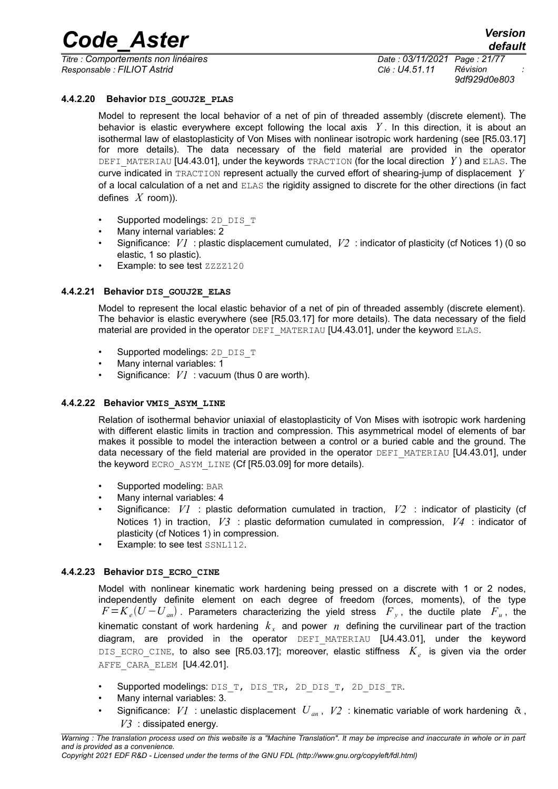*Responsable : FILIOT Astrid Clé : U4.51.11 Révision :*

*Titre : Comportements non linéaires Date : 03/11/2021 Page : 21/77 9df929d0e803*

#### **4.4.2.20 Behavior DIS\_GOUJ2E\_PLAS**

<span id="page-20-3"></span>Model to represent the local behavior of a net of pin of threaded assembly (discrete element). The behavior is elastic everywhere except following the local axis *Y* . In this direction, it is about an isothermal law of elastoplasticity of Von Mises with nonlinear isotropic work hardening (see [R5.03.17] for more details). The data necessary of the field material are provided in the operator DEFI\_MATERIAU [U4.43.01], under the keywords TRACTION (for the local direction *Y*) and ELAS. The curve indicated in TRACTION represent actually the curved effort of shearing-jump of displacement *Y* of a local calculation of a net and ELAS the rigidity assigned to discrete for the other directions (in fact defines *X* room)).

- Supported modelings: 2D DIS T
- Many internal variables: 2
- Significance: *V1* : plastic displacement cumulated, *V2* : indicator of plasticity (cf Notices 1) (0 so elastic, 1 so plastic).
- Example: to see test ZZZZ120

#### **4.4.2.21 Behavior DIS\_GOUJ2E\_ELAS**

<span id="page-20-2"></span>Model to represent the local elastic behavior of a net of pin of threaded assembly (discrete element). The behavior is elastic everywhere (see [R5.03.17] for more details). The data necessary of the field material are provided in the operator DEFI\_MATERIAU [U4.43.01], under the keyword ELAS.

- Supported modelings: 2D DIS T
- Many internal variables: 1
- Significance:  $VI$  : vacuum (thus 0 are worth).

#### **4.4.2.22 Behavior VMIS\_ASYM\_LINE**

<span id="page-20-1"></span>Relation of isothermal behavior uniaxial of elastoplasticity of Von Mises with isotropic work hardening with different elastic limits in traction and compression. This asymmetrical model of elements of bar makes it possible to model the interaction between a control or a buried cable and the ground. The data necessary of the field material are provided in the operator DEFI\_MATERIAU [U4.43.01], under the keyword ECRO\_ASYM\_LINE (Cf [R5.03.09] for more details).

- Supported modeling: BAR
- Many internal variables: 4
- Significance: *V1* : plastic deformation cumulated in traction, *V2* : indicator of plasticity (cf Notices 1) in traction, *V3* : plastic deformation cumulated in compression, *V4* : indicator of plasticity (cf Notices 1) in compression.
- Example: to see test SSNL112.

#### **4.4.2.23 Behavior DIS\_ECRO\_CINE**

<span id="page-20-0"></span>Model with nonlinear kinematic work hardening being pressed on a discrete with 1 or 2 nodes, independently definite element on each degree of freedom (forces, moments), of the type  $F$  =  $K$ <sub>e</sub>(U –  $U$ <sub>an</sub>). Parameters characterizing the yield stress  $\overline{F}_y$ , the ductile plate  $\overline{F}_u$ , the kinematic constant of work hardening  $k_{x}$  and power  $n$  defining the curvilinear part of the traction diagram, are provided in the operator DEFI MATERIAU [U4.43.01], under the keyword DIS\_ECRO\_CINE, to also see [R5.03.17]; moreover, elastic stiffness *K<sup>e</sup>* is given via the order AFFE\_CARA\_ELEM [U4.42.01].

- Supported modelings: DIS\_T, DIS\_TR, 2D\_DIS\_T, 2D\_DIS\_TR.
- Many internal variables: 3.
- Significance:  $VI$  : unelastic displacement  $U_{an}$ ,  $V2$  : kinematic variable of work hardening  $\tilde{\alpha}$ , *V3* : dissipated energy.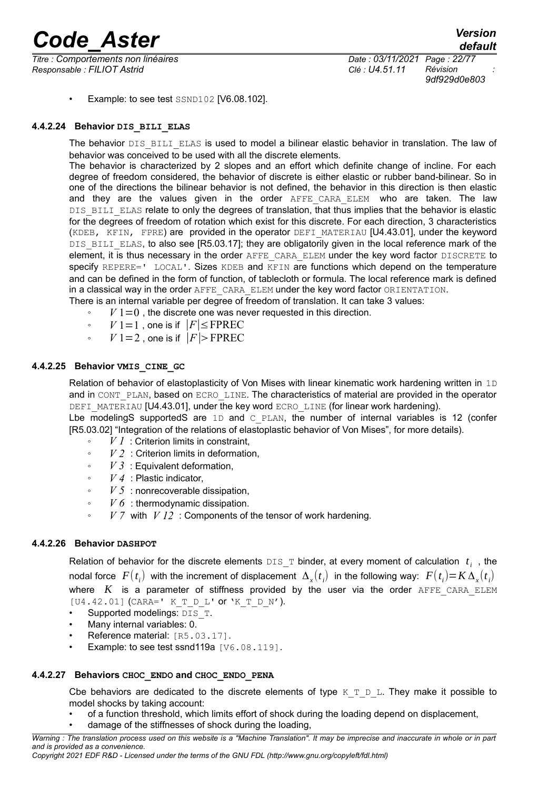*Titre : Comportements non linéaires Date : 03/11/2021 Page : 22/77 Responsable : FILIOT Astrid Clé : U4.51.11 Révision :*

*9df929d0e803*

• Example: to see test SSND102 [V6.08.102].

#### **4.4.2.24 Behavior DIS\_BILI\_ELAS**

<span id="page-21-3"></span>The behavior DIS\_BILI\_ELAS is used to model a bilinear elastic behavior in translation. The law of behavior was conceived to be used with all the discrete elements.

The behavior is characterized by 2 slopes and an effort which definite change of incline. For each degree of freedom considered, the behavior of discrete is either elastic or rubber band-bilinear. So in one of the directions the bilinear behavior is not defined, the behavior in this direction is then elastic and they are the values given in the order AFFE CARA ELEM who are taken. The law DIS BILI ELAS relate to only the degrees of translation, that thus implies that the behavior is elastic for the degrees of freedom of rotation which exist for this discrete. For each direction, 3 characteristics (KDEB, KFIN, FPRE) are provided in the operator DEFI\_MATERIAU [U4.43.01], under the keyword DIS BILI ELAS, to also see [R5.03.17]; they are obligatorily given in the local reference mark of the element, it is thus necessary in the order AFFE\_CARA\_ELEM under the key word factor DISCRETE to specify REPERE=' LOCAL'. Sizes KDEB and KFIN are functions which depend on the temperature and can be defined in the form of function, of tablecloth or formula. The local reference mark is defined in a classical way in the order AFFE\_CARA\_ELEM under the key word factor ORIENTATION. There is an internal variable per degree of freedom of translation. It can take 3 values:

 $V_1=0$ , the discrete one was never requested in this direction.

- *V* 1 = 1, one is if  $|F|$  ≤ FPREC
- ∘ *V* 1 = 2, one is if  $|F|$ > FPREC

#### **4.4.2.25 Behavior VMIS\_CINE\_GC**

<span id="page-21-2"></span>Relation of behavior of elastoplasticity of Von Mises with linear kinematic work hardening written in 1D and in CONT\_PLAN, based on ECRO\_LINE. The characteristics of material are provided in the operator DEFI\_MATERIAU [U4.43.01], under the key word ECRO\_LINE (for linear work hardening).

Lbe modeling S supported S are 1D and  $\text{C}$  PLAN, the number of internal variables is 12 (confer [R5.03.02] "Integration of the relations of elastoplastic behavior of Von Mises", for more details).

- *V 1* : Criterion limits in constraint,
- *V 2* : Criterion limits in deformation,
- *V 3* : Equivalent deformation,
- *V 4* : Plastic indicator,
- *V 5* : nonrecoverable dissipation,
- *V 6* : thermodynamic dissipation.
- *V 7* with *V 12* : Components of the tensor of work hardening.

#### **4.4.2.26 Behavior DASHPOT**

<span id="page-21-1"></span>Relation of behavior for the discrete elements  $DS\_T$  binder, at every moment of calculation  $|t_i|$ , the nodal force  $F(t_i)$  with the increment of displacement  $\Delta_x(t_i)$  in the following way:  $F(t_i){=}\textit{K}\,\Delta_x(t_i)$ where  $K$  is a parameter of stiffness provided by the user via the order  $AFFE$  CARA  $ELEM$  $[U4.42.01]$  (CARA=' K T D L' or 'K T D N').

- Supported modelings:  $\overline{\text{DIS}}$  T.
- Many internal variables: 0.
- Reference material: [R5.03.17].
- Example: to see test ssnd119a [V6.08.119].

#### **4.4.2.27 Behaviors CHOC\_ENDO and CHOC\_ENDO\_PENA**

<span id="page-21-0"></span>Cbe behaviors are dedicated to the discrete elements of type  $K_T$  D L. They make it possible to model shocks by taking account:

- of a function threshold, which limits effort of shock during the loading depend on displacement,
- damage of the stiffnesses of shock during the loading.

*Warning : The translation process used on this website is a "Machine Translation". It may be imprecise and inaccurate in whole or in part and is provided as a convenience. Copyright 2021 EDF R&D - Licensed under the terms of the GNU FDL (http://www.gnu.org/copyleft/fdl.html)*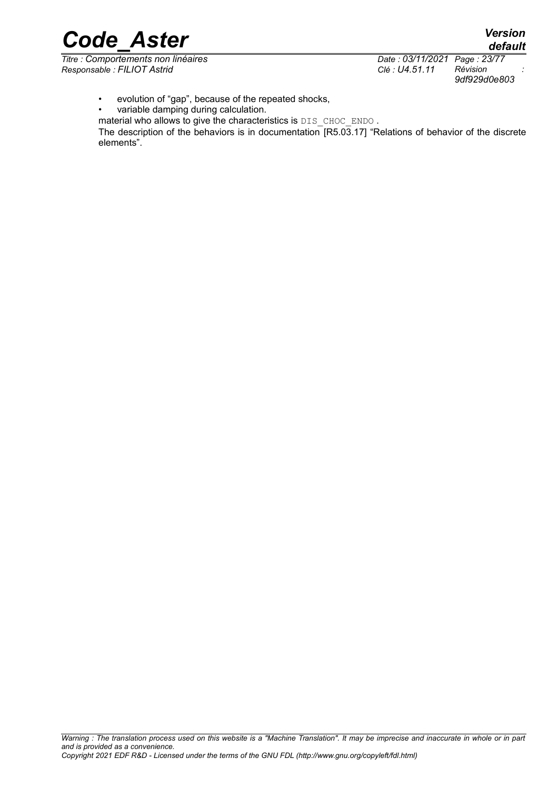*Code\_Aster Version default*

*Titre : Comportements non linéaires Date : 03/11/2021 Page : 23/77 Responsable : FILIOT Astrid Clé : U4.51.11 Révision :*

*9df929d0e803*

• evolution of "gap", because of the repeated shocks,

• variable damping during calculation.

material who allows to give the characteristics is DIS\_CHOC\_ENDO.

The description of the behaviors is in documentation [R5.03.17] "Relations of behavior of the discrete elements".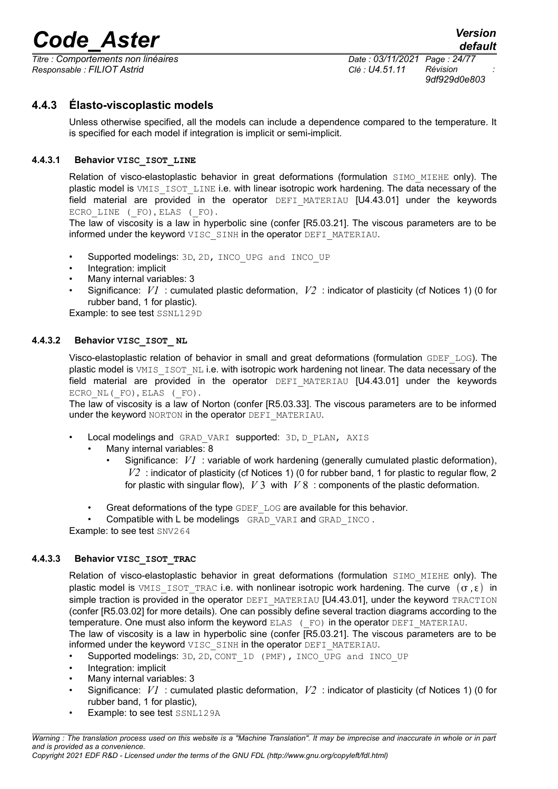*Titre : Comportements non linéaires Date : 03/11/2021 Page : 24/77 Responsable : FILIOT Astrid Clé : U4.51.11 Révision :*

*9df929d0e803*

#### **4.4.3 Élasto-viscoplastic models**

<span id="page-23-3"></span>Unless otherwise specified, all the models can include a dependence compared to the temperature. It is specified for each model if integration is implicit or semi-implicit.

#### **4.4.3.1 Behavior VISC\_ISOT\_LINE**

<span id="page-23-2"></span>Relation of visco-elastoplastic behavior in great deformations (formulation SIMO MIEHE only). The plastic model is VMIS ISOT LINE i.e. with linear isotropic work hardening. The data necessary of the field material are provided in the operator DEFI MATERIAU [U4.43.01] under the keywords ECRO LINE ( FO), ELAS ( FO).

The law of viscosity is a law in hyperbolic sine (confer [R5.03.21]. The viscous parameters are to be informed under the keyword VISC SINH in the operator DEFI\_MATERIAU.

- Supported modelings: 3D, 2D, INCO UPG and INCO UP
- Integration: implicit
- Many internal variables: 3
- Significance: *V1* : cumulated plastic deformation, *V2* : indicator of plasticity (cf Notices 1) (0 for rubber band, 1 for plastic).

Example: to see test SSNL129D

#### **4.4.3.2 Behavior VISC\_ISOT\_ NL**

<span id="page-23-1"></span>Visco-elastoplastic relation of behavior in small and great deformations (formulation GDEF\_LOG). The plastic model is VMIS\_ISOT\_NL i.e. with isotropic work hardening not linear. The data necessary of the field material are provided in the operator  $DEFI$  MATERIAU  $[U4.43.01]$  under the keywords ECRO NL (FO), ELAS (FO).

The law of viscosity is a law of Norton (confer [R5.03.33]. The viscous parameters are to be informed under the keyword NORTON in the operator DEFI\_MATERIAU.

- Local modelings and GRAD VARI supported: 3D, D\_PLAN, AXIS
	- Many internal variables: 8
		- Significance: *V1* : variable of work hardening (generally cumulated plastic deformation), *V2* : indicator of plasticity (cf Notices 1) (0 for rubber band, 1 for plastic to regular flow, 2 for plastic with singular flow), *V* 3 with *V* 8 : components of the plastic deformation.
	- Great deformations of the type GDEF\_LOG are available for this behavior.

Compatible with L be modelings GRAD VARI and GRAD INCO.

Example: to see test SNV264

#### **4.4.3.3 Behavior VISC\_ISOT\_TRAC**

<span id="page-23-0"></span>Relation of visco-elastoplastic behavior in great deformations (formulation SIMO MIEHE only). The plastic model is VMIS\_ISOT\_TRAC i.e. with nonlinear isotropic work hardening. The curve  $(\sigma, \varepsilon)$  in simple traction is provided in the operator DEFI\_MATERIAU [U4.43.01], under the keyword TRACTION (confer [R5.03.02] for more details). One can possibly define several traction diagrams according to the temperature. One must also inform the keyword ELAS (FO) in the operator DEFI\_MATERIAU.

The law of viscosity is a law in hyperbolic sine (confer [R5.03.21]. The viscous parameters are to be informed under the keyword VISC SINH in the operator DEFI\_MATERIAU.

- Supported modelings: 3D, 2D, CONT\_1D (PMF), INCO\_UPG and INCO\_UP
- Integration: implicit
- Many internal variables: 3
- Significance: *V1* : cumulated plastic deformation, *V2* : indicator of plasticity (cf Notices 1) (0 for rubber band, 1 for plastic),
- Example: to see test SSNL129A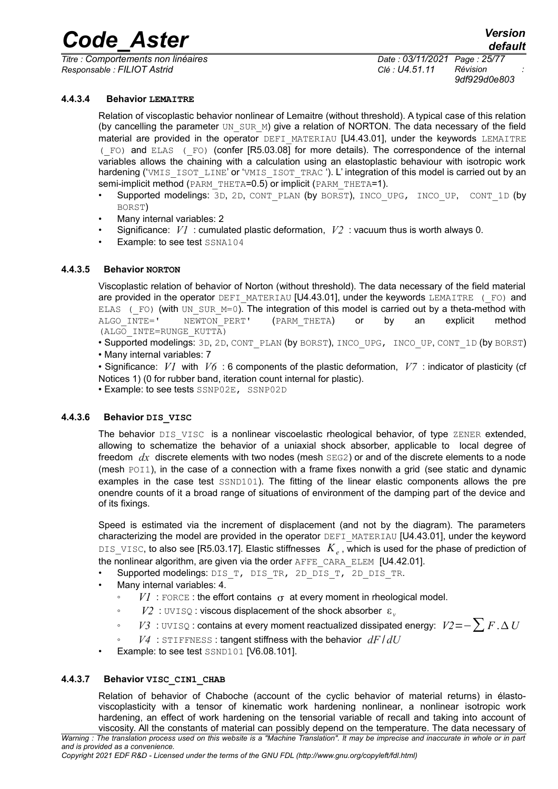*Titre : Comportements non linéaires Date : 03/11/2021 Page : 25/77 Responsable : FILIOT Astrid Clé : U4.51.11 Révision :*

*9df929d0e803*

#### **4.4.3.4 Behavior LEMAITRE**

<span id="page-24-3"></span>Relation of viscoplastic behavior nonlinear of Lemaitre (without threshold). A typical case of this relation (by cancelling the parameter UN\_SUR\_M) give a relation of NORTON. The data necessary of the field material are provided in the operator DEFI\_MATERIAU [U4.43.01], under the keywords LEMAITRE (\_FO) and ELAS (\_FO) (confer [R5.03.08] for more details). The correspondence of the internal variables allows the chaining with a calculation using an elastoplastic behaviour with isotropic work hardening ('VMIS\_ISOT\_LINE' or 'VMIS\_ISOT\_TRAC '). L' integration of this model is carried out by an semi-implicit method (PARM THETA=0.5) or implicit (PARM THETA=1).

- Supported modelings: 3D, 2D, CONT\_PLAN (by BORST), INCO\_UPG, INCO\_UP, CONT\_1D (by BORST)
- Many internal variables: 2
- Significance: *V1* : cumulated plastic deformation, *V2* : vacuum thus is worth always 0.
- Example: to see test SSNA104

#### **4.4.3.5 Behavior NORTON**

<span id="page-24-2"></span>Viscoplastic relation of behavior of Norton (without threshold). The data necessary of the field material are provided in the operator DEFI\_MATERIAU [U4.43.01], under the keywords LEMAITRE (FO) and ELAS ( $F$ O) (with UN SUR M=0). The integration of this model is carried out by a theta-method with ALGO\_INTE=' NEWTON\_PERT' (PARM\_THETA) or by an explicit method (ALGO\_INTE=RUNGE\_KUTTA)

- Supported modelings: 3D, 2D, CONT\_PLAN (by BORST), INCO\_UPG, INCO\_UP, CONT\_1D (by BORST)
- Many internal variables: 7

• Significance: *V1* with *V6* : 6 components of the plastic deformation, *V7* : indicator of plasticity (cf Notices 1) (0 for rubber band, iteration count internal for plastic).

• Example: to see tests SSNP02E, SSNP02D

#### **4.4.3.6 Behavior DIS\_VISC**

<span id="page-24-1"></span>The behavior DIS VISC is a nonlinear viscoelastic rheological behavior, of type ZENER extended, allowing to schematize the behavior of a uniaxial shock absorber, applicable to local degree of freedom *dx* discrete elements with two nodes (mesh SEG2) or and of the discrete elements to a node (mesh POI1), in the case of a connection with a frame fixes nonwith a grid (see static and dynamic examples in the case test  $SSND101$ ). The fitting of the linear elastic components allows the pre onendre counts of it a broad range of situations of environment of the damping part of the device and of its fixings.

Speed is estimated via the increment of displacement (and not by the diagram). The parameters characterizing the model are provided in the operator DEFI\_MATERIAU [U4.43.01], under the keyword DIS\_VISC, to also see [R5.03.17]. Elastic stiffnesses *K<sup>e</sup>* , which is used for the phase of prediction of the nonlinear algorithm, are given via the order AFFE\_CARA\_ELEM [U4.42.01].

- Supported modelings: DIS\_T, DIS\_TR, 2D\_DIS\_T, 2D\_DIS\_TR.
- Many internal variables: 4.
	- $VI$ : FORCE: the effort contains  $\sigma$  at every moment in rheological model.
	- *V2* : UVISO: viscous displacement of the shock absorber ε.
	- *V3* : UVISQ : contains at every moment reactualized dissipated energy: *V2*=−∑*<sup>F</sup>* . *<sup>U</sup>*
	- $V4$ : STIFFNESS: tangent stiffness with the behavior  $dF/dU$
- Example: to see test SSND101 [V6.08.101].

#### **4.4.3.7 Behavior VISC\_CIN1\_CHAB**

<span id="page-24-0"></span>Relation of behavior of Chaboche (account of the cyclic behavior of material returns) in élastoviscoplasticity with a tensor of kinematic work hardening nonlinear, a nonlinear isotropic work hardening, an effect of work hardening on the tensorial variable of recall and taking into account of viscosity. All the constants of material can possibly depend on the temperature. The data necessary of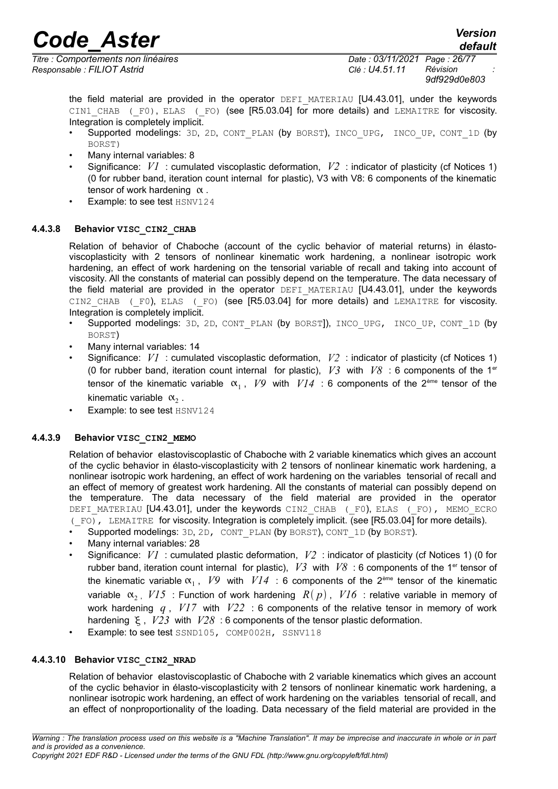*Titre : Comportements non linéaires Date : 03/11/2021 Page : 26/77 Responsable : FILIOT Astrid Clé : U4.51.11 Révision :*

*9df929d0e803*

the field material are provided in the operator DEFI\_MATERIAU [U4.43.01], under the keywords CIN1 CHAB (F0), ELAS (F0) (see [R5.03.04] for more details) and LEMAITRE for viscosity. Integration is completely implicit.

- Supported modelings: 3D, 2D, CONT\_PLAN (by BORST), INCO\_UPG, INCO\_UP, CONT\_1D (by BORST)
- Many internal variables: 8
- Significance: *V1* : cumulated viscoplastic deformation, *V2* : indicator of plasticity (cf Notices 1) (0 for rubber band, iteration count internal for plastic), V3 with V8: 6 components of the kinematic tensor of work hardening  $\alpha$ .
- Example: to see test HSNV124

#### **4.4.3.8 Behavior VISC\_CIN2\_CHAB**

<span id="page-25-2"></span>Relation of behavior of Chaboche (account of the cyclic behavior of material returns) in élastoviscoplasticity with 2 tensors of nonlinear kinematic work hardening, a nonlinear isotropic work hardening, an effect of work hardening on the tensorial variable of recall and taking into account of viscosity. All the constants of material can possibly depend on the temperature. The data necessary of the field material are provided in the operator DEFI\_MATERIAU [U4.43.01], under the keywords CIN2 CHAB (F0), ELAS (F0) (see [R5.03.04] for more details) and LEMAITRE for viscosity. Integration is completely implicit.

- Supported modelings: 3D, 2D, CONT\_PLAN (by BORST]), INCO\_UPG, INCO\_UP, CONT\_1D (by BORST)
- Many internal variables: 14
- Significance: *V1* : cumulated viscoplastic deformation, *V2* : indicator of plasticity (cf Notices 1) (0 for rubber band, iteration count internal for plastic),  $V3$  with  $V8$  : 6 components of the 1<sup>er</sup> tensor of the kinematic variable  $\alpha_1$ ,  $V9$  with  $VI4$  : 6 components of the 2<sup>ème</sup> tensor of the kinematic variable  $\alpha_2$ .
- Example: to see test HSNV124

#### **4.4.3.9 Behavior VISC\_CIN2\_MEMO**

<span id="page-25-1"></span>Relation of behavior elastoviscoplastic of Chaboche with 2 variable kinematics which gives an account of the cyclic behavior in élasto-viscoplasticity with 2 tensors of nonlinear kinematic work hardening, a nonlinear isotropic work hardening, an effect of work hardening on the variables tensorial of recall and an effect of memory of greatest work hardening. All the constants of material can possibly depend on the temperature. The data necessary of the field material are provided in the operator DEFI\_MATERIAU [U4.43.01], under the keywords CIN2\_CHAB (\_F0), ELAS (\_FO), MEMO\_ECRO ( $F$ O), LEMAITRE for viscosity. Integration is completely implicit. (see IR5.03.04] for more details).

- Supported modelings: 3D, 2D, CONT\_PLAN (by BORST), CONT\_1D (by BORST).
- Many internal variables: 28
- Significance: *V1* : cumulated plastic deformation, *V2* : indicator of plasticity (cf Notices 1) (0 for rubber band, iteration count internal for plastic),  $V3$  with  $V8$  : 6 components of the 1<sup>er</sup> tensor of the kinematic variable  $\alpha_1$ , *V9* with  $VI4$  : 6 components of the 2<sup>ème</sup> tensor of the kinematic variable  $\alpha_2$ ,  $V15$ : Function of work hardening  $R(p)$ ,  $V16$ : relative variable in memory of work hardening *q* , *V17* with *V22* : 6 components of the relative tensor in memory of work hardening  $\epsilon$ ,  $V23$  with  $V28$ : 6 components of the tensor plastic deformation.
- Example: to see test SSND105, COMP002H, SSNV118

#### **4.4.3.10 Behavior VISC\_CIN2\_NRAD**

<span id="page-25-0"></span>Relation of behavior elastoviscoplastic of Chaboche with 2 variable kinematics which gives an account of the cyclic behavior in élasto-viscoplasticity with 2 tensors of nonlinear kinematic work hardening, a nonlinear isotropic work hardening, an effect of work hardening on the variables tensorial of recall, and an effect of nonproportionality of the loading. Data necessary of the field material are provided in the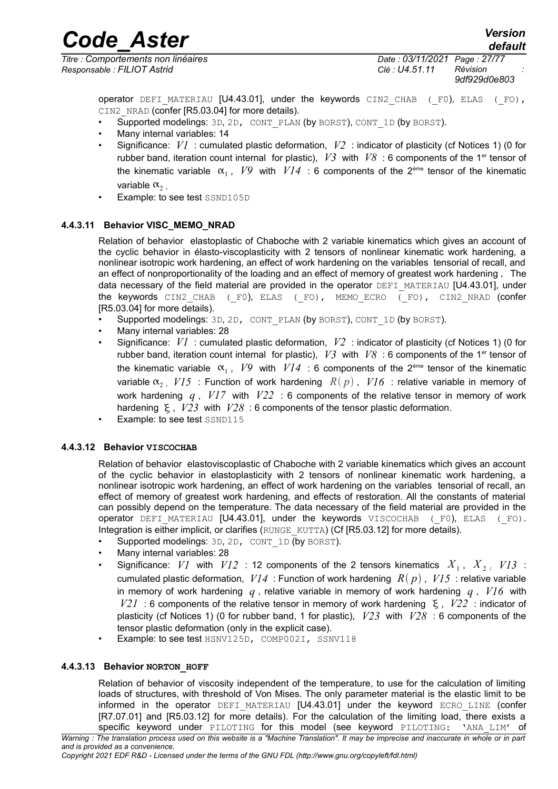*Titre : Comportements non linéaires Date : 03/11/2021 Page : 27/77 Responsable : FILIOT Astrid Clé : U4.51.11 Révision :*

*Code\_Aster Version default*

*9df929d0e803*

operator DEFI\_MATERIAU [U4.43.01], under the keywords CIN2 CHAB (F0), ELAS (FO), CIN2\_NRAD (confer IR5.03.041 for more details).

- Supported modelings: 3D, 2D, CONT\_PLAN (by BORST), CONT\_1D (by BORST).
- Many internal variables: 14
- Significance: *V1* : cumulated plastic deformation, *V2* : indicator of plasticity (cf Notices 1) (0 for rubber band, iteration count internal for plastic),  $V3$  with  $V8$  : 6 components of the 1<sup>er</sup> tensor of the kinematic variable  $\alpha_1$ ,  $V9$  with  $VI4$  : 6 components of the 2<sup>ème</sup> tensor of the kinematic variable  $\alpha$ ,
- Example: to see test SSND105D

#### **4.4.3.11 Behavior VISC\_MEMO\_NRAD**

<span id="page-26-2"></span>Relation of behavior elastoplastic of Chaboche with 2 variable kinematics which gives an account of the cyclic behavior in élasto-viscoplasticity with 2 tensors of nonlinear kinematic work hardening, a nonlinear isotropic work hardening, an effect of work hardening on the variables tensorial of recall, and an effect of nonproportionality of the loading and an effect of memory of greatest work hardening. The data necessary of the field material are provided in the operator DEFI\_MATERIAU [U4.43.01], under the keywords CIN2 CHAB (\_F0), ELAS (\_FO), MEMO\_ECRO (\_FO), CIN2\_NRAD (confer [R5.03.04] for more details).

- Supported modelings: 3D, 2D, CONT\_PLAN (by BORST), CONT\_1D (by BORST).
- Many internal variables: 28
- Significance: *V1* : cumulated plastic deformation, *V2* : indicator of plasticity (cf Notices 1) (0 for rubber band, iteration count internal for plastic),  $V3$  with  $V8$ : 6 components of the 1<sup>er</sup> tensor of the kinematic variable  $\alpha_1$ ,  $V9$  with  $VI4$  : 6 components of the 2<sup>ème</sup> tensor of the kinematic variable  $\alpha$ , *V15* : Function of work hardening  $R(p)$ , *V16* : relative variable in memory of work hardening *q* , *V17* with *V22* : 6 components of the relative tensor in memory of work hardening  $\epsilon$ ,  $V23$  with  $V28$ : 6 components of the tensor plastic deformation.
- Example: to see test SSND115

#### **4.4.3.12 Behavior VISCOCHAB**

<span id="page-26-1"></span>Relation of behavior elastoviscoplastic of Chaboche with 2 variable kinematics which gives an account of the cyclic behavior in elastoplasticity with 2 tensors of nonlinear kinematic work hardening, a nonlinear isotropic work hardening, an effect of work hardening on the variables tensorial of recall, an effect of memory of greatest work hardening, and effects of restoration. All the constants of material can possibly depend on the temperature. The data necessary of the field material are provided in the operator DEFI\_MATERIAU [U4.43.01], under the keywords VISCOCHAB (F0), ELAS (FO). Integration is either implicit, or clarifies (RUNGE\_KUTTA) (Cf [R5.03.12] for more details).

- Supported modelings:  $3D$ ,  $2D$ ,  $COMT$   $1D$  (by BORST).
- Many internal variables: 28
- Significance:  $VI$  with  $VI2$  : 12 components of the 2 tensors kinematics  $X_1$ ,  $X_2$ ,  $VI3$  : cumulated plastic deformation,  $VI4$ : Function of work hardening  $R(p)$ ,  $VI5$ : relative variable in memory of work hardening *q* , relative variable in memory of work hardening *q* , *V16* with  $V21$ : 6 components of the relative tensor in memory of work hardening  $\xi$ ,  $V22$ : indicator of plasticity (cf Notices 1) (0 for rubber band, 1 for plastic), *V23* with *V28* : 6 components of the tensor plastic deformation (only in the explicit case).
- Example: to see test HSNV125D, COMP002I, SSNV118

#### **4.4.3.13 Behavior NORTON\_HOFF**

<span id="page-26-0"></span>Relation of behavior of viscosity independent of the temperature, to use for the calculation of limiting loads of structures, with threshold of Von Mises. The only parameter material is the elastic limit to be informed in the operator DEFI MATERIAU [U4.43.01] under the keyword ECRO LINE (confer [R7.07.01] and [R5.03.12] for more details). For the calculation of the limiting load, there exists a specific keyword under PILOTING for this model (see keyword PILOTING: 'ANA\_LIM' of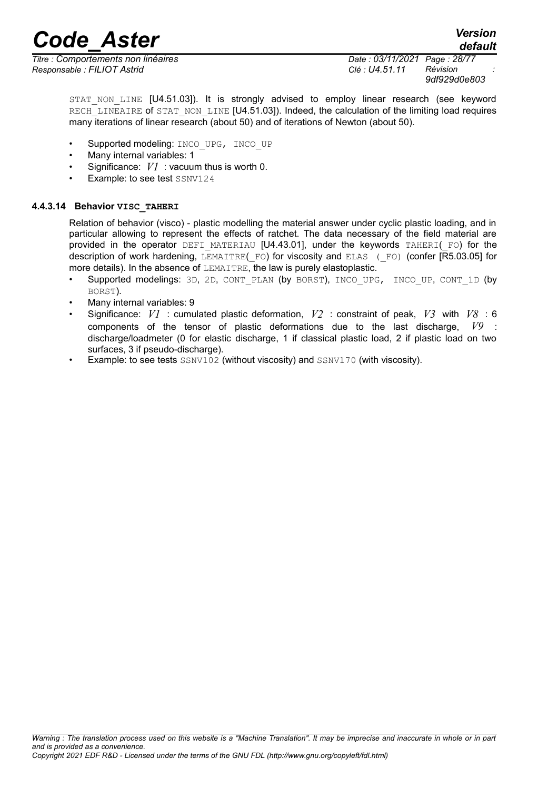*Titre : Comportements non linéaires Date : 03/11/2021 Page : 28/77 Responsable : FILIOT Astrid Clé : U4.51.11 Révision :*

*9df929d0e803*

STAT NON LINE [U4.51.03]). It is strongly advised to employ linear research (see keyword RECH<sub>LINEAIRE</sub> of STAT\_NON\_LINE [U4.51.03]). Indeed, the calculation of the limiting load requires many iterations of linear research (about 50) and of iterations of Newton (about 50).

- Supported modeling: INCO\_UPG, INCO\_UP
- Many internal variables: 1
- Significance: *V1* : vacuum thus is worth 0.
- Example: to see test SSNV124

#### **4.4.3.14 Behavior VISC\_TAHERI**

<span id="page-27-0"></span>Relation of behavior (visco) - plastic modelling the material answer under cyclic plastic loading, and in particular allowing to represent the effects of ratchet. The data necessary of the field material are provided in the operator DEFI\_MATERIAU  $[U4.43.01]$ , under the keywords TAHERI( $F$ O) for the description of work hardening, LEMAITRE(FO) for viscosity and ELAS (FO) (confer [R5.03.05] for more details). In the absence of LEMAITRE, the law is purely elastoplastic.

- Supported modelings: 3D, 2D, CONT\_PLAN (by BORST), INCO\_UPG, INCO\_UP, CONT\_1D (by BORST).
- Many internal variables: 9
- Significance: *V1* : cumulated plastic deformation, *V2* : constraint of peak, *V3* with *V8* : 6 components of the tensor of plastic deformations due to the last discharge, *V9* : discharge/loadmeter (0 for elastic discharge, 1 if classical plastic load, 2 if plastic load on two surfaces, 3 if pseudo-discharge).
- Example: to see tests SSNV102 (without viscosity) and SSNV170 (with viscosity).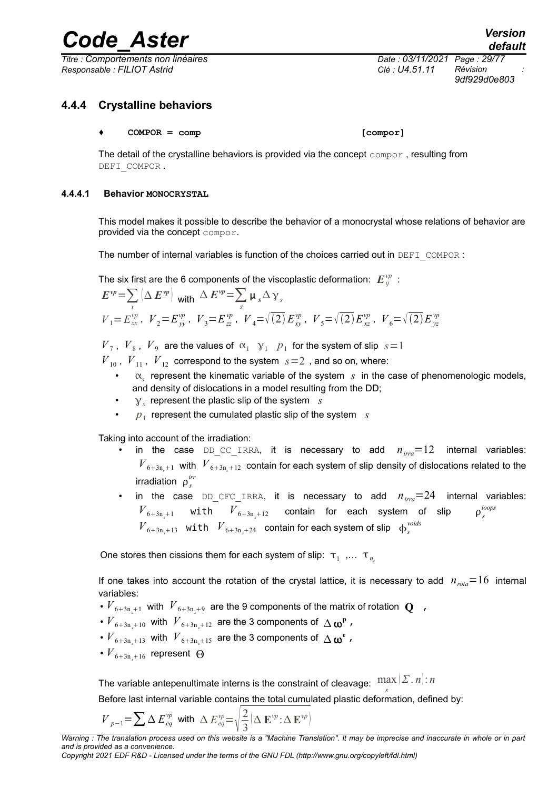*Titre : Comportements non linéaires Date : 03/11/2021 Page : 29/77 Responsable : FILIOT Astrid Clé : U4.51.11 Révision :*

*9df929d0e803*

#### **4.4.4 Crystalline behaviors**

#### <span id="page-28-1"></span>**♦ COMPOR = comp [compor]**

The detail of the crystalline behaviors is provided via the concept compor , resulting from DEFI\_COMPOR.

#### **4.4.4.1 Behavior MONOCRYSTAL**

<span id="page-28-0"></span>This model makes it possible to describe the behavior of a monocrystal whose relations of behavior are provided via the concept compor.

The number of internal variables is function of the choices carried out in DEFI\_COMPOR :

The six first are the 6 components of the viscoplastic deformation:  $\boldsymbol{E}^{\nu p}_{ij}$  :

$$
E^{vp} = \sum_{t} (\Delta E^{vp})_{\text{with}} \Delta E^{vp} = \sum_{s} \mu_s \Delta \gamma_s
$$
  
\n
$$
V_1 = E^{vp}_{xx}, \quad V_2 = E^{vp}_{yy}, \quad V_3 = E^{vp}_{zz}, \quad V_4 = \sqrt{(2)} E^{vp}_{xy}, \quad V_5 = \sqrt{(2)} E^{vp}_{xz}, \quad V_6 = \sqrt{(2)} E^{vp}_{yz}
$$

 $V_7$ ,  $V_8$ ,  $V_9$  are the values of  $\alpha_1 \gamma_1$   $p_1$  for the system of slip  $s=1$ 

 $V_{10}$ ,  $V_{11}$ ,  $V_{12}$  correspond to the system  $s=2$ , and so on, where:

- $\alpha_{s}$  represent the kinematic variable of the system *s* in the case of phenomenologic models, and density of dislocations in a model resulting from the DD;
- *y<sub>s</sub>* represent the plastic slip of the system *s*
- $p_1$  represent the cumulated plastic slip of the system  $s$

Taking into account of the irradiation:

- in the case DD CC IRRA, it is necessary to add  $n_{irra}=12$  internal variables:  $V_{6+3n+1}$  with  $V_{6+3n+12}$  contain for each system of slip density of dislocations related to the irradiation  $\rho_s^{irr}$
- in the case DD CFC IRRA, it is necessary to add  $n_{irra}=24$  internal variables:  $V_{6+3n+1}$  with  $V_{6+3n+12}$  contain for each system of slip  $\rho_s^{loops}$  $V_{6+3n_s+13}$  with  $V_{6+3n_s+24}$  contain for each system of slip  $\phi_s^{voids}$

One stores then cissions them for each system of slip:  $\tau_1$  ,...  $\tau_{\eta_s}$ 

If one takes into account the rotation of the crystal lattice, it is necessary to add  $n_{\text{rot}} = 16$  internal variables:

- $\overline{V}_{6+3n_s+1}$  with  $\overline{V}_{6+3n_s+9}$  are the 9 components of the matrix of rotation  $\overline{\mathbf{Q}}$  ,
- $V_{6+3n_s+10}$  with  $V_{6+3n_s+12}$  are the 3 components of  $\Delta \omega^p$  ,
- $V_{6+3n_s+13}$  with  $V_{6+3n_s+15}$  are the 3 components of  $\Delta \omega^e$ ,
- $V_{6+3n+16}$  represent  $\Theta$

The variable antepenultimate interns is the constraint of cleavage:  $\, \max_{s} \,$ *Σ* . *n* : *n*

Before last internal variable contains the total cumulated plastic deformation, defined by:

$$
V_{p-1} = \sum \Delta E_{eq}^{vp} \text{ with } \Delta E_{eq}^{vp} = \sqrt{\frac{2}{3} \left( \Delta \mathbf{E}^{vp} \cdot \Delta \mathbf{E}^{vp} \right)}
$$

*Copyright 2021 EDF R&D - Licensed under the terms of the GNU FDL (http://www.gnu.org/copyleft/fdl.html)*

*Warning : The translation process used on this website is a "Machine Translation". It may be imprecise and inaccurate in whole or in part and is provided as a convenience.*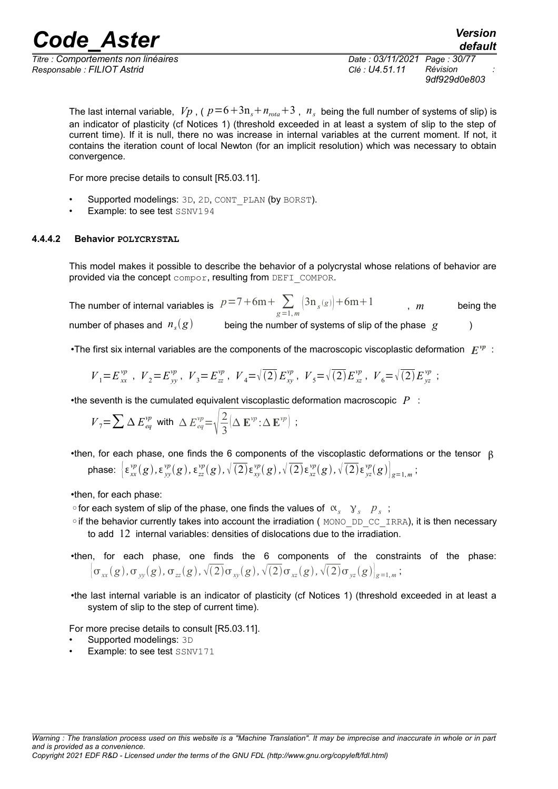*Titre : Comportements non linéaires Date : 03/11/2021 Page : 30/77 Responsable : FILIOT Astrid Clé : U4.51.11 Révision :*

*9df929d0e803*

*default*

The last internal variable,  $\ V{p}$  , (  $p\!=\!6\!+\!3\text{n}_s\!+\!n_{\textit{rot}a}\!+\!3$  ,  $\ n_{\textit{s}}$  being the full number of systems of slip) is an indicator of plasticity (cf Notices 1) (threshold exceeded in at least a system of slip to the step of current time). If it is null, there no was increase in internal variables at the current moment. If not, it contains the iteration count of local Newton (for an implicit resolution) which was necessary to obtain convergence.

For more precise details to consult [R5.03.11].

- Supported modelings: 3D, 2D, CONT\_PLAN (by BORST).
- <span id="page-29-0"></span>Example: to see test SSNV194

#### **4.4.4.2 Behavior POLYCRYSTAL**

This model makes it possible to describe the behavior of a polycrystal whose relations of behavior are provided via the concept compor, resulting from DEFI\_COMPOR.

The number of internal variables is  $p=7+6m+\sum\limits_{g=1,m}^{\infty}\left(3\text{n}_s(s)\right)+6m+1$  , m being the number of phases and  $n_s(g)$ *being the number of systems of slip of the phase*  $\lvert g \rvert$  *(b)* 

•The first six internal variables are the components of the macroscopic viscoplastic deformation  $|E^{vp}|$ :

$$
\label{eq:V1} V_1\hspace{-0.1cm}=\hspace{-0.1cm}E^{\,\nu p}_{\,\,xx} \;\;,\;\; V_2\hspace{-0.1cm}=\hspace{-0.1cm}E^{\,\nu p}_{\,\,yy} \;,\;\; V_3\hspace{-0.1cm}=\hspace{-0.1cm}E^{\,\nu p}_{\,\,zz} \;,\;\; V_4\hspace{-0.1cm}=\hspace{-0.1cm}\sqrt{\,(2)\,}E^{\,\nu p}_{\,\,xy} \;,\;\; V_5\hspace{-0.1cm}=\hspace{-0.1cm}\sqrt{\,(2)\,}E^{\,\nu p}_{\,\,xz} \; \;;\;\;
$$

•the seventh is the cumulated equivalent viscoplastic deformation macroscopic *P* :

$$
V_7 = \sum \Delta E_{eq}^{vp} \text{ with } \Delta E_{eq}^{vp} = \sqrt{\frac{2}{3}} \big[ \Delta \mathbf{E}^{vp} \cdot \Delta \mathbf{E}^{vp} \big]
$$
;

•then, for each phase, one finds the 6 components of the viscoplastic deformations or the tensor  $\beta$ phase:  $\left[\,\epsilon^{vp}_{xx}(g),\epsilon^{vp}_{yy}(g),\epsilon^{vp}_{zz}(g),\sqrt[\ell]{(2)}\epsilon^{vp}_{xy}(g),\sqrt[\ell]{(2)}\epsilon^{vp}_{xz}(g),\sqrt[\ell]{(2)}\epsilon^{vp}_{yz}(g)\right]_{g=1,m};$ 

•then, for each phase:

 $\circ$  for each system of slip of the phase, one finds the values of  $\alpha_s$   $\gamma_s$   $\gamma_s$  ;

- ◦if the behavior currently takes into account the irradiation ( MONO\_DD\_CC\_IRRA), it is then necessary to add 12 internal variables: densities of dislocations due to the irradiation.
- •then, for each phase, one finds the 6 components of the constraints of the phase:  $\big\{\sigma_{_{\cal X\!X}}(g),\sigma_{_{\cal Y\!Y}}(g),\sigma_{_{\cal Z\!Z}}(g),\surd(2)\sigma_{_{\cal X\!Y}}(g),\surd(2)\sigma_{_{\cal X\!Z}}(g),\surd(2)\sigma_{_{\cal Y\!Z}}(g)\big\vert_{g=1,\,m}\,;$
- •the last internal variable is an indicator of plasticity (cf Notices 1) (threshold exceeded in at least a system of slip to the step of current time).

For more precise details to consult [R5.03.11].

- Supported modelings: 3D
- **Example: to see test SSNV171**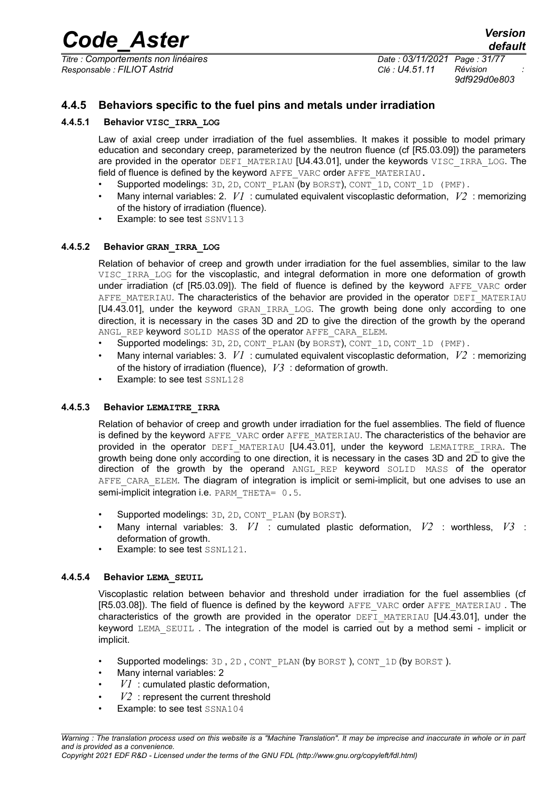*Titre : Comportements non linéaires Date : 03/11/2021 Page : 31/77 Responsable : FILIOT Astrid Clé : U4.51.11 Révision :*

*default*

*9df929d0e803*

#### **4.4.5 Behaviors specific to the fuel pins and metals under irradiation**

#### **4.4.5.1 Behavior VISC\_IRRA\_LOG**

<span id="page-30-4"></span><span id="page-30-3"></span>Law of axial creep under irradiation of the fuel assemblies. It makes it possible to model primary education and secondary creep, parameterized by the neutron fluence (cf [R5.03.09]) the parameters are provided in the operator DEFI\_MATERIAU [U4.43.01], under the keywords VISC\_IRRA\_LOG. The field of fluence is defined by the keyword AFFE\_VARC order AFFE\_MATERIAU.

- Supported modelings: 3D, 2D, CONT\_PLAN (by BORST), CONT\_1D, CONT\_1D (PMF).
- Many internal variables: 2. *V1* : cumulated equivalent viscoplastic deformation, *V2* : memorizing of the history of irradiation (fluence).
- Example: to see test SSNV113

#### **4.4.5.2 Behavior GRAN\_IRRA\_LOG**

<span id="page-30-2"></span>Relation of behavior of creep and growth under irradiation for the fuel assemblies, similar to the law VISC IRRA LOG for the viscoplastic, and integral deformation in more one deformation of growth under irradiation (cf [R5.03.09]). The field of fluence is defined by the keyword AFFE VARC order AFFE\_MATERIAU. The characteristics of the behavior are provided in the operator DEFI\_MATERIAU [U4.43.01], under the keyword GRAN IRRA LOG. The growth being done only according to one direction, it is necessary in the cases 3D and 2D to give the direction of the growth by the operand ANGL REP keyword SOLID MASS of the operator AFFE CARA ELEM.

- Supported modelings: 3D, 2D, CONT PLAN (by BORST), CONT 1D, CONT 1D (PMF).
- Many internal variables: 3. *V1* : cumulated equivalent viscoplastic deformation, *V2* : memorizing of the history of irradiation (fluence), *V3* : deformation of growth.
- Example: to see test SSNL128

#### **4.4.5.3 Behavior LEMAITRE\_IRRA**

<span id="page-30-1"></span>Relation of behavior of creep and growth under irradiation for the fuel assemblies. The field of fluence is defined by the keyword AFFE\_VARC order AFFE\_MATERIAU. The characteristics of the behavior are provided in the operator  $DEFi$  MATERIAU (U4.43.01), under the keyword LEMAITRE IRRA. The growth being done only according to one direction, it is necessary in the cases 3D and 2D to give the direction of the growth by the operand ANGL\_REP keyword SOLID MASS of the operator AFFE\_CARA\_ELEM. The diagram of integration is implicit or semi-implicit, but one advises to use an semi-implicit integration i.e. PARM\_THETA= 0.5.

- Supported modelings: 3D, 2D, CONT PLAN (by BORST).
- Many internal variables: 3. *V1* : cumulated plastic deformation, *V2* : worthless, *V3* : deformation of growth.
- Example: to see test SSNL121.

#### **4.4.5.4 Behavior LEMA\_SEUIL**

<span id="page-30-0"></span>Viscoplastic relation between behavior and threshold under irradiation for the fuel assemblies (cf [R5.03.08]). The field of fluence is defined by the keyword AFFE\_VARC order AFFE\_MATERIAU. The characteristics of the growth are provided in the operator DEFI MATERIAU [U4.43.01], under the keyword LEMA\_SEUIL . The integration of the model is carried out by a method semi - implicit or implicit.

- Supported modelings: 3D, 2D, CONT PLAN (by BORST), CONT 1D (by BORST).
- Many internal variables: 2
- *V1* : cumulated plastic deformation,
- $V2$ : represent the current threshold
- Example: to see test SSNA104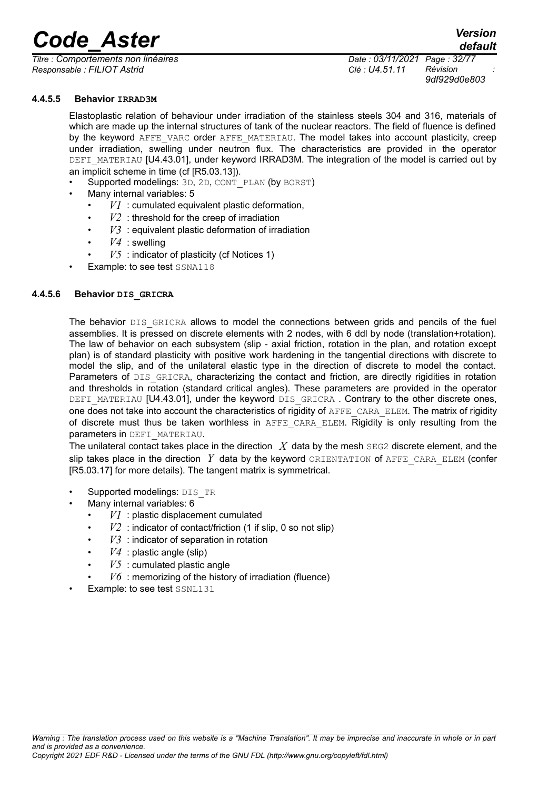*Titre : Comportements non linéaires Date : 03/11/2021 Page : 32/77 Responsable : FILIOT Astrid Clé : U4.51.11 Révision :*

*9df929d0e803*

*default*

#### **4.4.5.5 Behavior IRRAD3M**

<span id="page-31-1"></span>Elastoplastic relation of behaviour under irradiation of the stainless steels 304 and 316, materials of which are made up the internal structures of tank of the nuclear reactors. The field of fluence is defined by the keyword AFFE VARC order AFFE\_MATERIAU. The model takes into account plasticity, creep under irradiation, swelling under neutron flux. The characteristics are provided in the operator DEFI\_MATERIAU [U4.43.01], under keyword IRRAD3M. The integration of the model is carried out by an implicit scheme in time (cf [R5.03.13]).

- Supported modelings: 3D, 2D, CONT\_PLAN (by BORST)
- Many internal variables: 5
	- $VI$ : cumulated equivalent plastic deformation,
	- $V2$ : threshold for the creep of irradiation
	- $V3$  : equivalent plastic deformation of irradiation
	- $V4$  : swelling
	- $V5$ : indicator of plasticity (cf Notices 1)
- <span id="page-31-0"></span>Example: to see test SSNA118

#### **4.4.5.6 Behavior DIS\_GRICRA**

The behavior DIS GRICRA allows to model the connections between grids and pencils of the fuel assemblies. It is pressed on discrete elements with 2 nodes, with 6 ddl by node (translation+rotation). The law of behavior on each subsystem (slip - axial friction, rotation in the plan, and rotation except plan) is of standard plasticity with positive work hardening in the tangential directions with discrete to model the slip, and of the unilateral elastic type in the direction of discrete to model the contact. Parameters of DIS\_GRICRA, characterizing the contact and friction, are directly rigidities in rotation and thresholds in rotation (standard critical angles). These parameters are provided in the operator DEFI\_MATERIAU [U4.43.01], under the keyword DIS\_GRICRA. Contrary to the other discrete ones, one does not take into account the characteristics of rigidity of AFFE\_CARA\_ELEM. The matrix of rigidity of discrete must thus be taken worthless in AFFE CARA ELEM. Rigidity is only resulting from the parameters in DEFI\_MATERIAU.

The unilateral contact takes place in the direction *X* data by the mesh SEG2 discrete element, and the slip takes place in the direction *Y* data by the keyword ORIENTATION of AFFE\_CARA\_ELEM (confer [R5.03.17] for more details). The tangent matrix is symmetrical.

- Supported modelings: DIS\_TR
- Many internal variables: 6
	- $VI$ : plastic displacement cumulated
	- $V2$ : indicator of contact/friction (1 if slip, 0 so not slip)
	- $V3$ : indicator of separation in rotation
	- $V4$ : plastic angle (slip)
	- $V5$ : cumulated plastic angle
	- $V6$ : memorizing of the history of irradiation (fluence)
- Example: to see test SSNL131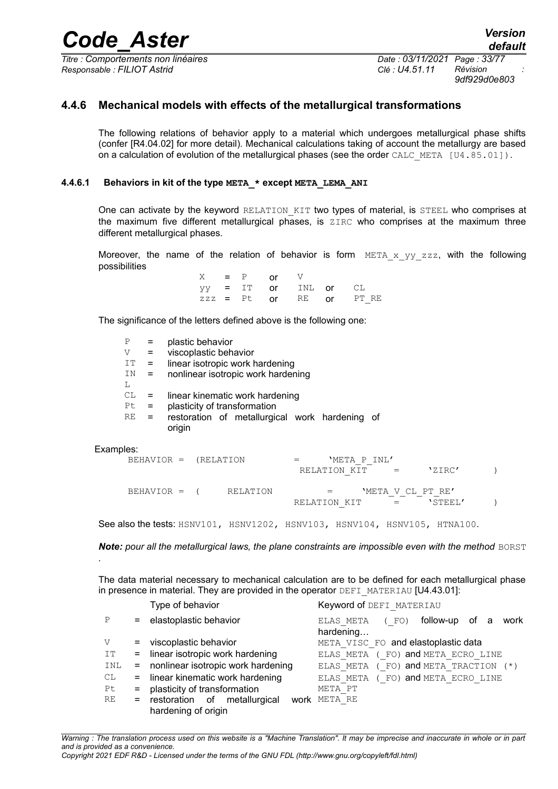*Titre : Comportements non linéaires Date : 03/11/2021 Page : 33/77 Responsable : FILIOT Astrid Clé : U4.51.11 Révision :*

*9df929d0e803*

#### **4.4.6 Mechanical models with effects of the metallurgical transformations**

<span id="page-32-1"></span>The following relations of behavior apply to a material which undergoes metallurgical phase shifts (confer [R4.04.02] for more detail). Mechanical calculations taking of account the metallurgy are based on a calculation of evolution of the metallurgical phases (see the order CALC\_META [U4.85.01]).

#### **4.4.6.1 Behaviors in kit of the type META\_\* except META\_LEMA\_ANI**

<span id="page-32-0"></span>One can activate by the keyword RELATION KIT two types of material, is STEEL who comprises at the maximum five different metallurgical phases, is ZIRC who comprises at the maximum three different metallurgical phases.

Moreover, the name of the relation of behavior is form  $META \times yy \;zzz$ , with the following possibilities

|  | $X = P$ or $V$ |                      |                           |
|--|----------------|----------------------|---------------------------|
|  |                | yy = IT or INL or CL |                           |
|  |                |                      | $zzz = Pt$ or RE or PT RE |

The significance of the letters defined above is the following one:

|           | P<br>V<br>IT.<br>ΙN<br>L | =<br>$=$<br>$=$<br>$=$ |        | plastic behavior<br>viscoplastic behavior | linear isotropic work hardening<br>nonlinear isotropic work hardening                                             |              |              |                   |         |  |
|-----------|--------------------------|------------------------|--------|-------------------------------------------|-------------------------------------------------------------------------------------------------------------------|--------------|--------------|-------------------|---------|--|
|           | СL<br>Pt.<br>RE          | Ξ<br>$\equiv$<br>$=$   | origin |                                           | linear kinematic work hardening<br>plasticity of transformation<br>restoration of metallurgical work hardening of |              |              |                   |         |  |
| Examples: |                          | $BEHAVIOR =$           |        | (RELATION                                 |                                                                                                                   | RELATION KIT | 'META P INL' |                   | 'ZIRC'  |  |
|           |                          | BEHAVIOR =             |        |                                           | RELATION                                                                                                          | RELATION KIT |              | 'META V CL PT RE' | 'STEEL' |  |

See also the tests: HSNV101, HSNV1202, HSNV103, HSNV104, HSNV105, HTNA100.

**Note:** pour all the metallurgical laws, the plane constraints are impossible even with the method BORST *.*

The data material necessary to mechanical calculation are to be defined for each metallurgical phase in presence in material. They are provided in the operator DEFI\_MATERIAU [U4.43.01]:

|     |         | Type of behavior                   | Keyword of DEFI MATERIAU                                    |
|-----|---------|------------------------------------|-------------------------------------------------------------|
| P   |         | = elastoplastic behavior           | follow-up<br>of a<br>work<br>ELAS META<br>(FO)<br>hardening |
| V   | $=$ $-$ | viscoplastic behavior              | META VISC FO and elastoplastic data                         |
| ΙT  | $=$     | linear isotropic work hardening    | ELAS META ( FO) and META ECRO LINE                          |
| INL | $=$     | nonlinear isotropic work hardening | ELAS META (FO) and META TRACTION (*)                        |
| CL  |         | = linear kinematic work hardening  | ELAS META ( FO) and META ECRO LINE                          |
| Pt. | $=$     | plasticity of transformation       | META PT                                                     |
| RE  |         | = restoration of metallurgical     | <b>work</b> META RE                                         |
|     |         | hardening of origin                |                                                             |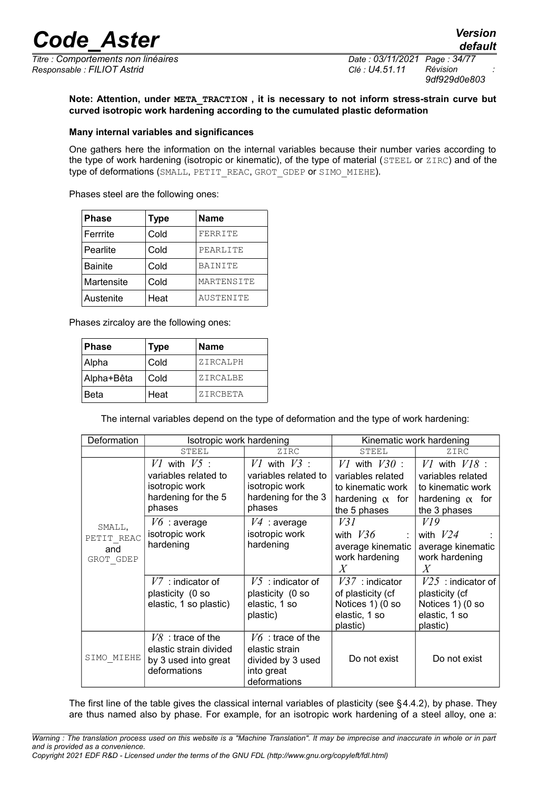*Titre : Comportements non linéaires Date : 03/11/2021 Page : 34/77 Responsable : FILIOT Astrid Clé : U4.51.11 Révision :*

*9df929d0e803*

*default*

**Note: Attention, under META\_TRACTION , it is necessary to not inform stress-strain curve but curved isotropic work hardening according to the cumulated plastic deformation**

#### **Many internal variables and significances**

One gathers here the information on the internal variables because their number varies according to the type of work hardening (isotropic or kinematic), of the type of material (STEEL or ZIRC) and of the type of deformations (SMALL, PETIT\_REAC, GROT\_GDEP or SIMO\_MIEHE).

Phases steel are the following ones:

| <b>Phase</b>   | <b>Type</b> | <b>Name</b> |
|----------------|-------------|-------------|
| Ferrrite       | Cold        | FERRITE     |
| Pearlite       | Cold        | PEARLITE    |
| <b>Bainite</b> | Cold        | BAINITE     |
| Martensite     | Cold        | MARTENSITE  |
| Austenite      | Heat        | AUSTENITE   |

Phases zircaloy are the following ones:

| <b>Phase</b> | Type | Name     |
|--------------|------|----------|
| Alpha        | Cold | ZIRCALPH |
| Alpha+Bêta   | Cold | ZIRCALBE |
| Beta         | Heat | ZIRCBETA |

The internal variables depend on the type of deformation and the type of work hardening:

| Deformation                              | Isotropic work hardening                                                                    |                                                                                             | Kinematic work hardening                                                                              |                                                                                                       |
|------------------------------------------|---------------------------------------------------------------------------------------------|---------------------------------------------------------------------------------------------|-------------------------------------------------------------------------------------------------------|-------------------------------------------------------------------------------------------------------|
|                                          | STEEL                                                                                       | ZIRC                                                                                        | STEEL                                                                                                 | ZIRC                                                                                                  |
| SMALL,<br>PETIT REAC<br>and<br>GROT GDEP | $VI$ with $V5$ :<br>variables related to<br>isotropic work<br>hardening for the 5<br>phases | $VI$ with $V3$ :<br>variables related to<br>isotropic work<br>hardening for the 3<br>phases | $VI$ with $V30$ :<br>variables related<br>to kinematic work<br>hardening $\alpha$ for<br>the 5 phases | $VI$ with $VI8$ :<br>variables related<br>to kinematic work<br>hardening $\alpha$ for<br>the 3 phases |
|                                          | $V6$ : average<br>isotropic work<br>hardening                                               | $V4$ : average<br>isotropic work<br>hardening                                               | V31<br>with $V36$<br>average kinematic<br>work hardening<br>X                                         | VI9<br>with $V24$<br>average kinematic<br>work hardening<br>X                                         |
|                                          | $V7$ : indicator of<br>plasticity (0 so<br>elastic, 1 so plastic)                           | $V5$ : indicator of<br>plasticity (0 so<br>elastic, 1 so<br>plastic)                        | $V37$ : indicator<br>of plasticity (cf<br>Notices 1) (0 so<br>elastic, 1 so<br>plastic)               | $V25$ : indicator of<br>plasticity (cf<br>Notices 1) (0 so<br>elastic, 1 so<br>plastic)               |
| SIMO MIEHE                               | $V8$ : trace of the<br>elastic strain divided<br>by 3 used into great<br>deformations       | $V6$ : trace of the<br>elastic strain<br>divided by 3 used<br>into great<br>deformations    | Do not exist                                                                                          | Do not exist                                                                                          |

The first line of the table gives the classical internal variables of plasticity (see §[4.4.2\)](#page-14-4), by phase. They are thus named also by phase. For example, for an isotropic work hardening of a steel alloy, one a: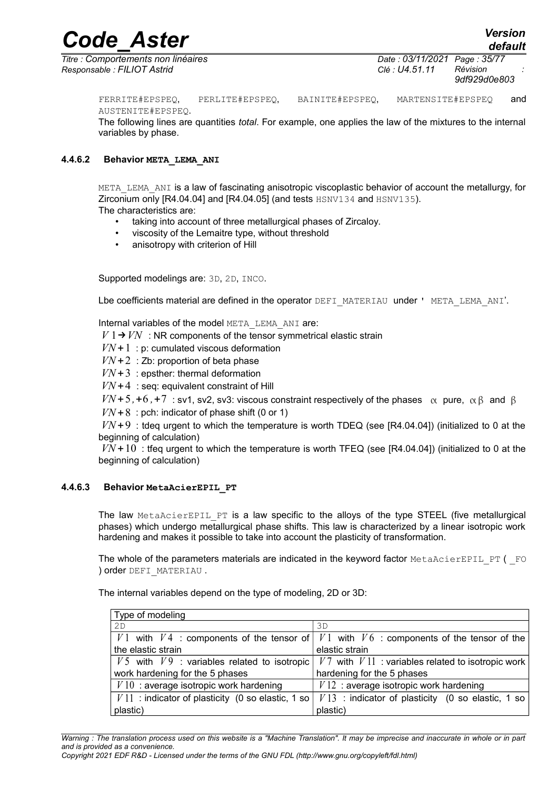*Code\_Aster Version default*

*Titre : Comportements non linéaires Date : 03/11/2021 Page : 35/77 Responsable : FILIOT Astrid Clé : U4.51.11 Révision :*

*9df929d0e803*

FERRITE#EPSPEQ, PERLITE#EPSPEQ, BAINITE#EPSPEQ, MARTENSITE#EPSPEQ and

AUSTENITE#EPSPEQ.

The following lines are quantities *total*. For example, one applies the law of the mixtures to the internal variables by phase.

#### **4.4.6.2 Behavior META\_LEMA\_ANI**

<span id="page-34-1"></span>META LEMA ANI is a law of fascinating anisotropic viscoplastic behavior of account the metallurgy, for Zirconium only [R4.04.04] and [R4.04.05] (and tests HSNV134 and HSNV135). The characteristics are:

- taking into account of three metallurgical phases of Zircaloy.
- viscosity of the Lemaitre type, without threshold
- anisotropy with criterion of Hill

Supported modelings are: 3D, 2D, INCO.

Lbe coefficients material are defined in the operator DEFI\_MATERIAU under ' META\_LEMA\_ANI'.

Internal variables of the model META LEMA ANI are:

 $V1 \rightarrow VN$  : NR components of the tensor symmetrical elastic strain

 $VN+1$ : p: cumulated viscous deformation

 $VN + 2$ : Zb: proportion of beta phase

*: epsther: thermal deformation* 

 $VN+4$ : seq: equivalent constraint of Hill

 $VN+5$ , +6, +7 : sv1, sv2, sv3: viscous constraint respectively of the phases  $\alpha$  pure,  $\alpha\beta$  and  $\beta$ 

 $VN+8$ : pch: indicator of phase shift (0 or 1)

*VN*+9 : tdeq urgent to which the temperature is worth TDEQ (see [R4.04.04]) (initialized to 0 at the beginning of calculation)

 $VN + 10$ : tfeq urgent to which the temperature is worth TFEQ (see [R4.04.04]) (initialized to 0 at the beginning of calculation)

#### **4.4.6.3 Behavior MetaAcierEPIL\_PT**

<span id="page-34-0"></span>The law MetaAcierEPIL PT is a law specific to the alloys of the type STEEL (five metallurgical phases) which undergo metallurgical phase shifts. This law is characterized by a linear isotropic work hardening and makes it possible to take into account the plasticity of transformation.

The whole of the parameters materials are indicated in the keyword factor  $MetAACierEPIL$  PT (  $FO$ ) order DEFI\_MATERIAU .

The internal variables depend on the type of modeling, 2D or 3D:

| Type of modeling                                    |                                                                                             |  |  |
|-----------------------------------------------------|---------------------------------------------------------------------------------------------|--|--|
| 2D                                                  | 3D                                                                                          |  |  |
|                                                     | V 1 with V 4 : components of the tensor of   V 1 with V 6 : components of the tensor of the |  |  |
| the elastic strain                                  | elastic strain                                                                              |  |  |
| $V5$ with $V9$ : variables related to isotropic     | $V7$ with $V11$ : variables related to isotropic work                                       |  |  |
| work hardening for the 5 phases                     | hardening for the 5 phases                                                                  |  |  |
| $V10$ : average isotropic work hardening            | $V12$ : average isotropic work hardening                                                    |  |  |
| $V11$ : indicator of plasticity (0 so elastic, 1 so | $V13$ : indicator of plasticity (0 so elastic, 1 so                                         |  |  |
| plastic)                                            | plastic)                                                                                    |  |  |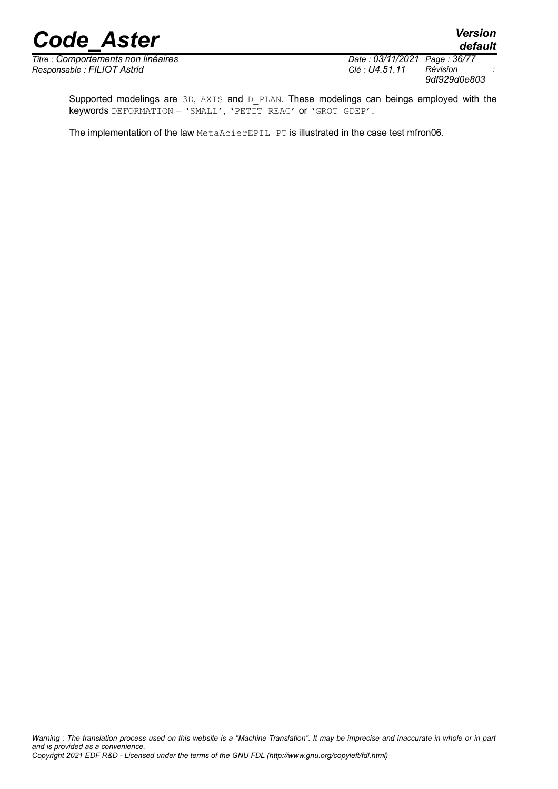*Titre : Comportements non linéaires Date : 03/11/2021 Page : 36*<br>*Responsable : FILIOT Astrid Clé : U4.51.11 Révision Responsable : FILIOT Astrid Clé : U4.51.11 Révision :*

*default 9df929d0e803*

Supported modelings are 3D, AXIS and D\_PLAN. These modelings can beings employed with the keywords DEFORMATION = 'SMALL', 'PETIT\_REAC' or 'GROT\_GDEP'.

The implementation of the law MetaAcierEPIL PT is illustrated in the case test mfron06.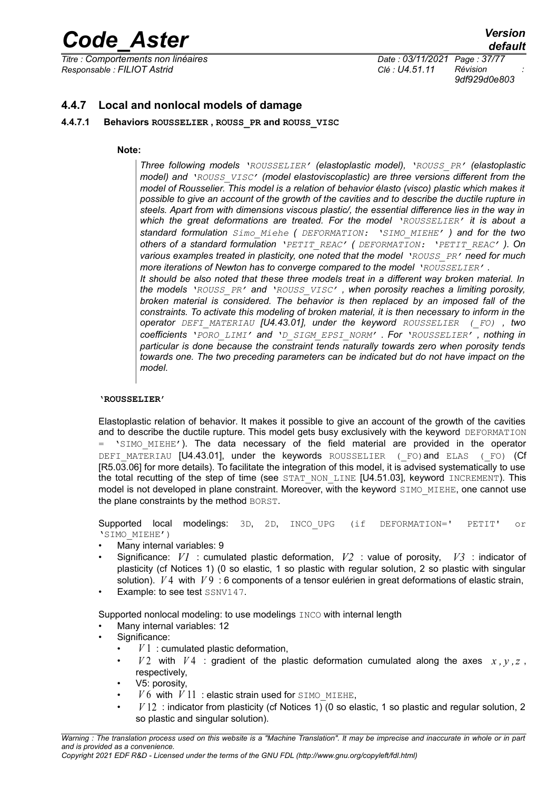*Titre : Comportements non linéaires Date : 03/11/2021 Page : 37/77 Responsable : FILIOT Astrid Clé : U4.51.11 Révision :*

*9df929d0e803*

# **4.4.7 Local and nonlocal models of damage**

# **4.4.7.1 Behaviors ROUSSELIER , ROUSS\_PR and ROUSS\_VISC**

#### **Note:**

*Three following models 'ROUSSELIER' (elastoplastic model), 'ROUSS\_PR' (elastoplastic model) and 'ROUSS\_VISC' (model elastoviscoplastic) are three versions different from the model of Rousselier. This model is a relation of behavior élasto (visco) plastic which makes it possible to give an account of the growth of the cavities and to describe the ductile rupture in steels. Apart from with dimensions viscous plastic/, the essential difference lies in the way in which the great deformations are treated. For the model 'ROUSSELIER' it is about a standard formulation Simo\_Miehe ( DEFORMATION: 'SIMO\_MIEHE' ) and for the two others of a standard formulation 'PETIT\_REAC' ( DEFORMATION: 'PETIT\_REAC' ). On various examples treated in plasticity, one noted that the model 'ROUSS\_PR' need for much more iterations of Newton has to converge compared to the model 'ROUSSELIER' .*

*It should be also noted that these three models treat in a different way broken material. In the models 'ROUSS\_PR' and 'ROUSS\_VISC' , when porosity reaches a limiting porosity, broken material is considered. The behavior is then replaced by an imposed fall of the constraints. To activate this modeling of broken material, it is then necessary to inform in the operator DEFI\_MATERIAU [U4.43.01], under the keyword ROUSSELIER (\_FO) , two coefficients 'PORO\_LIMI' and 'D\_SIGM\_EPSI\_NORM' . For 'ROUSSELIER' , nothing in particular is done because the constraint tends naturally towards zero when porosity tends towards one. The two preceding parameters can be indicated but do not have impact on the model.*

#### **'ROUSSELIER'**

Elastoplastic relation of behavior. It makes it possible to give an account of the growth of the cavities and to describe the ductile rupture. This model gets busy exclusively with the keyword DEFORMATION  $=$  'SIMO MIEHE'). The data necessary of the field material are provided in the operator DEFI\_MATERIAU [U4.43.01], under the keywords ROUSSELIER (FO)and ELAS (FO) (Cf [R5.03.06] for more details). To facilitate the integration of this model, it is advised systematically to use the total recutting of the step of time (see STAT NON LINE [U4.51.03], keyword INCREMENT). This model is not developed in plane constraint. Moreover, with the keyword SIMO MIEHE, one cannot use the plane constraints by the method BORST.

Supported local modelings: 3D, 2D, INCO\_UPG (if DEFORMATION=' PETIT' or 'SIMO\_MIEHE')

- Many internal variables: 9
- Significance: *V1* : cumulated plastic deformation, *V2* : value of porosity, *V3* : indicator of plasticity (cf Notices 1) (0 so elastic, 1 so plastic with regular solution, 2 so plastic with singular solution). *V* 4 with *V* 9:6 components of a tensor eulérien in great deformations of elastic strain,
- Example: to see test SSNV147.

Supported nonlocal modeling: to use modelings INCO with internal length

- Many internal variables: 12
- Significance:
	- $\bullet$   $V1$  : cumulated plastic deformation,
	- $V2$  with  $V4$  : gradient of the plastic deformation cumulated along the axes  $x, y, z$ , respectively,
	- V5: porosity,
	- $V6$  with  $V11$ : elastic strain used for SIMO\_MIEHE,
	- *V* 12 : indicator from plasticity (cf Notices 1) (0 so elastic, 1 so plastic and regular solution, 2 so plastic and singular solution).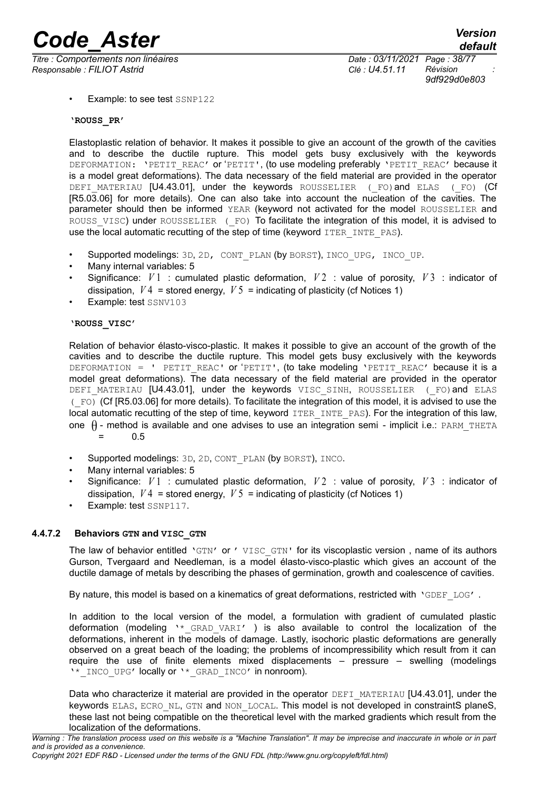*Titre : Comportements non linéaires Date : 03/11/2021 Page : 38/77 Responsable : FILIOT Astrid Clé : U4.51.11 Révision :*

*9df929d0e803*

Example: to see test SSNP122

**'ROUSS\_PR'**

Elastoplastic relation of behavior. It makes it possible to give an account of the growth of the cavities and to describe the ductile rupture. This model gets busy exclusively with the keywords DEFORMATION: 'PETIT\_REAC' or 'PETIT', (to use modeling preferably 'PETIT\_REAC' because it is a model great deformations). The data necessary of the field material are provided in the operator DEFI\_MATERIAU [U4.43.01], under the keywords ROUSSELIER (\_FO)and ELAS (\_FO) (Cf [R5.03.06] for more details). One can also take into account the nucleation of the cavities. The parameter should then be informed YEAR (keyword not activated for the model ROUSSELIER and ROUSS VISC) under ROUSSELIER (FO) To facilitate the integration of this model, it is advised to use the local automatic recutting of the step of time (keyword  $ITER$  INTE\_PAS).

- Supported modelings: 3D, 2D, CONT\_PLAN (by BORST), INCO\_UPG, INCO\_UP.
- Many internal variables: 5
- Significance: *V* 1 : cumulated plastic deformation, *V* 2 : value of porosity, *V* 3 : indicator of dissipation,  $V4$  = stored energy,  $V5$  = indicating of plasticity (cf Notices 1)
- Example: test SSNV103

#### **'ROUSS\_VISC'**

Relation of behavior élasto-visco-plastic. It makes it possible to give an account of the growth of the cavities and to describe the ductile rupture. This model gets busy exclusively with the keywords DEFORMATION = ' PETIT\_REAC' or 'PETIT', (to take modeling 'PETIT\_REAC' because it is a model great deformations). The data necessary of the field material are provided in the operator DEFI MATERIAU [U4.43.01], under the keywords VISC SINH, ROUSSELIER (FO) and ELAS (\_FO) (Cf [R5.03.06] for more details). To facilitate the integration of this model, it is advised to use the local automatic recutting of the step of time, keyword ITER INTE PAS). For the integration of this law, one  $\theta$  - method is available and one advises to use an integration semi - implicit i.e.: PARM\_THETA = 0.5

- Supported modelings: 3D, 2D, CONT\_PLAN (by BORST), INCO.
- Many internal variables: 5
- Significance: *V* 1 : cumulated plastic deformation, *V* 2 : value of porosity, *V* 3 : indicator of dissipation,  $V4$  = stored energy,  $V5$  = indicating of plasticity (cf Notices 1)
- Example: test SSNP117.

#### **4.4.7.2 Behaviors GTN and VISC\_GTN**

The law of behavior entitled 'GTN' or ' VISC GTN' for its viscoplastic version, name of its authors Gurson, Tvergaard and Needleman, is a model élasto-visco-plastic which gives an account of the ductile damage of metals by describing the phases of germination, growth and coalescence of cavities.

By nature, this model is based on a kinematics of great deformations, restricted with 'GDEF LOG'.

In addition to the local version of the model, a formulation with gradient of cumulated plastic deformation (modeling \\* GRAD VARI' ) is also available to control the localization of the deformations, inherent in the models of damage. Lastly, isochoric plastic deformations are generally observed on a great beach of the loading; the problems of incompressibility which result from it can require the use of finite elements mixed displacements – pressure – swelling (modelings '\* INCO UPG' locally or '\* GRAD INCO' in nonroom).

Data who characterize it material are provided in the operator DEFI\_MATERIAU [U4.43.01], under the keywords ELAS, ECRO NL, GTN and NON LOCAL. This model is not developed in constraintS planeS, these last not being compatible on the theoretical level with the marked gradients which result from the localization of the deformations.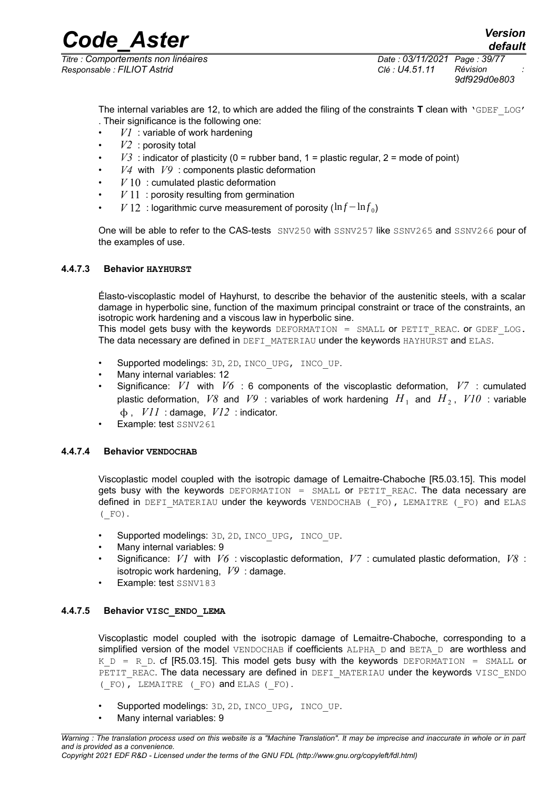*Code\_Aster Version default*

*Titre : Comportements non linéaires Date : 03/11/2021 Page : 39/77 Responsable : FILIOT Astrid Clé : U4.51.11 Révision :*

*9df929d0e803*

The internal variables are 12, to which are added the filing of the constraints **T** clean with 'GDEF\_LOG' . Their significance is the following one:

- *V1* : variable of work hardening
- *V2* : porosity total
- $V3$  : indicator of plasticity (0 = rubber band, 1 = plastic regular, 2 = mode of point)
- *V4* with *V9* : components plastic deformation
- $V10$ : cumulated plastic deformation
- $V11$ : porosity resulting from germination
- *V* 12 : logarithmic curve measurement of porosity (ln *f* − ln *f*<sub>0</sub>)

One will be able to refer to the CAS-tests SNV250 with SSNV257 like SSNV265 and SSNV266 pour of the examples of use.

#### **4.4.7.3 Behavior HAYHURST**

Élasto-viscoplastic model of Hayhurst, to describe the behavior of the austenitic steels, with a scalar damage in hyperbolic sine, function of the maximum principal constraint or trace of the constraints, an isotropic work hardening and a viscous law in hyperbolic sine.

This model gets busy with the keywords DEFORMATION = SMALL or PETIT REAC. or GDEF LOG. The data necessary are defined in DEFI\_MATERIAU under the keywords HAYHURST and ELAS.

- Supported modelings: 3D, 2D, INCO UPG, INCO UP.
- Many internal variables: 12
- Significance: *V1* with *V6* : 6 components of the viscoplastic deformation, *V7* : cumulated plastic deformation,  $V8$  and  $V9$  : variables of work hardening  $\left.H_{\,1}\right.$  and  $\left.H_{\,2}\right.$  ,  $\left.V10\right.$  : variable , *V11* : damage, *V12* : indicator.
- Example: test SSNV261

# **4.4.7.4 Behavior VENDOCHAB**

Viscoplastic model coupled with the isotropic damage of Lemaitre-Chaboche [R5.03.15]. This model gets busy with the keywords DEFORMATION = SMALL or PETIT REAC. The data necessary are defined in DEFI\_MATERIAU under the keywords VENDOCHAB ( FO), LEMAITRE (FO) and ELAS  $($  FO).

- Supported modelings: 3D, 2D, INCO UPG, INCO UP.
- Many internal variables: 9
- Significance: *V1* with *V6* : viscoplastic deformation, *V7* : cumulated plastic deformation, *V8* : isotropic work hardening, *V9* : damage.
- Example: test SSNV183

# **4.4.7.5 Behavior VISC\_ENDO\_LEMA**

Viscoplastic model coupled with the isotropic damage of Lemaitre-Chaboche, corresponding to a simplified version of the model VENDOCHAB if coefficients ALPHA\_D and BETA\_D are worthless and K D = R D. cf [R5.03.15]. This model gets busy with the keywords DEFORMATION = SMALL or PETIT\_REAC. The data necessary are defined in DEFI\_MATERIAU under the keywords VISC\_ENDO (\_FO), LEMAITRE (\_FO) and ELAS (\_FO).

- Supported modelings: 3D, 2D, INCO\_UPG, INCO\_UP.
- Many internal variables: 9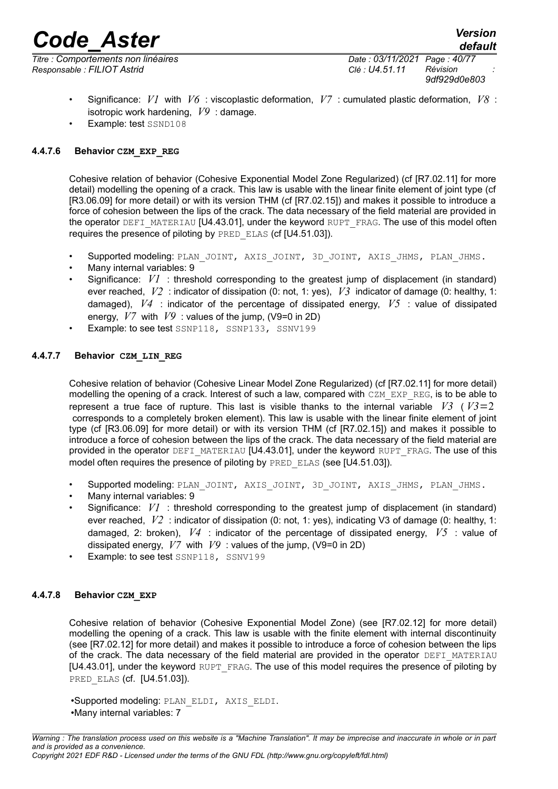*Titre : Comportements non linéaires Date : 03/11/2021 Page : 40/77 Responsable : FILIOT Astrid Clé : U4.51.11 Révision :*

*9df929d0e803*

- Significance: *V1* with *V6* : viscoplastic deformation, *V7* : cumulated plastic deformation, *V8* : isotropic work hardening, *V9* : damage.
- Example: test SSND108

# **4.4.7.6 Behavior CZM\_EXP\_REG**

Cohesive relation of behavior (Cohesive Exponential Model Zone Regularized) (cf [R7.02.11] for more detail) modelling the opening of a crack. This law is usable with the linear finite element of joint type (cf [R3.06.09] for more detail) or with its version THM (cf [R7.02.15]) and makes it possible to introduce a force of cohesion between the lips of the crack. The data necessary of the field material are provided in the operator DEFI\_MATERIAU [U4.43.01], under the keyword RUPT\_FRAG. The use of this model often requires the presence of piloting by PRED\_ELAS (cf [U4.51.03]).

- Supported modeling: PLAN\_JOINT, AXIS\_JOINT, 3D\_JOINT, AXIS\_JHMS, PLAN\_JHMS.
- Many internal variables: 9
- Significance: *V1* : threshold corresponding to the greatest jump of displacement (in standard) ever reached, *V2* : indicator of dissipation (0: not, 1: yes), *V3* indicator of damage (0: healthy, 1: damaged), *V4* : indicator of the percentage of dissipated energy, *V5* : value of dissipated energy, *V7* with *V9* : values of the jump, (V9=0 in 2D)
- Example: to see test SSNP118, SSNP133, SSNV199

# **4.4.7.7 Behavior CZM\_LIN\_REG**

Cohesive relation of behavior (Cohesive Linear Model Zone Regularized) (cf [R7.02.11] for more detail) modelling the opening of a crack. Interest of such a law, compared with CZM\_EXP\_REG, is to be able to represent a true face of rupture. This last is visible thanks to the internal variable  $V3$  ( $V3=2$  corresponds to a completely broken element). This law is usable with the linear finite element of joint type (cf [R3.06.09] for more detail) or with its version THM (cf [R7.02.15]) and makes it possible to introduce a force of cohesion between the lips of the crack. The data necessary of the field material are provided in the operator DEFI\_MATERIAU [U4.43.01], under the keyword RUPT\_FRAG. The use of this model often requires the presence of piloting by PRED ELAS (see [U4.51.03]).

- Supported modeling: PLAN\_JOINT, AXIS\_JOINT, 3D\_JOINT, AXIS\_JHMS, PLAN\_JHMS.
- Many internal variables: 9
- Significance: *V1* : threshold corresponding to the greatest jump of displacement (in standard) ever reached, *V2* : indicator of dissipation (0: not, 1: yes), indicating V3 of damage (0: healthy, 1: damaged, 2: broken), *V4* : indicator of the percentage of dissipated energy, *V5* : value of dissipated energy, *V7* with *V9* : values of the jump, (V9=0 in 2D)
- Example: to see test SSNP118, SSNV199

# **4.4.7.8 Behavior CZM\_EXP**

Cohesive relation of behavior (Cohesive Exponential Model Zone) (see [R7.02.12] for more detail) modelling the opening of a crack. This law is usable with the finite element with internal discontinuity (see [R7.02.12] for more detail) and makes it possible to introduce a force of cohesion between the lips of the crack. The data necessary of the field material are provided in the operator DEFI\_MATERIAU [U4.43.01], under the keyword RUPT\_FRAG. The use of this model requires the presence of piloting by PRED ELAS (cf. [U4.51.03]).

•Supported modeling: PLAN\_ELDI, AXIS\_ELDI. •Many internal variables: 7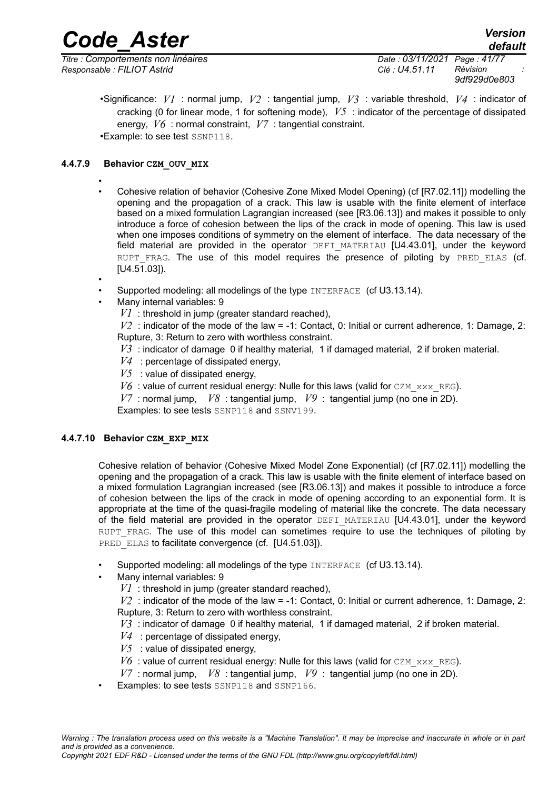*Responsable : FILIOT Astrid Clé : U4.51.11 Révision :*

*default Titre : Comportements non linéaires Date : 03/11/2021 Page : 41/77 9df929d0e803*

•Significance: *V1* : normal jump, *V2* : tangential jump, *V3* : variable threshold, *V4* : indicator of cracking (0 for linear mode, 1 for softening mode), *V5* : indicator of the percentage of dissipated energy, *V6* : normal constraint, *V7* : tangential constraint. •Example: to see test SSNP118.

# **4.4.7.9 Behavior CZM\_OUV\_MIX**

- • Cohesive relation of behavior (Cohesive Zone Mixed Model Opening) (cf [R7.02.11]) modelling the opening and the propagation of a crack. This law is usable with the finite element of interface based on a mixed formulation Lagrangian increased (see [R3.06.13]) and makes it possible to only introduce a force of cohesion between the lips of the crack in mode of opening. This law is used when one imposes conditions of symmetry on the element of interface. The data necessary of the field material are provided in the operator DEFI\_MATERIAU [U4.43.01], under the keyword RUPT FRAG. The use of this model requires the presence of piloting by PRED ELAS (cf. [U4.51.03]).
- •
- Supported modeling: all modelings of the type INTERFACE (cf U3.13.14).
- Many internal variables: 9
	- *V1* : threshold in jump (greater standard reached),

*V2* : indicator of the mode of the law = -1: Contact, 0: Initial or current adherence, 1: Damage, 2: Rupture, 3: Return to zero with worthless constraint.

- *V3* : indicator of damage 0 if healthy material, 1 if damaged material, 2 if broken material.
- *V4* : percentage of dissipated energy,
- $V5$  : value of dissipated energy,
- $V6$ : value of current residual energy: Nulle for this laws (valid for CZM  $_{\rm XXX-REG}$ ).
- *V7* : normal jump, *V8* : tangential jump, *V9* : tangential jump (no one in 2D).

Examples: to see tests SSNP118 and SSNV199.

# **4.4.7.10 Behavior CZM\_EXP\_MIX**

Cohesive relation of behavior (Cohesive Mixed Model Zone Exponential) (cf [R7.02.11]) modelling the opening and the propagation of a crack. This law is usable with the finite element of interface based on a mixed formulation Lagrangian increased (see [R3.06.13]) and makes it possible to introduce a force of cohesion between the lips of the crack in mode of opening according to an exponential form. It is appropriate at the time of the quasi-fragile modeling of material like the concrete. The data necessary of the field material are provided in the operator DEFI\_MATERIAU [U4.43.01], under the keyword RUPT FRAG. The use of this model can sometimes require to use the techniques of piloting by PRED\_ELAS to facilitate convergence (cf. [U4.51.03]).

- Supported modeling: all modelings of the type INTERFACE (cf U3.13.14).
- Many internal variables: 9
	- *V1* : threshold in jump (greater standard reached),

 $V2$ : indicator of the mode of the law = -1: Contact, 0: Initial or current adherence, 1: Damage, 2: Rupture, 3: Return to zero with worthless constraint.

- *V3* : indicator of damage 0 if healthy material, 1 if damaged material, 2 if broken material.
- *V4* : percentage of dissipated energy,
- $V5$  : value of dissipated energy,
- $V6$  : value of current residual energy: Nulle for this laws (valid for CZM  $_{\text{XXX}}$  REG).
- *V7* : normal jump, *V8* : tangential jump, *V9* : tangential jump (no one in 2D).
- Examples: to see tests SSNP118 and SSNP166.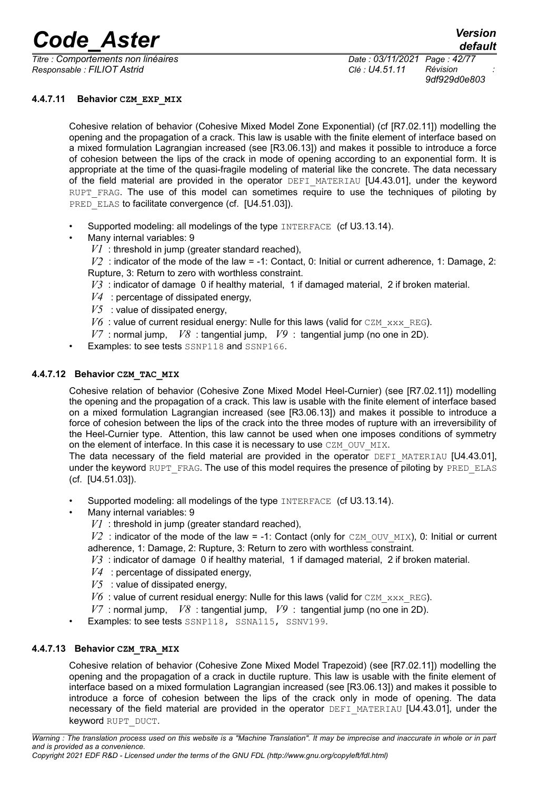*Titre : Comportements non linéaires Date : 03/11/2021 Page : 42/77 Responsable : FILIOT Astrid Clé : U4.51.11 Révision :*

*9df929d0e803*

# **4.4.7.11 Behavior CZM\_EXP\_MIX**

Cohesive relation of behavior (Cohesive Mixed Model Zone Exponential) (cf [R7.02.11]) modelling the opening and the propagation of a crack. This law is usable with the finite element of interface based on a mixed formulation Lagrangian increased (see [R3.06.13]) and makes it possible to introduce a force of cohesion between the lips of the crack in mode of opening according to an exponential form. It is appropriate at the time of the quasi-fragile modeling of material like the concrete. The data necessary of the field material are provided in the operator DEFI\_MATERIAU [U4.43.01], under the keyword RUPT FRAG. The use of this model can sometimes require to use the techniques of piloting by PRED\_ELAS to facilitate convergence (cf. [U4.51.03]).

- Supported modeling: all modelings of the type INTERFACE (cf U3.13.14).
- Many internal variables: 9
	- *V1* : threshold in jump (greater standard reached),

 $V2$ : indicator of the mode of the law = -1: Contact, 0: Initial or current adherence, 1: Damage, 2: Rupture, 3: Return to zero with worthless constraint.

- *V3* : indicator of damage 0 if healthy material, 1 if damaged material, 2 if broken material.
- *V4* : percentage of dissipated energy,
- $V5$  : value of dissipated energy.
- $V6$  : value of current residual energy: Nulle for this laws (valid for CZM  $_{\text{XXX}}$  REG).
- *V7* : normal jump, *V8* : tangential jump, *V9* : tangential jump (no one in 2D).
- Examples: to see tests SSNP118 and SSNP166.

# **4.4.7.12 Behavior CZM\_TAC\_MIX**

Cohesive relation of behavior (Cohesive Zone Mixed Model Heel-Curnier) (see [R7.02.11]) modelling the opening and the propagation of a crack. This law is usable with the finite element of interface based on a mixed formulation Lagrangian increased (see [R3.06.13]) and makes it possible to introduce a force of cohesion between the lips of the crack into the three modes of rupture with an irreversibility of the Heel-Curnier type. Attention, this law cannot be used when one imposes conditions of symmetry on the element of interface. In this case it is necessary to use CZM\_OUV\_MIX.

The data necessary of the field material are provided in the operator DEFI\_MATERIAU [U4.43.01], under the keyword RUPT\_FRAG. The use of this model requires the presence of piloting by PRED\_ELAS (cf. [U4.51.03]).

- Supported modeling: all modelings of the type INTERFACE (cf U3.13.14).
- Many internal variables: 9
	- *V1* : threshold in jump (greater standard reached),

 $V2$ : indicator of the mode of the law = -1: Contact (only for CZM OUV MIX), 0: Initial or current adherence, 1: Damage, 2: Rupture, 3: Return to zero with worthless constraint.

- *V3* : indicator of damage 0 if healthy material, 1 if damaged material, 2 if broken material.
- *V4* : percentage of dissipated energy,
- $V5$  : value of dissipated energy,
- $V6$ : value of current residual energy: Nulle for this laws (valid for CZM  $_{\text{XXX}}$  REG).
- *V7* : normal jump, *V8* : tangential jump, *V9* : tangential jump (no one in 2D).
- Examples: to see tests SSNP118, SSNA115, SSNV199.

# **4.4.7.13 Behavior CZM\_TRA\_MIX**

Cohesive relation of behavior (Cohesive Zone Mixed Model Trapezoid) (see [R7.02.11]) modelling the opening and the propagation of a crack in ductile rupture. This law is usable with the finite element of interface based on a mixed formulation Lagrangian increased (see [R3.06.13]) and makes it possible to introduce a force of cohesion between the lips of the crack only in mode of opening. The data necessary of the field material are provided in the operator DEFI\_MATERIAU [U4.43.01], under the keyword RUPT\_DUCT.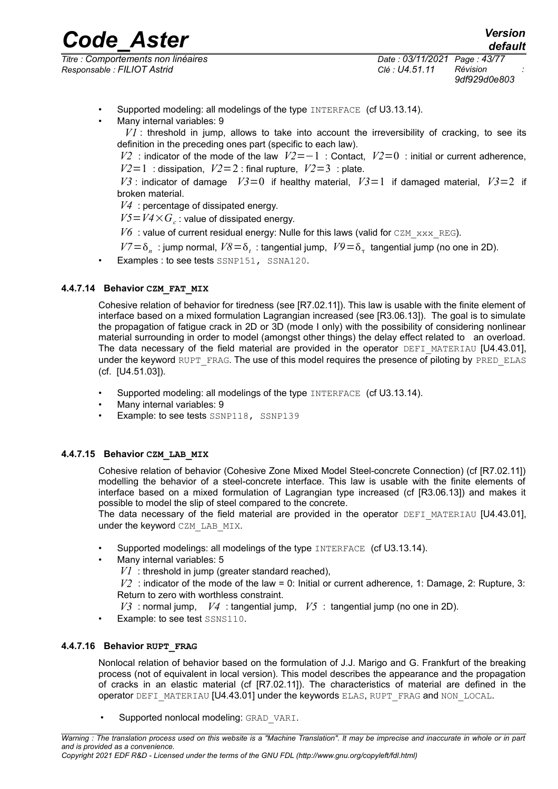*Titre : Comportements non linéaires Date : 03/11/2021 Page : 43/77 Responsable : FILIOT Astrid Clé : U4.51.11 Révision :*

*9df929d0e803*

- Supported modeling: all modelings of the type INTERFACE (cf U3.13.14).
- Many internal variables: 9

*V1* : threshold in jump, allows to take into account the irreversibility of cracking, to see its definition in the preceding ones part (specific to each law).

*V2* : indicator of the mode of the law *V2*=−1 : Contact, *V2*=0 : initial or current adherence,  $V2=1$ : dissipation,  $V2=2$ : final rupture,  $V2=3$ : plate.

 $V3$ : indicator of damage  $V3=0$  if healthy material,  $V3=1$  if damaged material,  $V3=2$  if broken material.

*V4* : percentage of dissipated energy.

 $V5 = V4 \times G_c$ : value of dissipated energy.

 $V6$ : value of current residual energy: Nulle for this laws (valid for CZM  $_{\text{XXX}}$  REG).

 $V7 = \delta_n$ : jump normal,  $V8 = \delta_t$ : tangential jump,  $V9 = \delta_{\tau}$  tangential jump (no one in 2D).

Examples : to see tests SSNP151, SSNA120.

# **4.4.7.14 Behavior CZM\_FAT\_MIX**

Cohesive relation of behavior for tiredness (see [R7.02.11]). This law is usable with the finite element of interface based on a mixed formulation Lagrangian increased (see [R3.06.13]). The goal is to simulate the propagation of fatigue crack in 2D or 3D (mode I only) with the possibility of considering nonlinear material surrounding in order to model (amongst other things) the delay effect related to an overload. The data necessary of the field material are provided in the operator  $DEFI$  MATERIAU [U4.43.01], under the keyword RUPT\_FRAG. The use of this model requires the presence of piloting by PRED\_ELAS (cf. [U4.51.03]).

- Supported modeling: all modelings of the type INTERFACE (cf U3.13.14).
- Many internal variables: 9
- Example: to see tests SSNP118, SSNP139

# **4.4.7.15 Behavior CZM\_LAB\_MIX**

Cohesive relation of behavior (Cohesive Zone Mixed Model Steel-concrete Connection) (cf [R7.02.11]) modelling the behavior of a steel-concrete interface. This law is usable with the finite elements of interface based on a mixed formulation of Lagrangian type increased (cf [R3.06.13]) and makes it possible to model the slip of steel compared to the concrete.

The data necessary of the field material are provided in the operator DEFI\_MATERIAU [U4.43.01], under the keyword CZM LAB MIX.

- Supported modelings: all modelings of the type INTERFACE (cf U3.13.14).
- Many internal variables: 5

*V1* : threshold in jump (greater standard reached),

*V2* : indicator of the mode of the law = 0: Initial or current adherence, 1: Damage, 2: Rupture, 3: Return to zero with worthless constraint.

- *V3* : normal jump, *V4* : tangential jump, *V5* : tangential jump (no one in 2D).
- Example: to see test SSNS110.

# **4.4.7.16 Behavior RUPT\_FRAG**

Nonlocal relation of behavior based on the formulation of J.J. Marigo and G. Frankfurt of the breaking process (not of equivalent in local version). This model describes the appearance and the propagation of cracks in an elastic material (cf [R7.02.11]). The characteristics of material are defined in the operator DEFI\_MATERIAU [U4.43.01] under the keywords ELAS, RUPT\_FRAG and NON\_LOCAL.

Supported nonlocal modeling: GRAD\_VARI.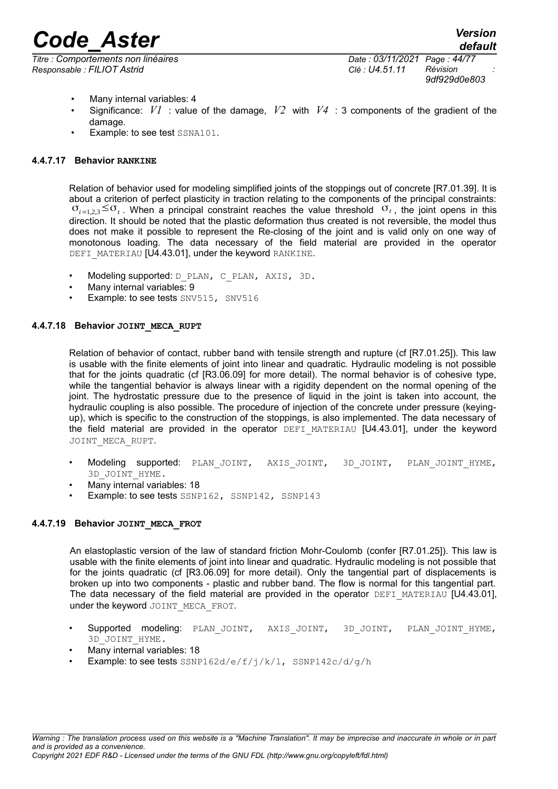*Titre : Comportements non linéaires Date : 03/11/2021 Page : 44/77 Responsable : FILIOT Astrid Clé : U4.51.11 Révision :*

*9df929d0e803*

- Many internal variables: 4
- Significance: *V1* : value of the damage, *V2* with *V4* : 3 components of the gradient of the damage.
- Example: to see test SSNA101.

# **4.4.7.17 Behavior RANKINE**

Relation of behavior used for modeling simplified joints of the stoppings out of concrete [R7.01.39]. It is about a criterion of perfect plasticity in traction relating to the components of the principal constraints:  $\sigma_{i=1,2,3} \leq \sigma_t$ . When a principal constraint reaches the value threshold  $\sigma_t$ , the joint opens in this direction. It should be noted that the plastic deformation thus created is not reversible, the model thus does not make it possible to represent the Re-closing of the joint and is valid only on one way of monotonous loading. The data necessary of the field material are provided in the operator DEFI\_MATERIAU [U4.43.01], under the keyword RANKINE.

- Modeling supported: D\_PLAN, C\_PLAN, AXIS, 3D.
- Many internal variables: 9
- Example: to see tests SNV515, SNV516

# **4.4.7.18 Behavior JOINT\_MECA\_RUPT**

Relation of behavior of contact, rubber band with tensile strength and rupture (cf [R7.01.25]). This law is usable with the finite elements of joint into linear and quadratic. Hydraulic modeling is not possible that for the joints quadratic (cf [R3.06.09] for more detail). The normal behavior is of cohesive type, while the tangential behavior is always linear with a rigidity dependent on the normal opening of the joint. The hydrostatic pressure due to the presence of liquid in the joint is taken into account, the hydraulic coupling is also possible. The procedure of injection of the concrete under pressure (keyingup), which is specific to the construction of the stoppings, is also implemented. The data necessary of the field material are provided in the operator DEFI\_MATERIAU [U4.43.01], under the keyword JOINT\_MECA\_RUPT.

- Modeling supported: PLAN\_JOINT, AXIS\_JOINT, 3D\_JOINT, PLAN\_JOINT\_HYME, 3D\_JOINT\_HYME.
- Many internal variables: 18
- Example: to see tests SSNP162, SSNP142, SSNP143

# **4.4.7.19 Behavior JOINT\_MECA\_FROT**

An elastoplastic version of the law of standard friction Mohr-Coulomb (confer [R7.01.25]). This law is usable with the finite elements of joint into linear and quadratic. Hydraulic modeling is not possible that for the joints quadratic (cf [R3.06.09] for more detail). Only the tangential part of displacements is broken up into two components - plastic and rubber band. The flow is normal for this tangential part. The data necessary of the field material are provided in the operator DEFI\_MATERIAU [U4.43.01], under the keyword JOINT\_MECA\_FROT.

- Supported modeling: PLAN JOINT, AXIS JOINT, 3D JOINT, PLAN JOINT HYME, 3D\_JOINT\_HYME.
- Many internal variables: 18
- Example: to see tests SSNP162d/e/f/j/k/l, SSNP142c/d/g/h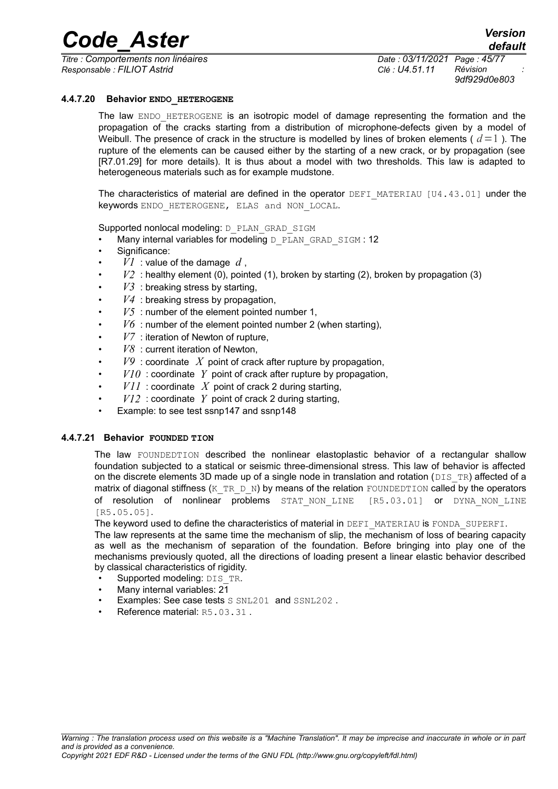*Titre : Comportements non linéaires Date : 03/11/2021 Page : 45/77 Responsable : FILIOT Astrid Clé : U4.51.11 Révision :*

*default*

*9df929d0e803*

#### **4.4.7.20 Behavior ENDO\_HETEROGENE**

The law ENDO HETEROGENE is an isotropic model of damage representing the formation and the propagation of the cracks starting from a distribution of microphone-defects given by a model of Weibull. The presence of crack in the structure is modelled by lines of broken elements ( $d=1$ ). The rupture of the elements can be caused either by the starting of a new crack, or by propagation (see [R7.01.29] for more details). It is thus about a model with two thresholds. This law is adapted to heterogeneous materials such as for example mudstone.

The characteristics of material are defined in the operator DEFI\_MATERIAU [U4.43.011 under the keywords ENDO HETEROGENE, ELAS and NON LOCAL.

Supported nonlocal modeling: D\_PLAN\_GRAD\_SIGM

- Many internal variables for modeling D\_PLAN\_GRAD\_SIGM : 12
- Significance:
- $VI$  : value of the damage  $d$ .
- $V2$ : healthy element (0), pointed (1), broken by starting (2), broken by propagation (3)
- $V3$ : breaking stress by starting,
- $V4$ : breaking stress by propagation,
- $V5$ : number of the element pointed number 1,
- $V_0$ : number of the element pointed number 2 (when starting),
- $V7$  : iteration of Newton of rupture.
- *V8* : current iteration of Newton,
- $V9$  : coordinate X point of crack after rupture by propagation,
- $V10$ : coordinate Y point of crack after rupture by propagation,
- $VII$ : coordinate X point of crack 2 during starting,
- $V12$  : coordinate Y point of crack 2 during starting,
- Example: to see test ssnp147 and ssnp148

#### **4.4.7.21 Behavior FOUNDED TION**

The law FOUNDEDTION described the nonlinear elastoplastic behavior of a rectangular shallow foundation subjected to a statical or seismic three-dimensional stress. This law of behavior is affected on the discrete elements 3D made up of a single node in translation and rotation ( $DISTR$ ) affected of a matrix of diagonal stiffness (K\_TR\_D\_N) by means of the relation FOUNDEDTION called by the operators of resolution of nonlinear problems STAT\_NON\_LINE [R5.03.01] or DYNA\_NON\_LINE [R5.05.05].

The keyword used to define the characteristics of material in DEFI\_MATERIAU is FONDA\_SUPERFI.

The law represents at the same time the mechanism of slip, the mechanism of loss of bearing capacity as well as the mechanism of separation of the foundation. Before bringing into play one of the mechanisms previously quoted, all the directions of loading present a linear elastic behavior described by classical characteristics of rigidity.

- Supported modeling: DIS\_TR.
- Many internal variables:  $2\overline{1}$
- Examples: See case tests S SNL201 and SSNL202.
- Reference material: R5.03.31.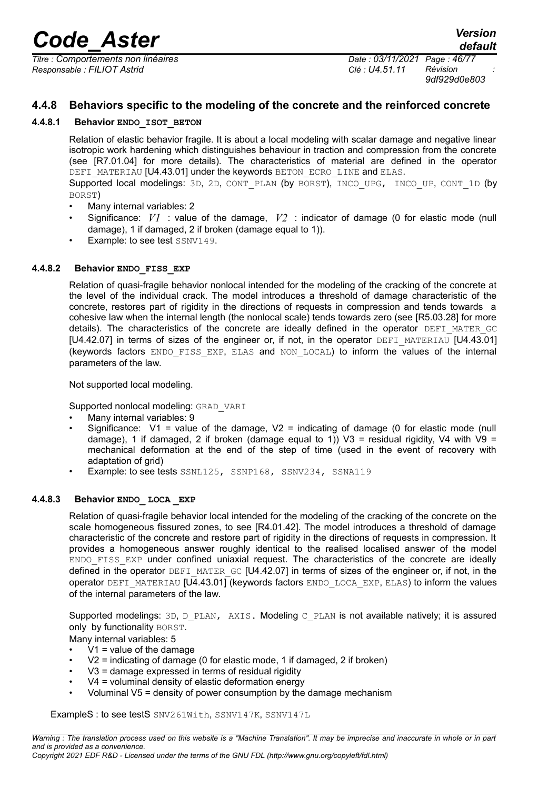*Titre : Comportements non linéaires Date : 03/11/2021 Page : 46/77 Responsable : FILIOT Astrid Clé : U4.51.11 Révision :*

*9df929d0e803*

# **4.4.8 Behaviors specific to the modeling of the concrete and the reinforced concrete**

### **4.4.8.1 Behavior ENDO\_ISOT\_BETON**

Relation of elastic behavior fragile. It is about a local modeling with scalar damage and negative linear isotropic work hardening which distinguishes behaviour in traction and compression from the concrete (see [R7.01.04] for more details). The characteristics of material are defined in the operator DEFI\_MATERIAU [U4.43.01] under the keywords BETON\_ECRO\_LINE and ELAS. Supported local modelings: 3D, 2D, CONT\_PLAN (by BORST), INCO\_UPG, INCO\_UP, CONT\_1D (by BORST)

- Many internal variables: 2
- Significance: *V1* : value of the damage, *V2* : indicator of damage (0 for elastic mode (null damage), 1 if damaged, 2 if broken (damage equal to 1)).
- Example: to see test SSNV149.

#### **4.4.8.2 Behavior ENDO\_FISS\_EXP**

Relation of quasi-fragile behavior nonlocal intended for the modeling of the cracking of the concrete at the level of the individual crack. The model introduces a threshold of damage characteristic of the concrete, restores part of rigidity in the directions of requests in compression and tends towards a cohesive law when the internal length (the nonlocal scale) tends towards zero (see [R5.03.28] for more details). The characteristics of the concrete are ideally defined in the operator DEFI MATER GC [U4.42.07] in terms of sizes of the engineer or, if not, in the operator DEFI\_MATERIAU [U4.43.01] (keywords factors ENDO\_FISS\_EXP, ELAS and NON\_LOCAL) to inform the values of the internal parameters of the law.

Not supported local modeling.

Supported nonlocal modeling: GRAD\_VARI

- Many internal variables: 9
- Significance:  $V1$  = value of the damage,  $V2$  = indicating of damage (0 for elastic mode (null damage), 1 if damaged, 2 if broken (damage equal to 1)) V3 = residual rigidity, V4 with V9 = mechanical deformation at the end of the step of time (used in the event of recovery with adaptation of grid)
- Example: to see tests SSNL125, SSNP168, SSNV234, SSNA119

# **4.4.8.3 Behavior ENDO\_ LOCA \_EXP**

Relation of quasi-fragile behavior local intended for the modeling of the cracking of the concrete on the scale homogeneous fissured zones, to see [R4.01.42]. The model introduces a threshold of damage characteristic of the concrete and restore part of rigidity in the directions of requests in compression. It provides a homogeneous answer roughly identical to the realised localised answer of the model ENDO\_FISS\_EXP under confined uniaxial request. The characteristics of the concrete are ideally defined in the operator DEFI\_MATER\_GC [U4.42.07] in terms of sizes of the engineer or, if not, in the operator DEFI\_MATERIAU [U4.43.01] (keywords factors ENDO\_LOCA\_EXP, ELAS) to inform the values of the internal parameters of the law.

Supported modelings: 3D, D\_PLAN, AXIS. Modeling C\_PLAN is not available natively; it is assured only by functionality BORST.

Many internal variables: 5

- $V1$  = value of the damage
- V2 = indicating of damage (0 for elastic mode, 1 if damaged, 2 if broken)
- $V3$  = damage expressed in terms of residual rigidity
- $V4$  = voluminal density of elastic deformation energy
- Voluminal  $V5$  = density of power consumption by the damage mechanism

ExampleS : to see testS SNV261With, SSNV147K, SSNV147L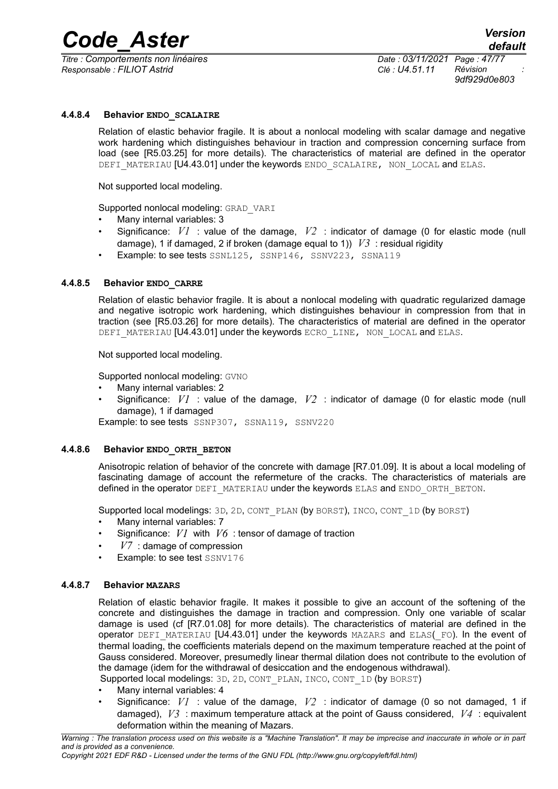*Titre : Comportements non linéaires Date : 03/11/2021 Page : 47/77 Responsable : FILIOT Astrid Clé : U4.51.11 Révision :*

*9df929d0e803*

### **4.4.8.4 Behavior ENDO\_SCALAIRE**

Relation of elastic behavior fragile. It is about a nonlocal modeling with scalar damage and negative work hardening which distinguishes behaviour in traction and compression concerning surface from load (see [R5.03.25] for more details). The characteristics of material are defined in the operator DEFI\_MATERIAU [U4.43.01] under the keywords ENDO\_SCALAIRE, NON\_LOCAL and ELAS.

Not supported local modeling.

Supported nonlocal modeling: GRAD\_VARI

- Many internal variables: 3
- Significance: *V1* : value of the damage, *V2* : indicator of damage (0 for elastic mode (null damage), 1 if damaged, 2 if broken (damage equal to 1))  $V3$  : residual rigidity
- Example: to see tests SSNL125, SSNP146, SSNV223, SSNA119

#### **4.4.8.5 Behavior ENDO\_CARRE**

Relation of elastic behavior fragile. It is about a nonlocal modeling with quadratic regularized damage and negative isotropic work hardening, which distinguishes behaviour in compression from that in traction (see [R5.03.26] for more details). The characteristics of material are defined in the operator DEFI MATERIAU [U4.43.01] under the keywords ECRO LINE, NON LOCAL and ELAS.

Not supported local modeling.

Supported nonlocal modeling: GVNO

- Many internal variables: 2
- Significance: *V1* : value of the damage, *V2* : indicator of damage (0 for elastic mode (null damage), 1 if damaged
- Example: to see tests SSNP307, SSNA119, SSNV220

#### **4.4.8.6 Behavior ENDO\_ORTH\_BETON**

Anisotropic relation of behavior of the concrete with damage [R7.01.09]. It is about a local modeling of fascinating damage of account the refermeture of the cracks. The characteristics of materials are defined in the operator DEFI\_MATERIAU under the keywords ELAS and ENDO\_ORTH\_BETON.

Supported local modelings: 3D, 2D, CONT\_PLAN (by BORST), INCO, CONT\_1D (by BORST)

- Many internal variables: 7
- Significance: *V1* with *V6* : tensor of damage of traction
- *V7* : damage of compression
- Example: to see test SSNV176

#### **4.4.8.7 Behavior MAZARS**

Relation of elastic behavior fragile. It makes it possible to give an account of the softening of the concrete and distinguishes the damage in traction and compression. Only one variable of scalar damage is used (cf [R7.01.08] for more details). The characteristics of material are defined in the operator DEFI\_MATERIAU [U4.43.01] under the keywords MAZARS and ELAS(\_FO). In the event of thermal loading, the coefficients materials depend on the maximum temperature reached at the point of Gauss considered. Moreover, presumedly linear thermal dilation does not contribute to the evolution of the damage (idem for the withdrawal of desiccation and the endogenous withdrawal).

Supported local modelings: 3D, 2D, CONT\_PLAN, INCO, CONT\_1D (by BORST)

- Many internal variables: 4
- Significance:  $VI$  : value of the damage,  $V2$  : indicator of damage (0 so not damaged, 1 if damaged), *V3* : maximum temperature attack at the point of Gauss considered, *V4* : equivalent deformation within the meaning of Mazars.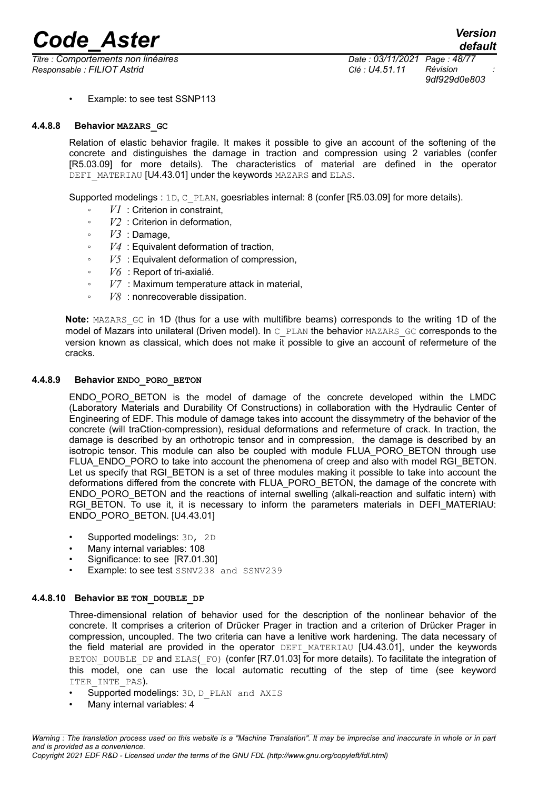*Titre : Comportements non linéaires Date : 03/11/2021 Page : 48/77 Responsable : FILIOT Astrid Clé : U4.51.11 Révision :*

*9df929d0e803*

• Example: to see test SSNP113

#### **4.4.8.8 Behavior MAZARS\_GC**

Relation of elastic behavior fragile. It makes it possible to give an account of the softening of the concrete and distinguishes the damage in traction and compression using 2 variables (confer [R5.03.09] for more details). The characteristics of material are defined in the operator DEFI\_MATERIAU [U4.43.01] under the keywords MAZARS and ELAS.

Supported modelings : 1D, C\_PLAN, goesriables internal: 8 (confer [R5.03.09] for more details).

- *V1* : Criterion in constraint,
- *V2* : Criterion in deformation,
- *V3* : Damage,
- *V4* : Equivalent deformation of traction,
- *V5* : Equivalent deformation of compression,
- *V6* : Report of tri-axialié.
- *: Maximum temperature attack in material,*
- *V8* : nonrecoverable dissipation.

**Note:** MAZARS GC in 1D (thus for a use with multifibre beams) corresponds to the writing 1D of the model of Mazars into unilateral (Driven model). In C\_PLAN the behavior MAZARS\_GC corresponds to the version known as classical, which does not make it possible to give an account of refermeture of the cracks.

#### **4.4.8.9 Behavior ENDO\_PORO\_BETON**

ENDO\_PORO\_BETON is the model of damage of the concrete developed within the LMDC (Laboratory Materials and Durability Of Constructions) in collaboration with the Hydraulic Center of Engineering of EDF. This module of damage takes into account the dissymmetry of the behavior of the concrete (will traCtion-compression), residual deformations and refermeture of crack. In traction, the damage is described by an orthotropic tensor and in compression, the damage is described by an isotropic tensor. This module can also be coupled with module FLUA PORO\_BETON through use FLUA\_ENDO\_PORO to take into account the phenomena of creep and also with model RGI\_BETON. Let us specify that RGI\_BETON is a set of three modules making it possible to take into account the deformations differed from the concrete with FLUA\_PORO\_BETON, the damage of the concrete with ENDO\_PORO\_BETON and the reactions of internal swelling (alkali-reaction and sulfatic intern) with RGI BETON. To use it, it is necessary to inform the parameters materials in DEFI MATERIAU: ENDO\_PORO\_BETON. [U4.43.01]

- Supported modelings: 3D, 2D
- Many internal variables: 108
- Significance: to see [R7.01.30]
- **Example: to see test** SSNV238 and SSNV239

### **4.4.8.10 Behavior BE TON\_DOUBLE\_DP**

Three-dimensional relation of behavior used for the description of the nonlinear behavior of the concrete. It comprises a criterion of Drücker Prager in traction and a criterion of Drücker Prager in compression, uncoupled. The two criteria can have a lenitive work hardening. The data necessary of the field material are provided in the operator DEFI\_MATERIAU [U4.43.01], under the keywords BETON DOUBLE DP and ELAS(FO) (confer [R7.01.03] for more details). To facilitate the integration of this model, one can use the local automatic recutting of the step of time (see keyword ITER INTE PAS).

- Supported modelings: 3D, D\_PLAN and AXIS
- Many internal variables: 4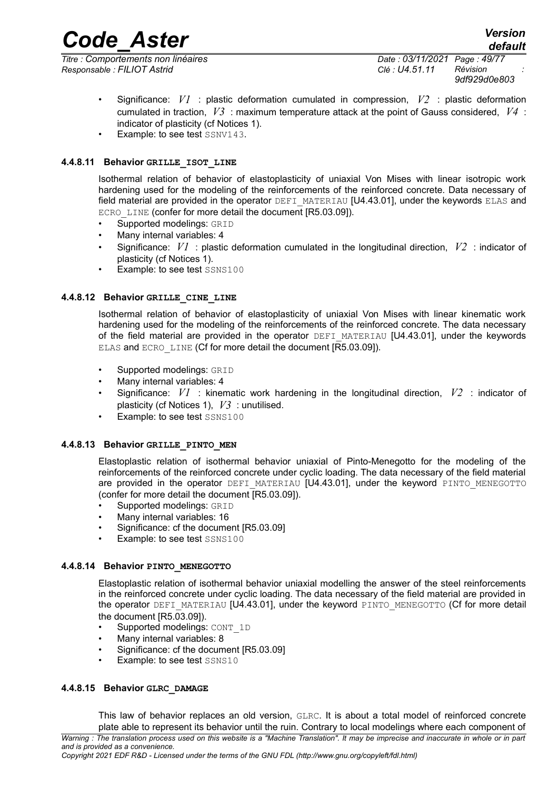*Titre : Comportements non linéaires Date : 03/11/2021 Page : 49/77 Responsable : FILIOT Astrid Clé : U4.51.11 Révision :*

*default*

- Significance: *V1* : plastic deformation cumulated in compression, *V2* : plastic deformation cumulated in traction, *V3* : maximum temperature attack at the point of Gauss considered, *V4* : indicator of plasticity (cf Notices 1).
- Example: to see test SSNV143.

# **4.4.8.11 Behavior GRILLE\_ISOT\_LINE**

Isothermal relation of behavior of elastoplasticity of uniaxial Von Mises with linear isotropic work hardening used for the modeling of the reinforcements of the reinforced concrete. Data necessary of field material are provided in the operator DEFI\_MATERIAU [U4.43.01], under the keywords ELAS and ECRO LINE (confer for more detail the document [R5.03.09]).

- Supported modelings: GRID
- Many internal variables: 4
- Significance: *V1* : plastic deformation cumulated in the longitudinal direction, *V2* : indicator of plasticity (cf Notices 1).
- Example: to see test SSNS100

#### **4.4.8.12 Behavior GRILLE\_CINE\_LINE**

Isothermal relation of behavior of elastoplasticity of uniaxial Von Mises with linear kinematic work hardening used for the modeling of the reinforcements of the reinforced concrete. The data necessary of the field material are provided in the operator DEFI\_MATERIAU [U4.43.01], under the keywords ELAS and ECRO\_LINE (Cf for more detail the document [R5.03.09]).

- Supported modelings: GRID
- Many internal variables: 4
- Significance: *V1* : kinematic work hardening in the longitudinal direction, *V2* : indicator of plasticity (cf Notices 1), *V3* : unutilised.
- Example: to see test SSNS100

#### **4.4.8.13 Behavior GRILLE\_PINTO\_MEN**

Elastoplastic relation of isothermal behavior uniaxial of Pinto-Menegotto for the modeling of the reinforcements of the reinforced concrete under cyclic loading. The data necessary of the field material are provided in the operator DEFI\_MATERIAU [U4.43.01], under the keyword PINTO MENEGOTTO (confer for more detail the document [R5.03.09]).

- Supported modelings: GRID
- Many internal variables: 16
- Significance: cf the document [R5.03.09]
- Example: to see test SSNS100

#### **4.4.8.14 Behavior PINTO\_MENEGOTTO**

Elastoplastic relation of isothermal behavior uniaxial modelling the answer of the steel reinforcements in the reinforced concrete under cyclic loading. The data necessary of the field material are provided in the operator DEFI\_MATERIAU [U4.43.01], under the keyword PINTO\_MENEGOTTO (Cf for more detail the document [R5.03.09]).

- Supported modelings: CONT\_1D
- Many internal variables: 8
- Significance: cf the document [R5.03.09]
- Example: to see test SSNS10

#### **4.4.8.15 Behavior GLRC\_DAMAGE**

This law of behavior replaces an old version, GLRC. It is about a total model of reinforced concrete plate able to represent its behavior until the ruin. Contrary to local modelings where each component of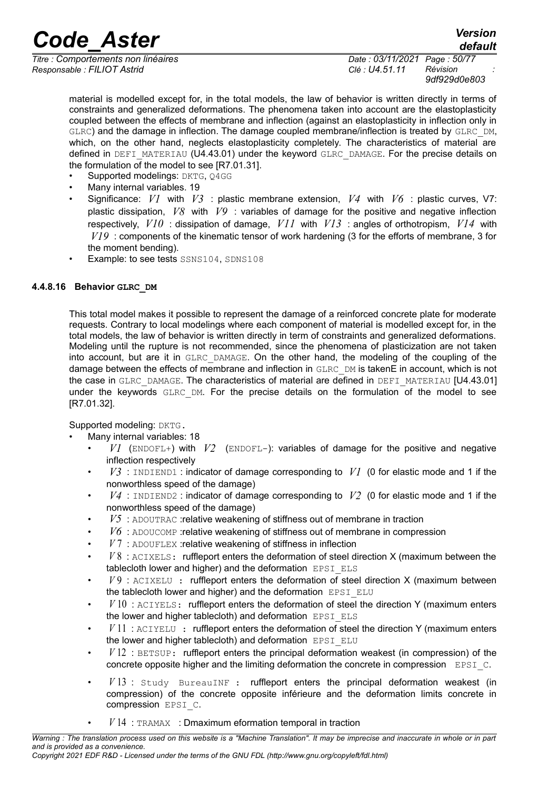*Titre : Comportements non linéaires Date : 03/11/2021 Page : 50/77 Responsable : FILIOT Astrid Clé : U4.51.11 Révision :*

*9df929d0e803*

*default*

material is modelled except for, in the total models, the law of behavior is written directly in terms of constraints and generalized deformations. The phenomena taken into account are the elastoplasticity coupled between the effects of membrane and inflection (against an elastoplasticity in inflection only in GLRC) and the damage in inflection. The damage coupled membrane/inflection is treated by GLRC\_DM, which, on the other hand, neglects elastoplasticity completely. The characteristics of material are defined in DEFI\_MATERIAU (U4.43.01) under the keyword GLRC\_DAMAGE. For the precise details on the formulation of the model to see [R7.01.31].

- Supported modelings: DKTG, 04GG
- Many internal variables. 19
- Significance: *V1* with *V3* : plastic membrane extension, *V4* with *V6* : plastic curves, V7: plastic dissipation, *V8* with *V9* : variables of damage for the positive and negative inflection respectively, *V10* : dissipation of damage, *V11* with *V13* : angles of orthotropism, *V14* with *V19* : components of the kinematic tensor of work hardening (3 for the efforts of membrane, 3 for the moment bending).
- Example: to see tests SSNS104, SDNS108

# **4.4.8.16 Behavior GLRC\_DM**

This total model makes it possible to represent the damage of a reinforced concrete plate for moderate requests. Contrary to local modelings where each component of material is modelled except for, in the total models, the law of behavior is written directly in term of constraints and generalized deformations. Modeling until the rupture is not recommended, since the phenomena of plasticization are not taken into account, but are it in GLRC\_DAMAGE. On the other hand, the modeling of the coupling of the damage between the effects of membrane and inflection in GLRC DM is takenE in account, which is not the case in GLRC\_DAMAGE. The characteristics of material are defined in DEFI\_MATERIAU [U4.43.01] under the keywords GLRC DM. For the precise details on the formulation of the model to see [R7.01.32].

Supported modeling: DKTG.

- Many internal variables: 18
	- $VI$  (ENDOFL+) with  $V2$  (ENDOFL-): variables of damage for the positive and negative inflection respectively
	- $V3$ : INDIEND1: indicator of damage corresponding to  $V1$  (0 for elastic mode and 1 if the nonworthless speed of the damage)
	- $V4$ : INDIEND2: indicator of damage corresponding to  $V2$  (0 for elastic mode and 1 if the nonworthless speed of the damage)
	- *V5* : ADOUTRAC :relative weakening of stiffness out of membrane in traction
	- *V6* : ADOUCOMP :relative weakening of stiffness out of membrane in compression
	- *V* 7 : ADOUFLEX :relative weakening of stiffness in inflection
	- *V* 8 : ACIXELS: ruffleport enters the deformation of steel direction X (maximum between the tablecloth lower and higher) and the deformation EPSI ELS
	- *V* 9 : ACIXELU : ruffleport enters the deformation of steel direction X (maximum between the tablecloth lower and higher) and the deformation  $EPSI$   $ELU$
	- $V10$ :  $ACIYELS$ : ruffleport enters the deformation of steel the direction Y (maximum enters the lower and higher tablecloth) and deformation EPSI ELS
	- *V* 11 : ACIYELU : ruffleport enters the deformation of steel the direction Y (maximum enters the lower and higher tablecloth) and deformation EPSI ELU
	- *V* 12 : BETSUP: ruffleport enters the principal deformation weakest (in compression) of the concrete opposite higher and the limiting deformation the concrete in compression EPSI C.
	- $V13$ : Study BureauINF : ruffleport enters the principal deformation weakest (in compression) of the concrete opposite inférieure and the deformation limits concrete in compression EPSI\_C.
	- $V14$ : TRAMAX : Dmaximum eformation temporal in traction

*Warning : The translation process used on this website is a "Machine Translation". It may be imprecise and inaccurate in whole or in part and is provided as a convenience.*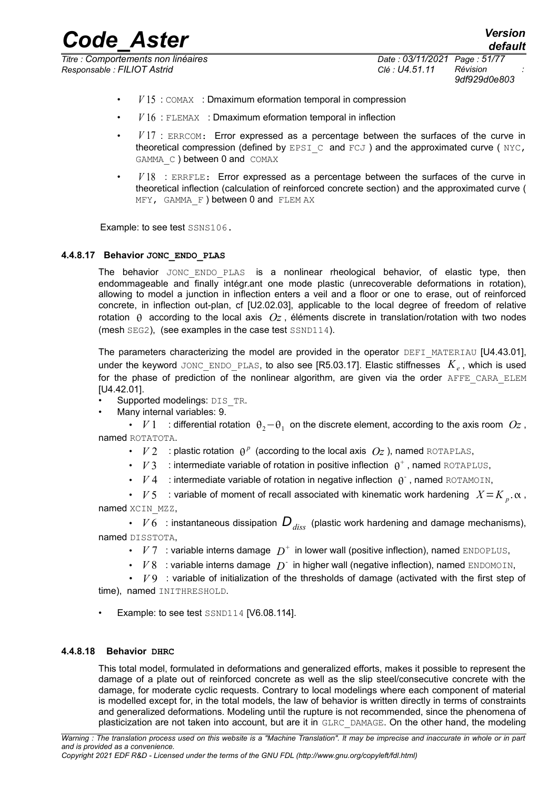*Titre : Comportements non linéaires Date : 03/11/2021 Page : 51/77 Responsable : FILIOT Astrid Clé : U4.51.11 Révision :*

*9df929d0e803*

*default*

- *V* 15 : COMAX : Dmaximum eformation temporal in compression
- *V* 16 : FLEMAX : Dmaximum eformation temporal in inflection
- *V* 17 : ERRCOM: Error expressed as a percentage between the surfaces of the curve in theoretical compression (defined by EPSI  $\,$  C and  $FCJ$  ) and the approximated curve ( NYC, GAMMA C ) between 0 and COMAX
- $V18$  : ERRFLE: Error expressed as a percentage between the surfaces of the curve in theoretical inflection (calculation of reinforced concrete section) and the approximated curve ( MFY, GAMMA F ) between 0 and FLEM AX

Example: to see test SSNS106.

# **4.4.8.17 Behavior JONC\_ENDO\_PLAS**

The behavior JONC ENDO PLAS is a nonlinear rheological behavior, of elastic type, then endommageable and  $\overline{f}$  finally intégr.ant one mode plastic (unrecoverable deformations in rotation), allowing to model a junction in inflection enters a veil and a floor or one to erase, out of reinforced concrete, in inflection out-plan, cf [U2.02.03], applicable to the local degree of freedom of relative rotation  $\theta$  according to the local axis  $Oz$ , éléments discrete in translation/rotation with two nodes (mesh SEG2), (see examples in the case test SSND114).

The parameters characterizing the model are provided in the operator DEFI\_MATERIAU [U4.43.01], under the keyword JONC\_ENDO\_PLAS, to also see [R5.03.17]. Elastic stiffnesses *K<sup>e</sup>* , which is used for the phase of prediction of the nonlinear algorithm, are given via the order AFFE CARA ELEM [U4.42.01].

- Supported modelings: DIS\_TR.
- Many internal variables: 9.

• *V* 1 : differential rotation  $θ_2$ - $θ_1$  on the discrete element, according to the axis room  $Oz$ , named ROTATOTA.

- $V2$  : plastic rotation  $\theta^p$  (according to the local axis  $O_z$ ), named ROTAPLAS,
- $V3$  : intermediate variable of rotation in positive inflection  $\theta^+$ , named ROTAPLUS,
- $V4$  : intermediate variable of rotation in negative inflection  $\theta$ , named ROTAMOIN,
- $V$ 5 : variable of moment of recall associated with kinematic work hardening  $X = K_{p}$ ,  $\alpha$ , named XCIN MZZ,

•  $V6$  : instantaneous dissipation  $D_{disc}$  (plastic work hardening and damage mechanisms), named DISSTOTA,

- $V7$  : variable interns damage  $D^+$  in lower wall (positive inflection), named ENDOPLUS,
- $\cdot$  *V* 8 : variable interns damage  $D^{\dagger}$  in higher wall (negative inflection), named ENDOMOIN,

• *V* 9 : variable of initialization of the thresholds of damage (activated with the first step of time), named INITHRESHOLD.

Example: to see test SSND114 [V6.08.114].

# **4.4.8.18 Behavior DHRC**

This total model, formulated in deformations and generalized efforts, makes it possible to represent the damage of a plate out of reinforced concrete as well as the slip steel/consecutive concrete with the damage, for moderate cyclic requests. Contrary to local modelings where each component of material is modelled except for, in the total models, the law of behavior is written directly in terms of constraints and generalized deformations. Modeling until the rupture is not recommended, since the phenomena of plasticization are not taken into account, but are it in GLRC\_DAMAGE. On the other hand, the modeling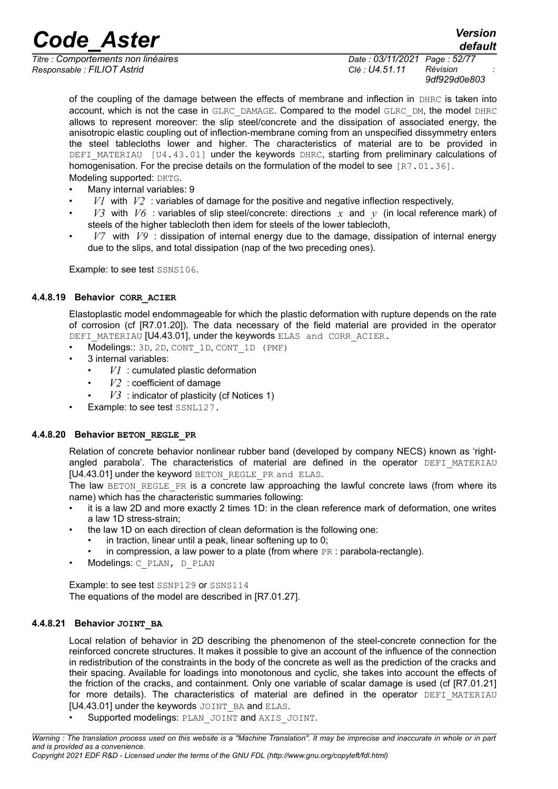*Titre : Comportements non linéaires Date : 03/11/2021 Page : 52/77 Responsable : FILIOT Astrid Clé : U4.51.11 Révision :*

*9df929d0e803*

*default*

of the coupling of the damage between the effects of membrane and inflection in DHRC is taken into account, which is not the case in GLRC\_DAMAGE. Compared to the model GLRC\_DM, the model DHRC allows to represent moreover: the slip steel/concrete and the dissipation of associated energy, the anisotropic elastic coupling out of inflection-membrane coming from an unspecified dissymmetry enters the steel tablecloths lower and higher. The characteristics of material are to be provided in DEFI\_MATERIAU [U4.43.01] under the keywords DHRC, starting from preliminary calculations of homogenisation. For the precise details on the formulation of the model to see  $[RT.01.36]$ . Modeling supported: DKTG.

- Many internal variables: 9
- $V1$  with  $V2$ : variables of damage for the positive and negative inflection respectively,
- $V3$  with  $V6$  : variables of slip steel/concrete: directions  $x$  and  $y$  (in local reference mark) of steels of the higher tablecloth then idem for steels of the lower tablecloth,
- *V7* with *V9* : dissipation of internal energy due to the damage, dissipation of internal energy due to the slips, and total dissipation (nap of the two preceding ones).

Example: to see test SSNS106.

# **4.4.8.19 Behavior CORR\_ACIER**

Elastoplastic model endommageable for which the plastic deformation with rupture depends on the rate of corrosion (cf [R7.01.20]). The data necessary of the field material are provided in the operator DEFI\_MATERIAU [U4.43.01], under the keywords ELAS and CORR\_ACIER.

- Modelings:: 3D, 2D, CONT\_1D, CONT\_1D (PMF)
- 3 internal variables:
	- $VI$ : cumulated plastic deformation
	- $V2$ : coefficient of damage
	- $V3$ : indicator of plasticity (cf Notices 1)
- Example: to see test SSNL127.

# **4.4.8.20 Behavior BETON\_REGLE\_PR**

Relation of concrete behavior nonlinear rubber band (developed by company NECS) known as 'rightangled parabola'. The characteristics of material are defined in the operator DEFI MATERIAU [U4.43.01] under the keyword BETON REGLE PR and ELAS.

The law BETON REGLE PR is a concrete law approaching the lawful concrete laws (from where its name) which has the characteristic summaries following:

- it is a law 2D and more exactly 2 times 1D: in the clean reference mark of deformation, one writes a law 1D stress-strain;
- the law 1D on each direction of clean deformation is the following one:
	- in traction, linear until a peak, linear softening up to 0;
	- in compression, a law power to a plate (from where  $PR : parabola-rectangle$ ).
- Modelings: C\_PLAN, D\_PLAN

Example: to see test SSNP129 or SSNS114 The equations of the model are described in [R7.01.27].

# **4.4.8.21 Behavior JOINT\_BA**

Local relation of behavior in 2D describing the phenomenon of the steel-concrete connection for the reinforced concrete structures. It makes it possible to give an account of the influence of the connection in redistribution of the constraints in the body of the concrete as well as the prediction of the cracks and their spacing. Available for loadings into monotonous and cyclic, she takes into account the effects of the friction of the cracks, and containment. Only one variable of scalar damage is used (cf [R7.01.21] for more details). The characteristics of material are defined in the operator DEFI MATERIAU [U4.43.01] under the keywords JOINT BA and ELAS.

Supported modelings: PLAN\_JOINT and AXIS\_JOINT.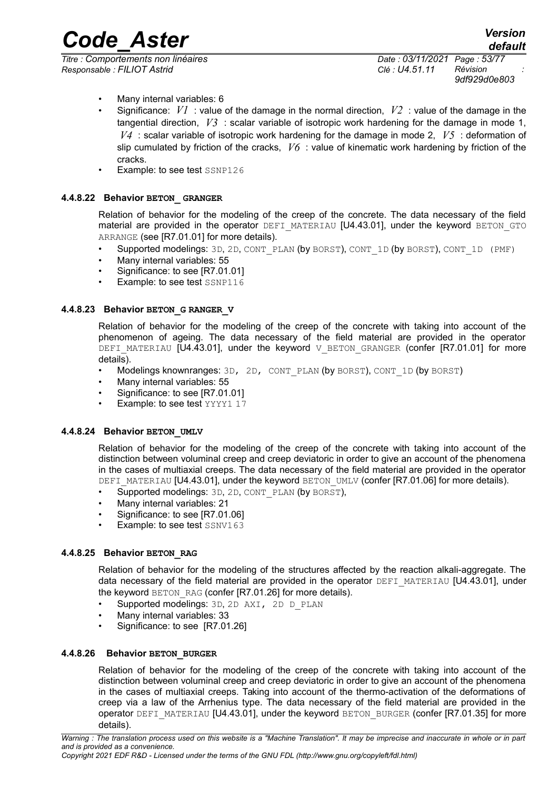*Code\_Aster Version default*

*Titre : Comportements non linéaires Date : 03/11/2021 Page : 53/77 Responsable : FILIOT Astrid Clé : U4.51.11 Révision :*

*9df929d0e803*

- Many internal variables: 6
- Significance: *V1* : value of the damage in the normal direction, *V2* : value of the damage in the tangential direction, *V3* : scalar variable of isotropic work hardening for the damage in mode 1, *V4* : scalar variable of isotropic work hardening for the damage in mode 2, *V5* : deformation of slip cumulated by friction of the cracks, *V6* : value of kinematic work hardening by friction of the cracks.
- Example: to see test SSNP126

#### **4.4.8.22 Behavior BETON\_ GRANGER**

Relation of behavior for the modeling of the creep of the concrete. The data necessary of the field material are provided in the operator DEFI\_MATERIAU [U4.43.01], under the keyword BETON GTO ARRANGE (see [R7.01.01] for more details).

- Supported modelings: 3D, 2D, CONT\_PLAN (by BORST), CONT\_1D (by BORST), CONT\_1D (PMF)
- Many internal variables: 55
- Significance: to see [R7.01.01]
- Example: to see test SSNP116

#### **4.4.8.23 Behavior BETON\_G RANGER\_V**

Relation of behavior for the modeling of the creep of the concrete with taking into account of the phenomenon of ageing. The data necessary of the field material are provided in the operator DEFI\_MATERIAU  $[U4.43.01]$ , under the keyword V\_BETON\_GRANGER (confer  $[R7.01.01]$  for more details).

- Modelings knownranges: 3D, 2D, CONT\_PLAN (by BORST), CONT\_1D (by BORST)
- Many internal variables: 55
- Significance: to see [R7.01.01]
- Example: to see test YYYY1 17

#### **4.4.8.24 Behavior BETON\_UMLV**

Relation of behavior for the modeling of the creep of the concrete with taking into account of the distinction between voluminal creep and creep deviatoric in order to give an account of the phenomena in the cases of multiaxial creeps. The data necessary of the field material are provided in the operator DEFI\_MATERIAU [U4.43.01], under the keyword BETON\_UMLV (confer [R7.01.06] for more details).

- Supported modelings: 3D, 2D, CONT PLAN (by BORST),
- Many internal variables: 21
- Significance: to see [R7.01.06]
- Example: to see test SSNV163

#### **4.4.8.25 Behavior BETON\_RAG**

Relation of behavior for the modeling of the structures affected by the reaction alkali-aggregate. The data necessary of the field material are provided in the operator DEFI\_MATERIAU [U4.43.01], under the keyword BETON RAG (confer [R7.01.26] for more details).

- Supported modelings: 3D, 2D AXI, 2D D\_PLAN
- Many internal variables: 33
- Significance: to see [R7.01.26]

#### **4.4.8.26 Behavior BETON\_BURGER**

Relation of behavior for the modeling of the creep of the concrete with taking into account of the distinction between voluminal creep and creep deviatoric in order to give an account of the phenomena in the cases of multiaxial creeps. Taking into account of the thermo-activation of the deformations of creep via a law of the Arrhenius type. The data necessary of the field material are provided in the operator DEFI\_MATERIAU [U4.43.01], under the keyword BETON\_BURGER (confer [R7.01.35] for more details).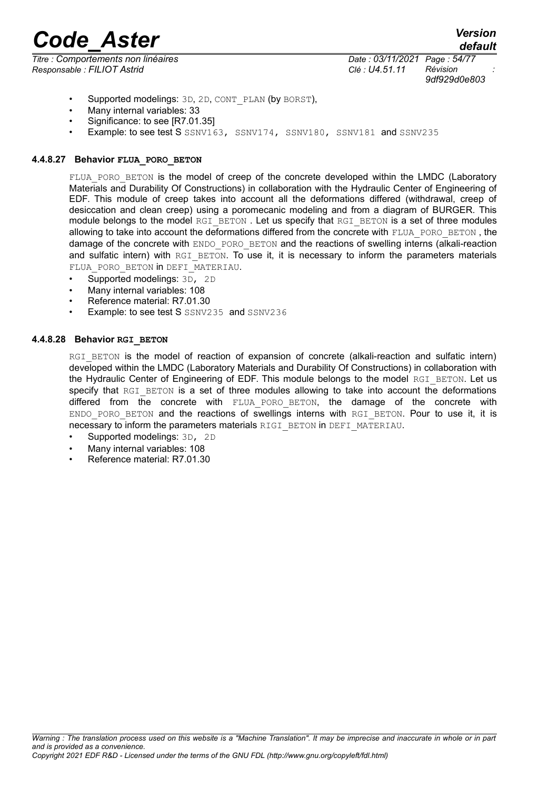*Titre : Comportements non linéaires Date : 03/11/2021 Page : 54/77 Responsable : FILIOT Astrid Clé : U4.51.11 Révision :*

*9df929d0e803*

- Supported modelings: 3D, 2D, CONT PLAN (by BORST).
- Many internal variables: 33
- Significance: to see IR7.01.351
- Example: to see test S SSNV163, SSNV174, SSNV180, SSNV181 and SSNV235

### **4.4.8.27 Behavior FLUA\_PORO\_BETON**

FLUA PORO BETON is the model of creep of the concrete developed within the LMDC (Laboratory Materials and Durability Of Constructions) in collaboration with the Hydraulic Center of Engineering of EDF. This module of creep takes into account all the deformations differed (withdrawal, creep of desiccation and clean creep) using a poromecanic modeling and from a diagram of BURGER. This module belongs to the model RGI\_BETON. Let us specify that RGI\_BETON is a set of three modules allowing to take into account the deformations differed from the concrete with FLUA\_PORO\_BETON, the damage of the concrete with ENDO\_PORO\_BETON and the reactions of swelling interns (alkali-reaction and sulfatic intern) with RGI\_BETON. To use it, it is necessary to inform the parameters materials FLUA PORO BETON in DEFI\_MATERIAU.

• Supported modelings: 3D, 2D

- Many internal variables: 108
- Reference material: R7.01.30
- Example: to see test S SSNV235 and SSNV236

# **4.4.8.28 Behavior RGI\_BETON**

RGI\_BETON is the model of reaction of expansion of concrete (alkali-reaction and sulfatic intern) developed within the LMDC (Laboratory Materials and Durability Of Constructions) in collaboration with the Hydraulic Center of Engineering of EDF. This module belongs to the model RGI\_BETON. Let us specify that RGI\_BETON is a set of three modules allowing to take into account the deformations differed from the concrete with FLUA PORO\_BETON, the damage of the concrete with ENDO PORO BETON and the reactions of swellings interns with RGI\_BETON. Pour to use it, it is necessary to inform the parameters materials RIGI\_BETON in DEFI\_MATERIAU.

- Supported modelings: 3D, 2D
- Many internal variables: 108
- Reference material: R7.01.30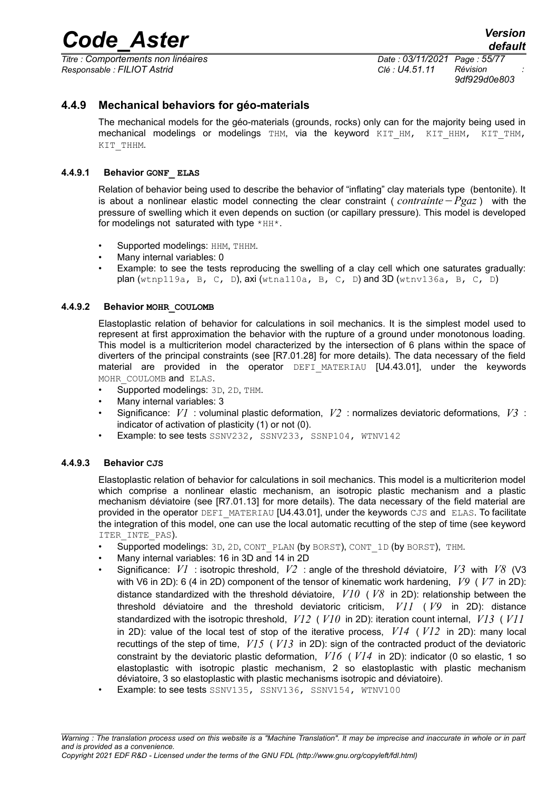*Titre : Comportements non linéaires Date : 03/11/2021 Page : 55/77 Responsable : FILIOT Astrid Clé : U4.51.11 Révision :*

*default*

*9df929d0e803*

# **4.4.9 Mechanical behaviors for géo-materials**

The mechanical models for the géo-materials (grounds, rocks) only can for the majority being used in mechanical modelings or modelings THM, via the keyword KIT HM, KIT HHM, KIT THM, KIT\_THHM.

# **4.4.9.1 Behavior GONF\_ ELAS**

Relation of behavior being used to describe the behavior of "inflating" clay materials type (bentonite). It is about a nonlinear elastic model connecting the clear constraint ( *contrainte*−*Pgaz* ) with the pressure of swelling which it even depends on suction (or capillary pressure). This model is developed for modelings not saturated with type  $*HH*$ .

- Supported modelings: HHM, THHM.
- Many internal variables: 0
- Example: to see the tests reproducing the swelling of a clay cell which one saturates gradually: plan (wtnp119a, B, C, D), axi (wtna110a, B, C, D) and 3D (wtnv136a, B, C, D)

# **4.4.9.2 Behavior MOHR\_COULOMB**

Elastoplastic relation of behavior for calculations in soil mechanics. It is the simplest model used to represent at first approximation the behavior with the rupture of a ground under monotonous loading. This model is a multicriterion model characterized by the intersection of 6 plans within the space of diverters of the principal constraints (see [R7.01.28] for more details). The data necessary of the field material are provided in the operator DEFI\_MATERIAU [U4.43.01], under the keywords MOHR COULOMB and ELAS.

- Supported modelings: 3D, 2D, THM.
- Many internal variables: 3
- Significance: *V1* : voluminal plastic deformation, *V2* : normalizes deviatoric deformations, *V3* : indicator of activation of plasticity (1) or not (0).
- Example: to see tests SSNV232, SSNV233, SSNP104, WTNV142

#### **4.4.9.3 Behavior CJS**

Elastoplastic relation of behavior for calculations in soil mechanics. This model is a multicriterion model which comprise a nonlinear elastic mechanism, an isotropic plastic mechanism and a plastic mechanism déviatoire (see [R7.01.13] for more details). The data necessary of the field material are provided in the operator DEFI\_MATERIAU [U4.43.01], under the keywords CJS and ELAS. To facilitate the integration of this model, one can use the local automatic recutting of the step of time (see keyword ITER INTE PAS).

- Supported modelings: 3D, 2D, CONT\_PLAN (by BORST), CONT\_1D (by BORST), THM.
- Many internal variables: 16 in 3D and 14 in 2D
- Significance: *V1* : isotropic threshold, *V2* : angle of the threshold déviatoire, *V3* with *V8* (V3 with V6 in 2D): 6 (4 in 2D) component of the tensor of kinematic work hardening, *V9* ( *V7* in 2D): distance standardized with the threshold déviatoire, *V10* ( *V8* in 2D): relationship between the threshold déviatoire and the threshold deviatoric criticism, *V11* ( *V9* in 2D): distance standardized with the isotropic threshold, *V12* ( *V10* in 2D): iteration count internal, *V13* ( *V11* in 2D): value of the local test of stop of the iterative process, *V14* ( *V12* in 2D): many local recuttings of the step of time, *V15* ( *V13* in 2D): sign of the contracted product of the deviatoric constraint by the deviatoric plastic deformation, *V16* ( *V14* in 2D): indicator (0 so elastic, 1 so elastoplastic with isotropic plastic mechanism, 2 so elastoplastic with plastic mechanism déviatoire, 3 so elastoplastic with plastic mechanisms isotropic and déviatoire).
- Example: to see tests SSNV135, SSNV136, SSNV154, WTNV100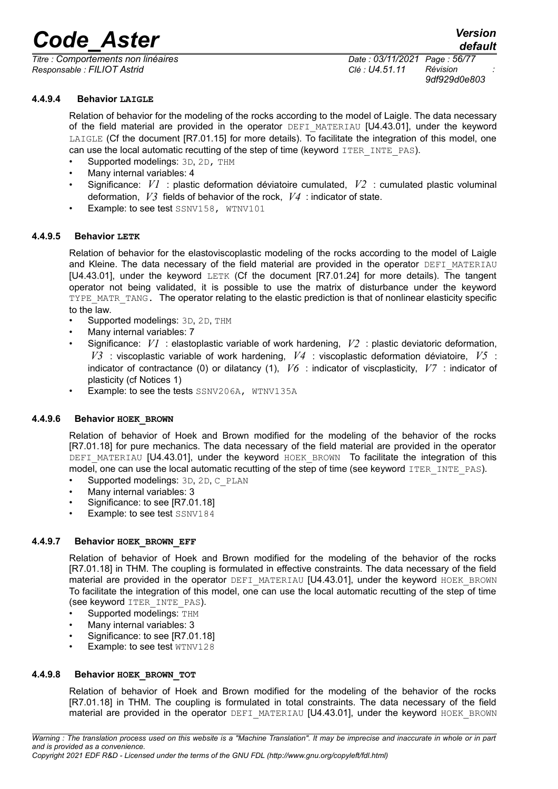*Titre : Comportements non linéaires Date : 03/11/2021 Page : 56/77 Responsable : FILIOT Astrid Clé : U4.51.11 Révision :*

*default 9df929d0e803*

# **4.4.9.4 Behavior LAIGLE**

Relation of behavior for the modeling of the rocks according to the model of Laigle. The data necessary of the field material are provided in the operator DEFI MATERIAU [U4.43.01], under the keyword LAIGLE (Cf the document  $[RT.01.15]$  for more details). To facilitate the integration of this model, one can use the local automatic recutting of the step of time (keyword ITER INTE PAS).

- Supported modelings: 3D, 2D, THM
- Many internal variables: 4
- Significance: *V1* : plastic deformation déviatoire cumulated, *V2* : cumulated plastic voluminal deformation, *V3* fields of behavior of the rock, *V4* : indicator of state.
- Example: to see test SSNV158, WTNV101

#### **4.4.9.5 Behavior LETK**

Relation of behavior for the elastoviscoplastic modeling of the rocks according to the model of Laigle and Kleine. The data necessary of the field material are provided in the operator DEFI\_MATERIAU [U4.43.01], under the keyword LETK (Cf the document [R7.01.24] for more details). The tangent operator not being validated, it is possible to use the matrix of disturbance under the keyword TYPE\_MATR\_TANG. The operator relating to the elastic prediction is that of nonlinear elasticity specific to the law.

- Supported modelings: 3D, 2D, THM
- Many internal variables: 7
- Significance: *V1* : elastoplastic variable of work hardening, *V2* : plastic deviatoric deformation, *V3* : viscoplastic variable of work hardening, *V4* : viscoplastic deformation déviatoire, *V5* : indicator of contractance (0) or dilatancy (1), *V6* : indicator of viscplasticity, *V7* : indicator of plasticity (cf Notices 1)
- Example: to see the tests SSNV206A, WTNV135A

#### **4.4.9.6 Behavior HOEK\_BROWN**

Relation of behavior of Hoek and Brown modified for the modeling of the behavior of the rocks [R7.01.18] for pure mechanics. The data necessary of the field material are provided in the operator DEFI\_MATERIAU [U4.43.01], under the keyword HOEK\_BROWN To facilitate the integration of this model, one can use the local automatic recutting of the step of time (see keyword ITER INTE\_PAS).

- Supported modelings: 3D, 2D, C\_PLAN
- Many internal variables: 3
- Significance: to see [R7.01.18]
- Example: to see test SSNV184

#### **4.4.9.7 Behavior HOEK\_BROWN\_EFF**

Relation of behavior of Hoek and Brown modified for the modeling of the behavior of the rocks [R7.01.18] in THM. The coupling is formulated in effective constraints. The data necessary of the field material are provided in the operator DEFI\_MATERIAU [U4.43.01], under the keyword HOEK\_BROWN To facilitate the integration of this model, one can use the local automatic recutting of the step of time (see keyword ITER\_INTE\_PAS).

- Supported modelings: THM
- Many internal variables: 3
- Significance: to see [R7.01.18]
- Example: to see test WTNV128

#### **4.4.9.8 Behavior HOEK\_BROWN\_TOT**

Relation of behavior of Hoek and Brown modified for the modeling of the behavior of the rocks [R7.01.18] in THM. The coupling is formulated in total constraints. The data necessary of the field material are provided in the operator DEFI\_MATERIAU [U4.43.01], under the keyword HOEK\_BROWN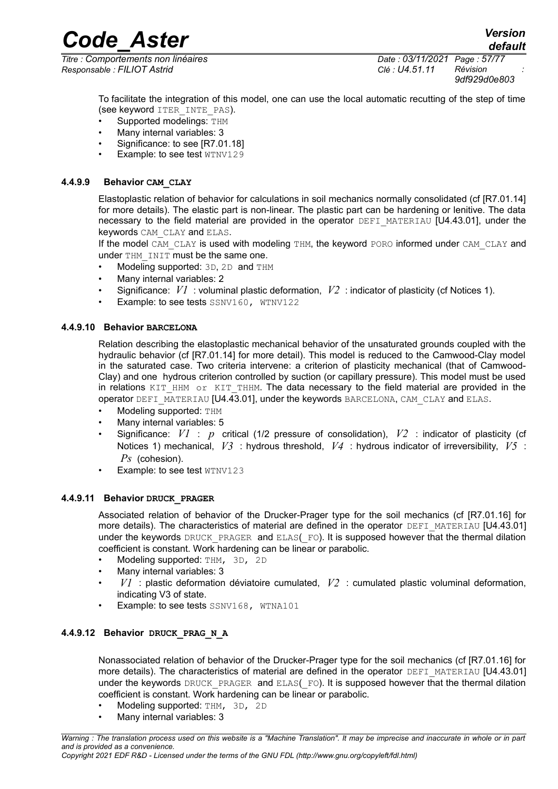*Titre : Comportements non linéaires Date : 03/11/2021 Page : 57/77 Responsable : FILIOT Astrid Clé : U4.51.11 Révision :*

*Code\_Aster Version default*

*9df929d0e803*

To facilitate the integration of this model, one can use the local automatic recutting of the step of time (see keyword ITER\_INTE\_PAS).

- Supported modelings: THM
- Many internal variables: 3
- Significance: to see [R7.01.18]
- Example: to see test WTNV129

### **4.4.9.9 Behavior CAM\_CLAY**

Elastoplastic relation of behavior for calculations in soil mechanics normally consolidated (cf [R7.01.14] for more details). The elastic part is non-linear. The plastic part can be hardening or lenitive. The data necessary to the field material are provided in the operator  $DEFI$  MATERIAU  $[U4.43.01]$ , under the keywords CAM CLAY and ELAS.

If the model CAM\_CLAY is used with modeling THM, the keyword PORO informed under CAM\_CLAY and under THM INIT must be the same one.

- Modeling supported: 3D, 2D and THM
- Many internal variables: 2
- Significance: *V1* : voluminal plastic deformation, *V2* : indicator of plasticity (cf Notices 1).
- Example: to see tests SSNV160, WTNV122

# **4.4.9.10 Behavior BARCELONA**

Relation describing the elastoplastic mechanical behavior of the unsaturated grounds coupled with the hydraulic behavior (cf [R7.01.14] for more detail). This model is reduced to the Camwood-Clay model in the saturated case. Two criteria intervene: a criterion of plasticity mechanical (that of Camwood-Clay) and one hydrous criterion controlled by suction (or capillary pressure). This model must be used in relations  $KIT$  HHM or  $KIT$  THHM. The data necessary to the field material are provided in the operator DEFI\_MATERIAU [U4.43.01], under the keywords BARCELONA, CAM\_CLAY and ELAS.

- Modeling supported: THM
- Many internal variables: 5
- Significance: *V1* : *p* critical (1/2 pressure of consolidation), *V2* : indicator of plasticity (cf Notices 1) mechanical, *V3* : hydrous threshold, *V4* : hydrous indicator of irreversibility, *V5* : *Ps* (cohesion).
- Example: to see test WTNV123

### **4.4.9.11 Behavior DRUCK\_PRAGER**

Associated relation of behavior of the Drucker-Prager type for the soil mechanics (cf [R7.01.16] for more details). The characteristics of material are defined in the operator DEFI\_MATERIAU [U4.43.01] under the keywords DRUCK PRAGER and ELAS(FO). It is supposed however that the thermal dilation coefficient is constant. Work hardening can be linear or parabolic.

- Modeling supported: THM, 3D, 2D
- Many internal variables: 3
- *V1* : plastic deformation déviatoire cumulated, *V2* : cumulated plastic voluminal deformation, indicating V3 of state.
- Example: to see tests SSNV168, WTNA101

# **4.4.9.12 Behavior DRUCK\_PRAG\_N\_A**

Nonassociated relation of behavior of the Drucker-Prager type for the soil mechanics (cf [R7.01.16] for more details). The characteristics of material are defined in the operator DEFI\_MATERIAU [U4.43.01] under the keywords DRUCK PRAGER and ELAS(FO). It is supposed however that the thermal dilation coefficient is constant. Work hardening can be linear or parabolic.

- Modeling supported: THM, 3D, 2D
- Many internal variables: 3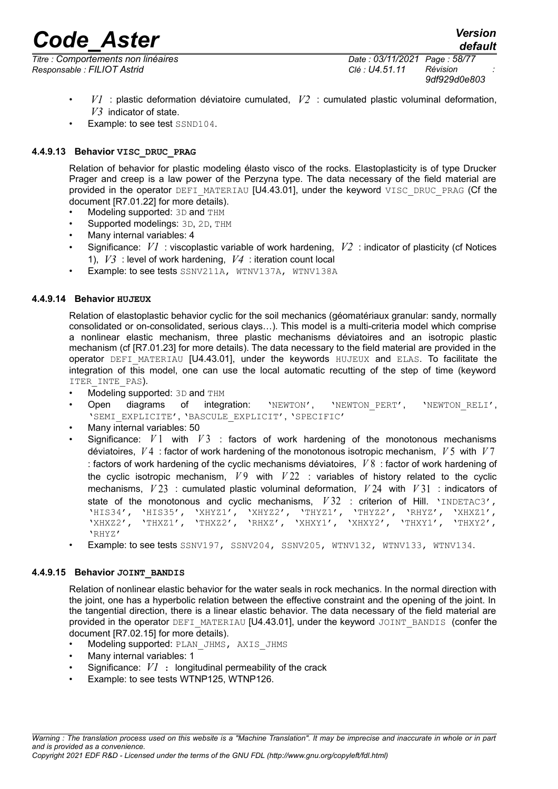*Titre : Comportements non linéaires Date : 03/11/2021 Page : 58/77 Responsable : FILIOT Astrid Clé : U4.51.11 Révision :*

*9df929d0e803*

- *V1* : plastic deformation déviatoire cumulated, *V2* : cumulated plastic voluminal deformation, *V3* indicator of state.
- Example: to see test SSND104.

# **4.4.9.13 Behavior VISC\_DRUC\_PRAG**

Relation of behavior for plastic modeling élasto visco of the rocks. Elastoplasticity is of type Drucker Prager and creep is a law power of the Perzyna type. The data necessary of the field material are provided in the operator DEFI\_MATERIAU [U4.43.01], under the keyword VISC\_DRUC\_PRAG (Cf the document [R7.01.22] for more details).

- Modeling supported: 3D and THM
- Supported modelings: 3D, 2D, THM
- Many internal variables: 4
- Significance: *V1* : viscoplastic variable of work hardening, *V2* : indicator of plasticity (cf Notices 1), *V3* : level of work hardening, *V4* : iteration count local
- Example: to see tests SSNV211A, WTNV137A, WTNV138A

#### **4.4.9.14 Behavior HUJEUX**

Relation of elastoplastic behavior cyclic for the soil mechanics (géomatériaux granular: sandy, normally consolidated or on-consolidated, serious clays…). This model is a multi-criteria model which comprise a nonlinear elastic mechanism, three plastic mechanisms déviatoires and an isotropic plastic mechanism (cf [R7.01.23] for more details). The data necessary to the field material are provided in the operator DEFI\_MATERIAU [U4.43.01], under the keywords HUJEUX and ELAS. To facilitate the integration of this model, one can use the local automatic recutting of the step of time (keyword ITER INTE PAS).

- Modeling supported: 3D and THM
- Open diagrams of integration: 'NEWTON', 'NEWTON\_PERT', 'NEWTON\_RELI', 'SEMI\_EXPLICITE', 'BASCULE\_EXPLICIT', 'SPECIFIC'
- Many internal variables: 50
- Significance: *V* 1 with *V* 3 : factors of work hardening of the monotonous mechanisms déviatoires, *V* 4 : factor of work hardening of the monotonous isotropic mechanism, *V* 5 with *V* 7 : factors of work hardening of the cyclic mechanisms déviatoires, *V* 8 : factor of work hardening of the cyclic isotropic mechanism,  $V9$  with  $V22$ : variables of history related to the cyclic mechanisms, *V* 23 : cumulated plastic voluminal deformation, *V* 24 with *V* 31 : indicators of state of the monotonous and cyclic mechanisms,  $V32$ : criterion of Hill. 'INDETAC3', 'HIS34', 'HIS35', 'XHYZ1', 'XHYZ2', 'THYZ1', 'THYZ2', 'RHYZ', 'XHXZ1', 'XHXZ2', 'THXZ1', 'THXZ2', 'RHXZ', 'XHXY1', 'XHXY2', 'THXY1', 'THXY2', 'RHYZ'
- Example: to see tests SSNV197, SSNV204, SSNV205, WTNV132, WTNV133, WTNV134.

#### **4.4.9.15 Behavior JOINT\_BANDIS**

Relation of nonlinear elastic behavior for the water seals in rock mechanics. In the normal direction with the joint, one has a hyperbolic relation between the effective constraint and the opening of the joint. In the tangential direction, there is a linear elastic behavior. The data necessary of the field material are provided in the operator DEFI\_MATERIAU [U4.43.01], under the keyword JOINT\_BANDIS (confer the document [R7.02.15] for more details).

- Modeling supported: PLAN\_JHMS, AXIS\_JHMS
- Many internal variables: 1
- Significance: *V1* : longitudinal permeability of the crack
- Example: to see tests WTNP125, WTNP126.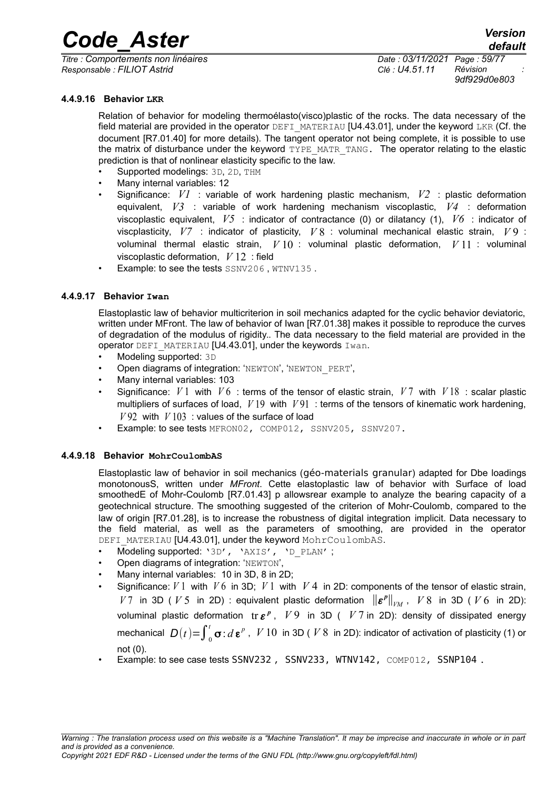*Titre : Comportements non linéaires Date : 03/11/2021 Page : 59/77 Responsable : FILIOT Astrid Clé : U4.51.11 Révision :*

*default 9df929d0e803*

**4.4.9.16 Behavior LKR**

Relation of behavior for modeling thermoélasto(visco)plastic of the rocks. The data necessary of the field material are provided in the operator DEFI\_MATERIAU [U4.43.01], under the keyword LKR (Cf. the document [R7.01.40] for more details). The tangent operator not being complete, it is possible to use the matrix of disturbance under the keyword TYPE\_MATR\_TANG. The operator relating to the elastic prediction is that of nonlinear elasticity specific to the law.

- Supported modelings: 3D, 2D, THM
- Many internal variables: 12
- Significance: *V1* : variable of work hardening plastic mechanism, *V2* : plastic deformation equivalent, *V3* : variable of work hardening mechanism viscoplastic, *V4* : deformation viscoplastic equivalent, *V5* : indicator of contractance (0) or dilatancy (1), *V6* : indicator of viscplasticity, *V7* : indicator of plasticity, *V* 8 : voluminal mechanical elastic strain, *V* 9 : voluminal thermal elastic strain, *V* 10 : voluminal plastic deformation, *V* 11 : voluminal viscoplastic deformation, *V* 12 : field
- Example: to see the tests SSNV206, WTNV135.

# **4.4.9.17 Behavior Iwan**

Elastoplastic law of behavior multicriterion in soil mechanics adapted for the cyclic behavior deviatoric, written under MFront. The law of behavior of Iwan [R7.01.38] makes it possible to reproduce the curves of degradation of the modulus of rigidity.. The data necessary to the field material are provided in the operator DEFI\_MATERIAU [U4.43.01], under the keywords Iwan.

- Modeling supported: 3D
- Open diagrams of integration: 'NEWTON', 'NEWTON\_PERT',
- Many internal variables: 103
- Significance: *V* 1 with *V* 6 : terms of the tensor of elastic strain, *V* 7 with *V* 18 : scalar plastic multipliers of surfaces of load, *V* 19 with *V* 91 : terms of the tensors of kinematic work hardening,  $V$ 92 with  $V$ 103 : values of the surface of load
- Example: to see tests MFRON02, COMP012, SSNV205, SSNV207.

# **4.4.9.18 Behavior MohrCoulombAS**

Elastoplastic law of behavior in soil mechanics (géo-materials granular) adapted for Dbe loadings monotonousS, written under *MFront*. Cette elastoplastic law of behavior with Surface of load smoothedE of Mohr-Coulomb [R7.01.43] p allowsrear example to analyze the bearing capacity of a geotechnical structure. The smoothing suggested of the criterion of Mohr-Coulomb, compared to the law of origin [R7.01.28], is to increase the robustness of digital integration implicit. Data necessary to the field material, as well as the parameters of smoothing, are provided in the operator DEFI\_MATERIAU [U4.43.01], under the keyword MohrCoulombAS.

- Modeling supported: '3D', 'AXIS', 'D\_PLAN' ;
- Open diagrams of integration: 'NEWTON',
- Many internal variables: 10 in 3D, 8 in 2D;
	- Significance:  $V1$  with  $V6$  in 3D;  $V1$  with  $V4$  in 2D: components of the tensor of elastic strain, *V* 7 in 3D ( *V* 5 in 2D) : equivalent plastic deformation  $\|\boldsymbol{\varepsilon}^p\|_{VM}$ , *V* 8 in 3D ( *V* 6 in 2D): voluminal plastic deformation tr ε<sup>ρ</sup>, V9 in 3D ( V7 in 2D): density of dissipated energy mechanical  $D(t)=\int_0^t$ σ: *d* ε<sup>*p*</sup>, *V* 10 in 3D ( *V* 8 in 2D): indicator of activation of plasticity (1) or not (0).
- Example: to see case tests SSNV232, SSNV233, WTNV142, COMP012, SSNP104.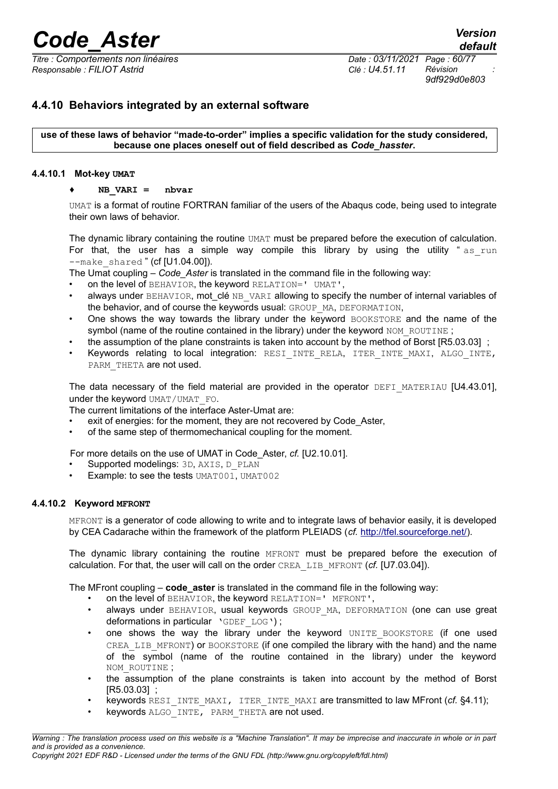*Titre : Comportements non linéaires Date : 03/11/2021 Page : 60/77 Responsable : FILIOT Astrid Clé : U4.51.11 Révision :*

*default 9df929d0e803*

# **4.4.10 Behaviors integrated by an external software**

**use of these laws of behavior "made-to-order" implies a specific validation for the study considered, because one places oneself out of field described as** *Code\_hasster***.**

#### **4.4.10.1 Mot-key UMAT**

#### ♦ **NB\_VARI = nbvar**

UMAT is a format of routine FORTRAN familiar of the users of the Abaqus code, being used to integrate their own laws of behavior.

The dynamic library containing the routine UMAT must be prepared before the execution of calculation. For that, the user has a simple way compile this library by using the utility "as run  $--$ make shared " (cf  $[U1.04.00]$ ).

The Umat coupling – *Code\_Aster* is translated in the command file in the following way:

- on the level of BEHAVIOR, the keyword RELATION=' UMAT',
- always under BEHAVIOR, mot\_clé NB\_VARI allowing to specify the number of internal variables of the behavior, and of course the keywords usual: GROUP\_MA, DEFORMATION,
- One shows the way towards the library under the keyword BOOKSTORE and the name of the symbol (name of the routine contained in the library) under the keyword NOM\_ROUTINE ;
- the assumption of the plane constraints is taken into account by the method of Borst [R5.03.03] ;
- Keywords relating to local integration: RESI INTE RELA, ITER INTE MAXI, ALGO INTE, PARM THETA are not used.

The data necessary of the field material are provided in the operator DEFI\_MATERIAU [U4.43.01]. under the keyword UMAT/UMAT\_FO.

The current limitations of the interface Aster-Umat are:

- exit of energies: for the moment, they are not recovered by Code Aster,
- of the same step of thermomechanical coupling for the moment.

For more details on the use of UMAT in Code\_Aster, *cf.* [U2.10.01].

- Supported modelings: 3D, AXIS, D\_PLAN
- Example: to see the tests UMAT001, UMAT002

# **4.4.10.2 Keyword MFRONT**

MFRONT is a generator of code allowing to write and to integrate laws of behavior easily, it is developed by CEA Cadarache within the framework of the platform PLEIADS (*cf.* [http://tfel.sourceforge.net/\)](http://tfel.sourceforge.net/).

The dynamic library containing the routine MFRONT must be prepared before the execution of calculation. For that, the user will call on the order CREA\_LIB\_MFRONT (*cf.* [U7.03.04]).

The MFront coupling – **code\_aster** is translated in the command file in the following way:

- on the level of BEHAVIOR, the keyword RELATION=' MFRONT',
- always under BEHAVIOR, usual keywords GROUP MA, DEFORMATION (one can use great deformations in particular 'GDEF LOG');
- one shows the way the library under the keyword UNITE\_BOOKSTORE (if one used CREA LIB MFRONT) or BOOKSTORE (if one compiled the library with the hand) and the name of the symbol (name of the routine contained in the library) under the keyword NOM\_ROUTINE ;
- the assumption of the plane constraints is taken into account by the method of Borst [R5.03.03] ;
- keywords RESI\_INTE\_MAXI, ITER\_INTE\_MAXI are transmitted to law MFront (*cf.* [§4.11\)](#page-74-0);
- keywords ALGO\_INTE, PARM\_THETA are not used.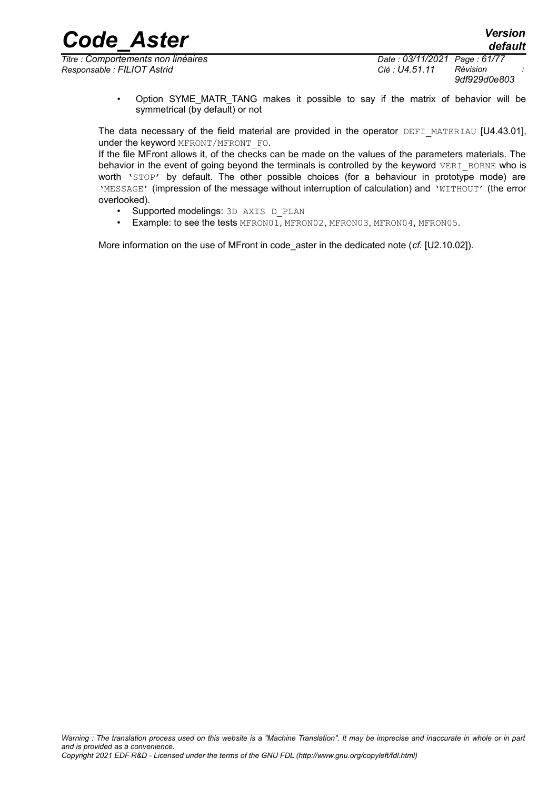*Code\_Aster Version default*

*Titre : Comportements non linéaires Date : 03/11/2021 Page : 61/77 Responsable : FILIOT Astrid Clé : U4.51.11 Révision :*

*9df929d0e803*

Option SYME MATR TANG makes it possible to say if the matrix of behavior will be symmetrical (by default) or not

The data necessary of the field material are provided in the operator DEFI\_MATERIAU [U4.43.01]. under the keyword MFRONT/MFRONT FO.

If the file MFront allows it, of the checks can be made on the values of the parameters materials. The behavior in the event of going beyond the terminals is controlled by the keyword  $VERI$  BORNE who is worth 'STOP' by default. The other possible choices (for a behaviour in prototype mode) are 'MESSAGE' (impression of the message without interruption of calculation) and 'WITHOUT' (the error overlooked).

- Supported modelings: 3D AXIS D PLAN
- Example: to see the tests MFRON01, MFRON02, MFRON03, MFRON04, MFRON05.

More information on the use of MFront in code\_aster in the dedicated note (*cf.* [U2.10.02]).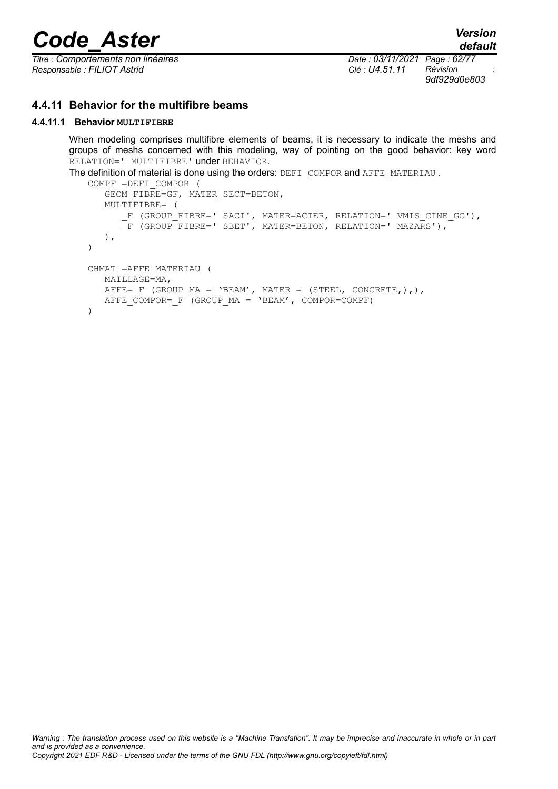*Titre : Comportements non linéaires Date : 03/11/2021 Page : 62/77 Responsable : FILIOT Astrid Clé : U4.51.11 Révision :*

*9df929d0e803*

# **4.4.11 Behavior for the multifibre beams**

# **4.4.11.1 Behavior MULTIFIBRE**

When modeling comprises multifibre elements of beams, it is necessary to indicate the meshs and groups of meshs concerned with this modeling, way of pointing on the good behavior: key word RELATION=' MULTIFIBRE' under BEHAVIOR.

```
The definition of material is done using the orders: DEFI_COMPOR and AFFE_MATERIAU.
```

```
COMPF =DEFI_COMPOR (
   GEOM_FIBRE=GF, MATER_SECT=BETON,
    MULTIFIBRE= ( 
        _F (GROUP_FIBRE=' SACI', MATER=ACIER, RELATION=' VMIS_CINE_GC'),
       \overline{\phantom{a}}F (GROUP\overline{\phantom{a}}FIBRE=' SBET', MATER=BETON, RELATION=' MAZARS'),
    ),
)
CHMAT =AFFE_MATERIAU ( 
    MAILLAGE=MA,
   \texttt{AFFE} = \texttt{F} (GROUP_MA = 'BEAM', MATER = (STEEL, CONCRETE, ), ),
   AFFE COMPOR= F (GROUP MA = 'BEAM', COMPOR=COMPF)
\lambda
```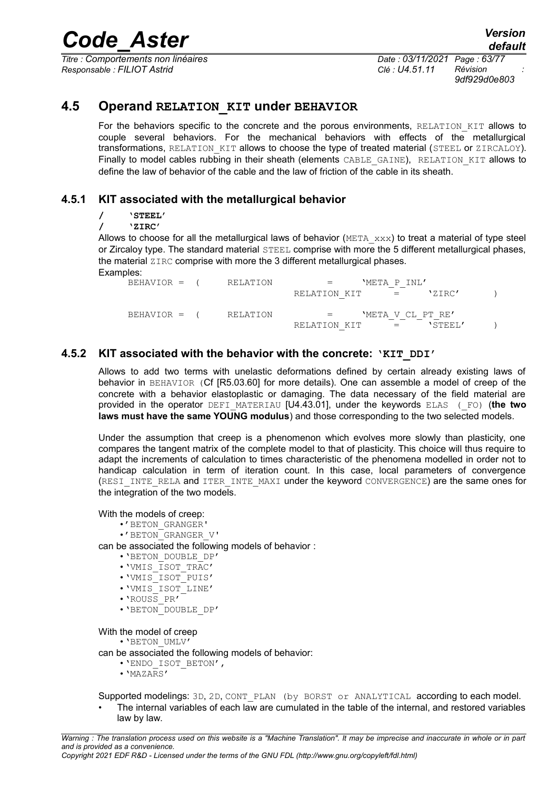*Titre : Comportements non linéaires Date : 03/11/2021 Page : 63/77 Responsable : FILIOT Astrid Clé : U4.51.11 Révision :*

*default*

*9df929d0e803*

# **4.5 Operand RELATION\_KIT under BEHAVIOR**

For the behaviors specific to the concrete and the porous environments, RELATION KIT allows to couple several behaviors. For the mechanical behaviors with effects of the metallurgical transformations, RELATION KIT allows to choose the type of treated material (STEEL or ZIRCALOY). Finally to model cables rubbing in their sheath (elements CABLE GAINE), RELATION KIT allows to define the law of behavior of the cable and the law of friction of the cable in its sheath.

# **4.5.1 KIT associated with the metallurgical behavior**

**/ 'STEEL'**

**/ 'ZIRC'**

Allows to choose for all the metallurgical laws of behavior ( $META$ <sub>xxx</sub>) to treat a material of type steel or Zircaloy type. The standard material STEEL comprise with more the 5 different metallurgical phases, the material ZIRC comprise with more the 3 different metallurgical phases. Examples:

| BEHAVIOR = (   | RELATION |                   | 'META P INI'                                                                                              |         |  |
|----------------|----------|-------------------|-----------------------------------------------------------------------------------------------------------|---------|--|
|                |          | RELATION KIT      | $\label{eq:1} \mathcal{L}_{\mathcal{A}}(x) = \mathcal{L}_{\mathcal{A}}(x) + \mathcal{L}_{\mathcal{A}}(x)$ | 'ZIRC'  |  |
| $BEHAVIOR = ($ | RELATION | $\equiv$ $\equiv$ | 'META V CL PT RE'                                                                                         |         |  |
|                |          | RELATION KIT      | $\mathcal{L} = \mathcal{L} \mathcal{L}$                                                                   | 'STEEL' |  |

# **4.5.2 KIT associated with the behavior with the concrete: 'KIT\_DDI'**

Allows to add two terms with unelastic deformations defined by certain already existing laws of behavior in BEHAVIOR (Cf [R5.03.60] for more details). One can assemble a model of creep of the concrete with a behavior elastoplastic or damaging. The data necessary of the field material are provided in the operator DEFI\_MATERIAU [U4.43.01], under the keywords ELAS (\_FO) (**the two laws must have the same YOUNG modulus**) and those corresponding to the two selected models.

Under the assumption that creep is a phenomenon which evolves more slowly than plasticity, one compares the tangent matrix of the complete model to that of plasticity. This choice will thus require to adapt the increments of calculation to times characteristic of the phenomena modelled in order not to handicap calculation in term of iteration count. In this case, local parameters of convergence (RESI\_INTE\_RELA and ITER\_INTE\_MAXI under the keyword CONVERGENCE) are the same ones for the integration of the two models.

With the models of creep:

- •'BETON\_GRANGER'
- •'BETON\_GRANGER\_V'

can be associated the following models of behavior :

- •'BETON\_DOUBLE\_DP'
- •'VMIS\_ISOT\_TRAC'
- •'VMIS\_ISOT\_PUIS'
- •'VMIS\_ISOT\_LINE'
- •'ROUSS\_PR'
- •'BETON\_DOUBLE\_DP'

With the model of creep

•'BETON\_UMLV'

can be associated the following models of behavior:

- •'ENDO\_ISOT\_BETON',
- $\cdot$ 'MAZARS'

Supported modelings: 3D, 2D, CONT\_PLAN (by BORST or ANALYTICAL according to each model. • The internal variables of each law are cumulated in the table of the internal, and restored variables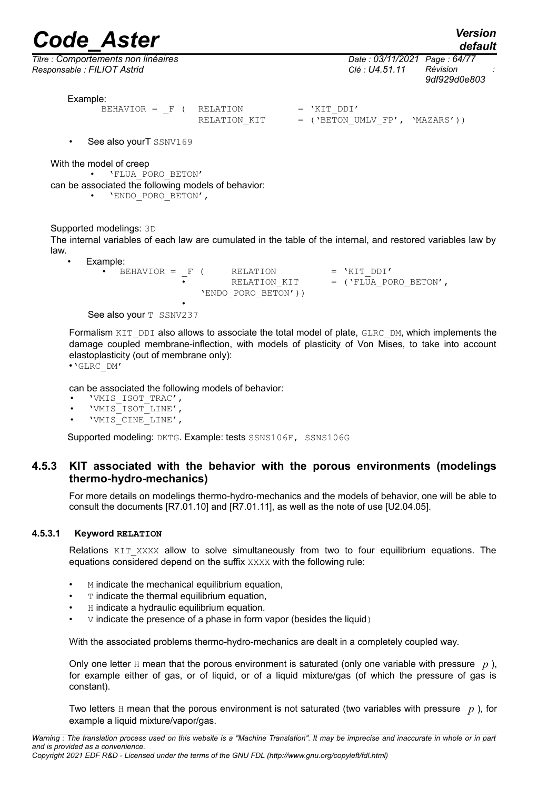*default*

*Responsable : FILIOT Astrid Clé : U4.51.11 Révision :*

*Titre : Comportements non linéaires Date : 03/11/2021 Page : 64/77 9df929d0e803*

Example:

| BEHAVIOR = $F$ ( RELATION |              | $=$ 'KIT DDI'                    |
|---------------------------|--------------|----------------------------------|
|                           | RELATION KIT | $=$ ('BETON UMLV FP', 'MAZARS')) |

• See also yourT SSNV169

With the model of creep

• 'FLUA\_PORO\_BETON' can be associated the following models of behavior: • 'ENDO\_PORO\_BETON',

Supported modelings: 3D

The internal variables of each law are cumulated in the table of the internal, and restored variables law by law.

• Example:

 $BEHAVIOR = F ( RELATION = 'KIT_DDI'$ RELATION KIT  $=$  ('FLUA PORO BETON', 'ENDO PORO BETON')) •

See also your T SSNV237

Formalism KIT\_DDI also allows to associate the total model of plate, GLRC\_DM, which implements the damage coupled membrane-inflection, with models of plasticity of Von Mises, to take into account elastoplasticity (out of membrane only):

•'GLRC\_DM'

can be associated the following models of behavior:

- 'VMIS\_ISOT\_TRAC',
- 'VMIS\_ISOT\_LINE',
- 'VMIS<sup>-</sup>CINE<sup>-LINE',</sup>

Supported modeling: DKTG. Example: tests SSNS106F, SSNS106G

# **4.5.3 KIT associated with the behavior with the porous environments (modelings thermo-hydro-mechanics)**

For more details on modelings thermo-hydro-mechanics and the models of behavior, one will be able to consult the documents [R7.01.10] and [R7.01.11], as well as the note of use [U2.04.05].

#### **4.5.3.1 Keyword RELATION**

Relations KIT XXXX allow to solve simultaneously from two to four equilibrium equations. The equations considered depend on the suffix XXXX with the following rule:

- M indicate the mechanical equilibrium equation,
- $\cdot$  T indicate the thermal equilibrium equation,
- H indicate a hydraulic equilibrium equation.
- $\nabla$  indicate the presence of a phase in form vapor (besides the liquid)

With the associated problems thermo-hydro-mechanics are dealt in a completely coupled way.

Only one letter  $H$  mean that the porous environment is saturated (only one variable with pressure  $p$ ). for example either of gas, or of liquid, or of a liquid mixture/gas (of which the pressure of gas is constant).

Two letters  $H$  mean that the porous environment is not saturated (two variables with pressure  $p$ ), for example a liquid mixture/vapor/gas.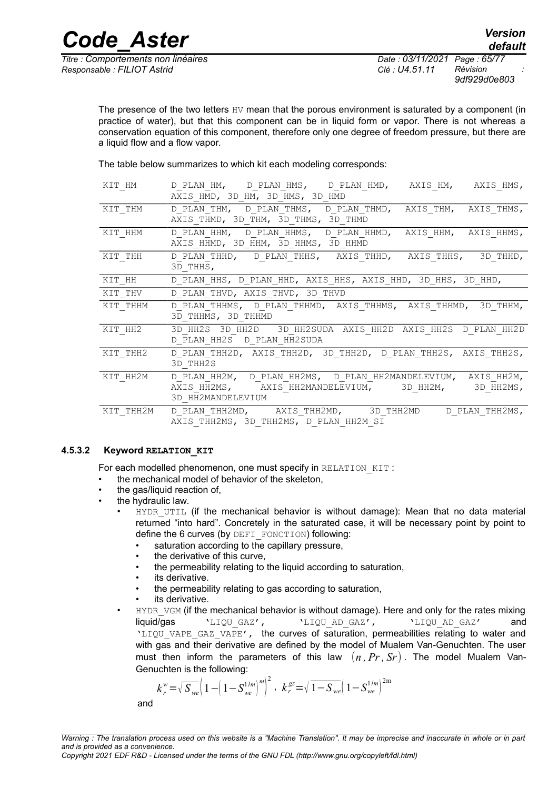*Responsable : FILIOT Astrid Clé : U4.51.11 Révision :*

*Titre : Comportements non linéaires Date : 03/11/2021 Page : 65/77 9df929d0e803*

The presence of the two letters  $HV$  mean that the porous environment is saturated by a component (in practice of water), but that this component can be in liquid form or vapor. There is not whereas a conservation equation of this component, therefore only one degree of freedom pressure, but there are a liquid flow and a flow vapor.

The table below summarizes to which kit each modeling corresponds:

| KIT HM    | D PLAN HM, D PLAN HMS, D PLAN HMD, AXIS HM, AXIS HMS,<br>AXIS HMD, 3D HM, 3D HMS, 3D HMD                                                 |
|-----------|------------------------------------------------------------------------------------------------------------------------------------------|
| KIT THM   | D PLAN THM, D PLAN THMS, D PLAN THMD, AXIS THM, AXIS THMS,<br>AXIS THMD, 3D THM, 3D THMS, 3D THMD                                        |
| KIT HHM   | D PLAN HHM, D PLAN HHMS, D PLAN HHMD, AXIS HHM, AXIS HHMS,<br>AXIS HHMD, 3D HHM, 3D HHMS, 3D HHMD                                        |
| KIT THH   | D PLAN THHD, D PLAN THHS, AXIS THHD, AXIS THHS, 3D THHD,<br>3D THHS,                                                                     |
| KIT HH    | D PLAN HHS, D PLAN HHD, AXIS HHS, AXIS HHD, 3D HHS, 3D HHD,                                                                              |
| KIT THV   | D PLAN THVD, AXIS THVD, 3D THVD                                                                                                          |
| KIT THHM  | D PLAN THHMS, D PLAN THHMD, AXIS THHMS, AXIS THHMD, 3D THHM,<br>3D THHMS, 3D THHMD                                                       |
| KIT HH2   | 3D HH2S 3D HH2D 3D HH2SUDA AXIS HH2D AXIS HH2S D PLAN HH2D<br>D PLAN HH2S D PLAN HH2SUDA                                                 |
| KIT THH2  | D PLAN THH2D, AXIS THH2D, 3D THH2D, D PLAN THH2S, AXIS THH2S,<br>3D THH2S                                                                |
| KIT HH2M  | D PLAN HH2M, D PLAN HH2MS, D PLAN HH2MANDELEVIUM, AXIS HH2M,<br>AXIS HH2MS, AXIS HH2MANDELEVIUM, 3D HH2M, 3D HH2MS,<br>3D HH2MANDELEVIUM |
| KIT THH2M | D PLAN THH2MD, AXIS THH2MD, 3D THH2MD D PLAN THH2MS,<br>AXIS THH2MS, 3D THH2MS, D PLAN HH2M SI                                           |

# **4.5.3.2 Keyword RELATION\_KIT**

For each modelled phenomenon, one must specify in RELATION KIT :

- the mechanical model of behavior of the skeleton,
- the gas/liquid reaction of,
- the hydraulic law.
	- HYDR UTIL (if the mechanical behavior is without damage): Mean that no data material returned "into hard". Concretely in the saturated case, it will be necessary point by point to define the 6 curves (by DEFI\_FONCTION) following:
		- saturation according to the capillary pressure,
		- the derivative of this curve,
		- the permeability relating to the liquid according to saturation,
		- its derivative.
		- the permeability relating to gas according to saturation,
		- its derivative.
	- HYDR VGM (if the mechanical behavior is without damage). Here and only for the rates mixing liquid/gas 'LIQU\_GAZ', 'LIQU\_AD\_GAZ', 'LIQU\_AD\_GAZ' and 'LIQU\_VAPE\_GAZ\_VAPE', the curves of saturation, permeabilities relating to water and with gas and their derivative are defined by the model of Mualem Van-Genuchten. The user must then inform the parameters of this law  $(n, Pr, Sr)$ . The model Mualem Van-Genuchten is the following:

$$
k_r^w = \sqrt{S_{we}} \left( 1 - \left( 1 - S_{we}^{1/m} \right)^m \right)^2, \ \ k_r^{gz} = \sqrt{1 - S_{we}} \left( 1 - S_{we}^{1/m} \right)^{2m}
$$

and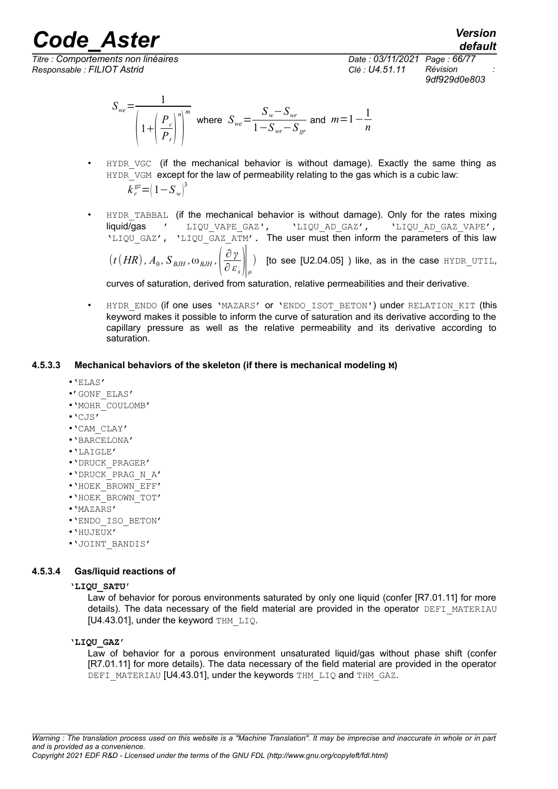*default*

*Titre : Comportements non linéaires Date : 03/11/2021 Page : 66/77 Responsable : FILIOT Astrid Clé : U4.51.11 Révision :*

*9df929d0e803*

$$
S_{we} = \frac{1}{\left(1 + \left(\frac{P_c}{P_r}\right)^n\right)^m} \text{ where } S_{we} = \frac{S_w - S_{wr}}{1 - S_{wr} - S_{gr}} \text{ and } m = 1 - \frac{1}{n}
$$

- HYDR VGC (if the mechanical behavior is without damage). Exactly the same thing as HYDR VGM except for the law of permeability relating to the gas which is a cubic law:  $k_r^{\text{gz}} = (1 - S_w)^3$
- HYDR TABBAL (if the mechanical behavior is without damage). Only for the rates mixing liquid/gas ' LIQU\_VAPE\_GAZ', 'LIQU\_AD\_GAZ', 'LIQU\_AD\_GAZ\_VAPE', 'LIQU GAZ', 'LIQU\_GAZ\_ATM'. The user must then inform the parameters of this law  $\left(t\left(HR\right), A_0, S_{\text{BJH}}, \omega_{\text{BJH}}, \left(\frac{\partial \gamma}{\partial \textbf{\textit{\varepsilon}}}\right)$  $\frac{\partial V}{\partial \varepsilon_s}\Big|_{\mu}$ ) [to see [U2.04.05] ) like, as in the case HYDR\_UTIL,

curves of saturation, derived from saturation, relative permeabilities and their derivative.

HYDR ENDO (if one uses 'MAZARS' or 'ENDO ISOT BETON') under RELATION KIT (this keyword makes it possible to inform the curve of saturation and its derivative according to the capillary pressure as well as the relative permeability and its derivative according to saturation.

# **4.5.3.3 Mechanical behaviors of the skeleton (if there is mechanical modeling M)**

- •'ELAS'
- •'GONF\_ELAS'
- •'MOHR\_COULOMB'
- •'CJS'
- •'CAM\_CLAY'
- •'BARCELONA'
- •'LAIGLE'
- •'DRUCK\_PRAGER'
- •'DRUCK\_PRAG\_N\_A'
- •'HOEK\_BROWN\_EFF'
- •'HOEK\_BROWN\_TOT'
- •'MAZARS'
- •'ENDO\_ISO\_BETON'
- •'HUJEUX'
- •'JOINT\_BANDIS'

# **4.5.3.4 Gas/liquid reactions of**

#### **'LIQU\_SATU'**

Law of behavior for porous environments saturated by only one liquid (confer [R7.01.11] for more details). The data necessary of the field material are provided in the operator DEFI\_MATERIAU [U4.43.01], under the keyword THM LIQ.

# **'LIQU\_GAZ'**

Law of behavior for a porous environment unsaturated liquid/gas without phase shift (confer [R7.01.11] for more details). The data necessary of the field material are provided in the operator DEFI\_MATERIAU [U4.43.01], under the keywords THM\_LIQ and THM\_GAZ.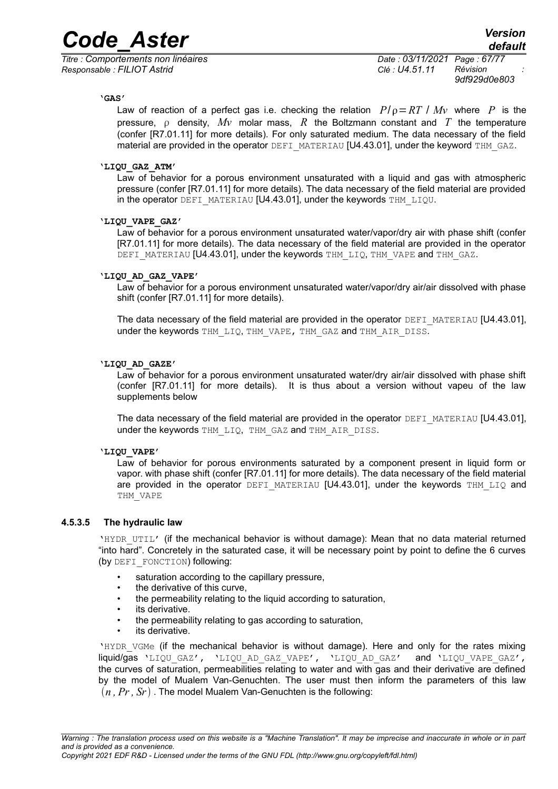*Titre : Comportements non linéaires Date : 03/11/2021 Page : 67/77 Responsable : FILIOT Astrid Clé : U4.51.11 Révision :*

*9df929d0e803*

#### **'GAS'**

Law of reaction of a perfect gas i.e. checking the relation  $P/\rho = RT / Mv$  where P is the pressure,  $\rho$  density,  $Mv$  molar mass, R the Boltzmann constant and T the temperature (confer [R7.01.11] for more details). For only saturated medium. The data necessary of the field material are provided in the operator DEFI\_MATERIAU [U4.43.01], under the keyword THM\_GAZ.

#### **'LIQU\_GAZ\_ATM'**

Law of behavior for a porous environment unsaturated with a liquid and gas with atmospheric pressure (confer [R7.01.11] for more details). The data necessary of the field material are provided in the operator DEFI\_MATERIAU [U4.43.01], under the keywords THM\_LIQU.

#### **'LIQU\_VAPE\_GAZ'**

Law of behavior for a porous environment unsaturated water/vapor/dry air with phase shift (confer [R7.01.11] for more details). The data necessary of the field material are provided in the operator DEFI MATERIAU [U4.43.01], under the keywords THM LIQ, THM VAPE and THM GAZ.

#### **'LIQU\_AD\_GAZ\_VAPE'**

Law of behavior for a porous environment unsaturated water/vapor/dry air/air dissolved with phase shift (confer [R7.01.11] for more details).

The data necessary of the field material are provided in the operator DEFI\_MATERIAU [U4.43.01], under the keywords THM LIQ, THM VAPE, THM GAZ and THM AIR DISS.

#### **'LIQU\_AD\_GAZE'**

Law of behavior for a porous environment unsaturated water/dry air/air dissolved with phase shift (confer [R7.01.11] for more details). It is thus about a version without vapeu of the law supplements below

The data necessary of the field material are provided in the operator  $DEFI$  MATERIAU [U4.43.01], under the keywords THM\_LIQ, THM\_GAZ and THM\_AIR\_DISS.

#### **'LIQU\_VAPE'**

Law of behavior for porous environments saturated by a component present in liquid form or vapor. with phase shift (confer [R7.01.11] for more details). The data necessary of the field material are provided in the operator DEFI\_MATERIAU [U4.43.01], under the keywords THM\_LIQ and THM\_VAPE

#### **4.5.3.5 The hydraulic law**

'HYDR\_UTIL' (if the mechanical behavior is without damage): Mean that no data material returned "into hard". Concretely in the saturated case, it will be necessary point by point to define the 6 curves (by DEFI\_FONCTION) following:

- saturation according to the capillary pressure,
- the derivative of this curve,
- the permeability relating to the liquid according to saturation,
- its derivative.
- the permeability relating to gas according to saturation,
- its derivative.

'HYDR VGMe (if the mechanical behavior is without damage). Here and only for the rates mixing liquid/gas 'LIQU\_GAZ', 'LIQU\_AD\_GAZ\_VAPE', 'LIQU\_AD\_GAZ' and 'LIQU\_VAPE\_GAZ', the curves of saturation, permeabilities relating to water and with gas and their derivative are defined by the model of Mualem Van-Genuchten. The user must then inform the parameters of this law  $(n, Pr, Sr)$ . The model Mualem Van-Genuchten is the following: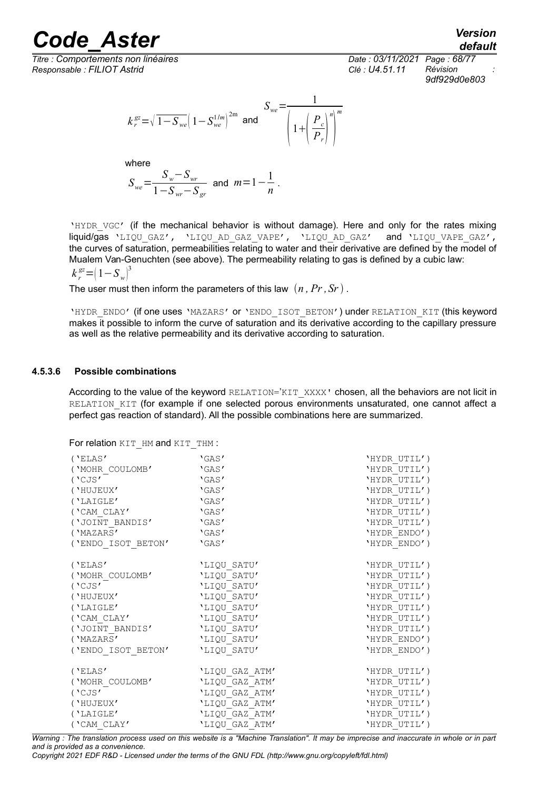*Titre : Comportements non linéaires Date : 03/11/2021 Page : 68/77 Responsable : FILIOT Astrid Clé : U4.51.11 Révision :*



*9df929d0e803*

$$
k_r^{gz} = \sqrt{1 - S_{we}} \left( 1 - S_{we}^{1/m} \right)^{2m}
$$
 and 
$$
\frac{S_{we}}{\left( 1 + \left( \frac{P_c}{P_r} \right)^n \right)^m}
$$

where

$$
S_{we} = \frac{S_w - S_{wr}}{1 - S_{wr} - S_{gr}} \text{ and } m = 1 - \frac{1}{n}.
$$

'HYDR VGC' (if the mechanical behavior is without damage). Here and only for the rates mixing liquid/gas 'LIQU\_GAZ', 'LIQU\_AD\_GAZ\_VAPE', 'LIQU\_AD\_GAZ' and 'LIQU\_VAPE\_GAZ', the curves of saturation, permeabilities relating to water and their derivative are defined by the model of Mualem Van-Genuchten (see above). The permeability relating to gas is defined by a cubic law:  $k_r^{\text{gz}} = (1 - S_w)^3$ 

The user must then inform the parameters of this law  $(n, Pr, Sr)$ .

'HYDR\_ENDO' (if one uses 'MAZARS' or 'ENDO\_ISOT\_BETON') under RELATION\_KIT (this keyword makes it possible to inform the curve of saturation and its derivative according to the capillary pressure as well as the relative permeability and its derivative according to saturation.

#### **4.5.3.6 Possible combinations**

According to the value of the keyword RELATION='KIT\_XXXX' chosen, all the behaviors are not licit in RELATION KIT (for example if one selected porous environments unsaturated, one cannot affect a perfect gas reaction of standard). All the possible combinations here are summarized.

For relation KIT\_HM and KIT\_THM :

| ('ELAS')           | 'GAS'          | 'HYDR UTIL') |
|--------------------|----------------|--------------|
| ('MOHR COULOMB'    | 'GAS'          | 'HYDR UTIL') |
| $($ 'CJS' $-$      | 'GAS'          | 'HYDR UTIL') |
| ('HUJEUX'          | 'GAS'          | 'HYDR UTIL') |
| ('LAIGLE'          | 'GAS'          | 'HYDR UTIL') |
| ('CAM CLAY'        | 'GAS'          | 'HYDR UTIL') |
| ('JOINT BANDIS'    | 'GAS'          | 'HYDR UTIL') |
| ('MAZARS'          | 'GAS'          | 'HYDR ENDO') |
| ('ENDO ISOT BETON' | 'GAS'          | 'HYDR ENDO') |
| $($ 'ELAS'         | 'LIQU SATU'    | 'HYDR UTIL') |
| ('MOHR COULOMB'    | 'LIQU SATU'    | 'HYDR UTIL') |
| ('CJS'             | 'LIQU SATU'    | 'HYDR UTIL') |
| ('HUJEUX'          | 'LIQU SATU'    | 'HYDR UTIL') |
| ('LAIGLE'          | 'LIQU SATU'    | 'HYDR UTIL') |
| ('CAM CLAY'        | 'LIQU SATU'    | 'HYDR UTIL') |
| ('JOINT BANDIS'    | 'LIQU SATU'    | 'HYDR UTIL') |
| ('MAZARS'          | 'LIQU SATU'    | 'HYDR ENDO') |
| ('ENDO ISOT BETON' | 'LIQU SATU'    | 'HYDR ENDO') |
| $($ 'ELAS'         | 'LIQU GAZ ATM' | 'HYDR UTIL') |
| ('MOHR COULOMB'    | 'LIQU GAZ ATM' | 'HYDR UTIL') |
| ( $'$ CJS $'$      | 'LIQU GAZ ATM' | 'HYDR UTIL') |
| ('HUJEUX'          | 'LIQU GAZ ATM' | 'HYDR UTIL') |
| ('LAIGLE'          | 'LIQU GAZ ATM' | 'HYDR UTIL') |
| ('CAM CLAY'        | 'LIQU GAZ ATM' | 'HYDR UTIL') |

*Warning : The translation process used on this website is a "Machine Translation". It may be imprecise and inaccurate in whole or in part and is provided as a convenience.*

*Copyright 2021 EDF R&D - Licensed under the terms of the GNU FDL (http://www.gnu.org/copyleft/fdl.html)*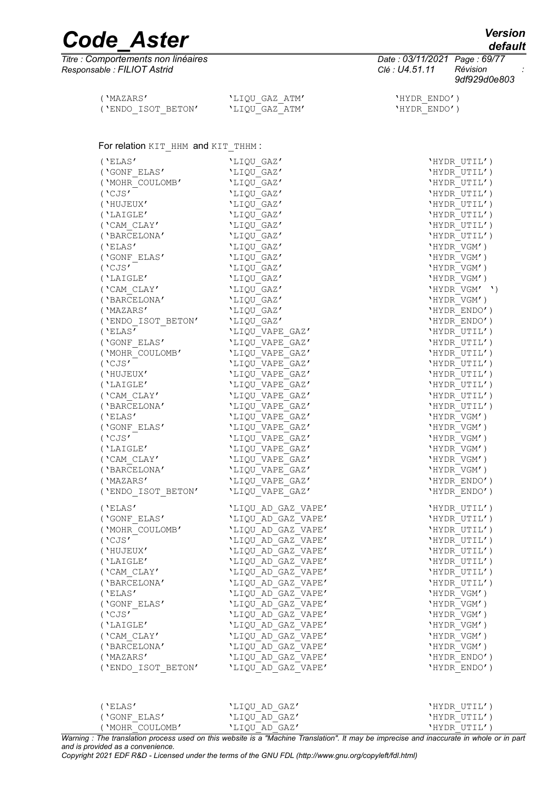*Titre : Comportements non linéaires Date : 03/11/2021 Page : 69/77 Responsable : FILIOT Astrid Clé : U4.51.11 Révision :*

*9df929d0e803*

| ('MAZARS'          | 'LIOU GAZ ATM' |
|--------------------|----------------|
| ('ENDO ISOT BETON' | 'LIOU GAZ ATM' |

#### 'HYDR ENDO')  $'HYDR$  $ENDO'$  )

# For relation KIT\_HHM and KIT\_THHM :

| ('ELAS')           | 'LIQU GAZ'                               | 'HYDR UTIL')        |
|--------------------|------------------------------------------|---------------------|
| ('GONF ELAS'       | 'LIQU GAZ'                               | 'HYDR UTIL')        |
| ('MOHR COULOMB'    | 'LIQU_GAZ'                               | 'HYDR UTIL')        |
| ('CJS'             | 'LIQU GAZ'                               | 'HYDR UTIL')        |
| ('HUJEUX'          | 'LIQU GAZ'                               | 'HYDR UTIL')        |
| ('LAIGLE'          | 'LIQU GAZ'                               | 'HYDR UTIL')        |
| ('CAM CLAY'        | 'LIQU GAZ'                               | 'HYDR UTIL')        |
| ('BARCELONA'       | 'LIQU GAZ'                               | 'HYDR UTIL')        |
| ('ELAS')           | 'LIQU GAZ'                               | 'HYDR VGM')         |
| ('GONF ELAS'       | 'LIQU GAZ'                               | 'HYDR VGM')         |
| ('CJS'             | 'LIQU GAZ'                               | 'HYDR VGM')         |
| ('LAIGLE'          | 'LIQU GAZ'                               | 'HYDR VGM')         |
| ('CAM CLAY'        | 'LIQU GAZ'                               | $'$ HYDR VGM' $'$ ) |
| ('BARCELONA'       | 'LIQU GAZ'                               | 'HYDR VGM')         |
| ('MAZARS'          | 'LIQU GAZ'                               | 'HYDR ENDO')        |
| ('ENDO ISOT BETON' | 'LIQU GAZ'                               | 'HYDR ENDO')        |
| ('ELAS')           | 'LIQU VAPE GAZ'                          | 'HYDR UTIL')        |
| ('GONF ELAS'       | 'LIQU VAPE GAZ'                          | 'HYDR UTIL')        |
| ('MOHR COULOMB'    | 'LIQU VAPE GAZ'                          | 'HYDR UTIL')        |
| ( 'CJS'            | 'LIQU VAPE GAZ'                          | 'HYDR UTIL')        |
| ('HUJEUX'          | 'LIQU VAPE GAZ'                          | 'HYDR UTIL')        |
| ('LAIGLE'          | 'LIQU VAPE GAZ'                          | 'HYDR UTIL')        |
| ('CAM CLAY'        | 'LIQU VAPE GAZ'                          | 'HYDR UTIL')        |
| ('BARCELONA'       | 'LIQU VAPE GAZ'                          | 'HYDR UTIL')        |
| ('ELAS')           | 'LIQU VAPE GAZ'                          | 'HYDR VGM')         |
| ('GONF ELAS'       | 'LIQU VAPE GAZ'                          | 'HYDR VGM')         |
| ( $'$ CJS $'$      |                                          |                     |
|                    | 'LIQU VAPE GAZ'                          | 'HYDR VGM')         |
| ('LAIGLE'          | 'LIQU VAPE GAZ'                          | 'HYDR VGM')         |
| ('CAM CLAY'        | 'LIQU VAPE GAZ'                          | 'HYDR VGM')         |
| ('BARCELONA'       | 'LIQU VAPE GAZ'                          | 'HYDR VGM')         |
| ('MAZARS'          | 'LIQU VAPE GAZ'                          | 'HYDR ENDO')        |
| ('ENDO_ISOT_BETON' | 'LIQU_VAPE_GAZ'                          | 'HYDR ENDO')        |
| ('ELAS')           | 'LIQU AD GAZ VAPE'                       | 'HYDR UTIL')        |
| ('GONF ELAS'       | 'LIQU AD GAZ VAPE'                       | 'HYDR UTIL')        |
| ('MOHR COULOMB'    | 'LIQU_AD_GAZ_VAPE'                       | 'HYDR UTIL')        |
| ( 'CJS'            | 'LIQU_AD_GAZ_VAPE'                       | 'HYDR UTIL')        |
| ('HUJEUX'          | 'LIQU AD GAZ VAPE'                       | 'HYDR UTIL')        |
| ('LAIGLE'          | 'LIQU AD GAZ VAPE'                       | 'HYDR UTIL')        |
| ('CAM_CLAY'        | 'LIQU_AD_GAZ_VAPE'                       | 'HYDR UTIL')        |
| ('BARCELONA'       |                                          | 'HYDR UTIL')        |
| ('ELAS')           | 'LIQU AD GAZ VAPE'<br>'LIQU AD GAZ VAPE' | 'HYDR VGM')         |
|                    |                                          |                     |
| ('GONF ELAS'       | 'LIQU AD GAZ VAPE'                       | 'HYDR VGM')         |
| ('CJS'             | 'LIQU AD GAZ VAPE'                       | 'HYDR VGM')         |
| ('LAIGLE'          | 'LIQU AD GAZ VAPE'                       | 'HYDR VGM')         |
| ('CAM CLAY'        | 'LIQU AD GAZ VAPE'                       | 'HYDR VGM')         |
| ('BARCELONA'       | 'LIQU AD GAZ VAPE'                       | 'HYDR VGM')         |
| ('MAZARS'          | 'LIQU AD GAZ VAPE'                       | 'HYDR ENDO')        |
| ('ENDO ISOT BETON' | 'LIQU AD GAZ VAPE'                       | 'HYDR ENDO')        |
|                    |                                          |                     |
|                    |                                          |                     |

| ''ELAS'        | 'LIOU AD GAZ' | 'HYDR UTIL') |
|----------------|---------------|--------------|
| ('GONF ELAS'   | 'LIQU AD GAZ' | 'HYDR UTIL') |
| 'MOHR COULOMB' | 'LIOU AD GAZ' | 'HYDR UTIL') |

*Warning : The translation process used on this website is a "Machine Translation". It may be imprecise and inaccurate in whole or in part and is provided as a convenience.*

*Copyright 2021 EDF R&D - Licensed under the terms of the GNU FDL (http://www.gnu.org/copyleft/fdl.html)*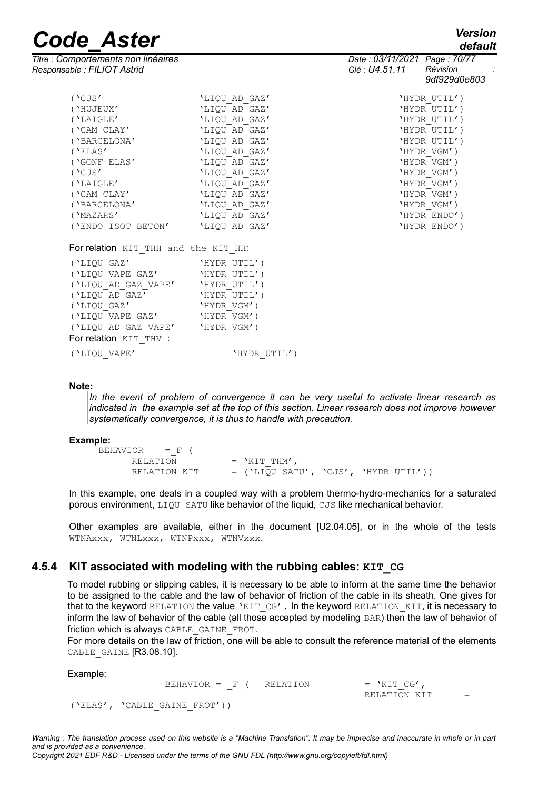*default*

| Titre : Comportements non linéaires<br>Responsable : FILIOT Astrid |               | Date: 03/11/2021 Page: 70/77<br>Clé : U4.51.11<br>Révision<br>9df929d0e803 |
|--------------------------------------------------------------------|---------------|----------------------------------------------------------------------------|
| ( 'CJS' )                                                          | 'LIQU AD GAZ' | 'HYDR UTIL')                                                               |
| ('HUJEUX'                                                          | 'LIQU AD GAZ' | 'HYDR UTIL')                                                               |
| ('LAIGLE'                                                          | 'LIQU AD GAZ' | 'HYDR UTIL')                                                               |
| ('CAM CLAY'                                                        | 'LIQU AD GAZ' | 'HYDR UTIL')                                                               |
| ('BARCELONA'                                                       | 'LIQU AD GAZ' | 'HYDR UTIL')                                                               |
| ('ELAS')                                                           | 'LIQU AD GAZ' | 'HYDR VGM')                                                                |
| ('GONF ELAS'                                                       | 'LIQU AD GAZ' | 'HYDR VGM')                                                                |
| ('CJS'                                                             | 'LIQU AD GAZ' | 'HYDR VGM')                                                                |
| ('LAIGLE'                                                          | 'LIQU AD GAZ' | 'HYDR VGM')                                                                |
| ('CAM CLAY'                                                        | 'LIQU AD GAZ' | 'HYDR VGM')                                                                |
| ('BARCELONA'                                                       | 'LIQU AD GAZ' | 'HYDR VGM')                                                                |
| ('MAZARS'                                                          | 'LIQU AD GAZ' | 'HYDR ENDO')                                                               |
| ('ENDO ISOT BETON'                                                 | 'LIQU AD GAZ' | 'HYDR ENDO')                                                               |
| For relation KIT THH and the KIT HH:                               |               |                                                                            |
| ('LIQU GAZ'                                                        | 'HYDR UTIL')  |                                                                            |
| ('LIQU VAPE GAZ'                                                   | 'HYDR UTIL')  |                                                                            |
| ('LIQU AD GAZ VAPE'                                                | 'HYDR UTIL')  |                                                                            |
| ('LIQU AD GAZ'                                                     | 'HYDR UTIL')  |                                                                            |
| ('LIQU GAZ'                                                        | 'HYDR VGM')   |                                                                            |
| ('LIQU VAPE GAZ'                                                   | 'HYDR VGM')   |                                                                            |

('LIQU\_VAPE' 'HYDR\_UTIL')

For relation KIT THV :

('LIQU\_AD\_GAZ\_VAPE' 'HYDR\_VGM')

#### **Note:**

*In the event of problem of convergence it can be very useful to activate linear research as indicated in the example set at the top of this section. Linear research does not improve however systematically convergence, it is thus to handle with precaution.*

#### **Example:**

| $BEHAVIOR = F ($ |                                        |  |
|------------------|----------------------------------------|--|
| RELATION         | $=$ 'KIT THM'                          |  |
| RELATION KIT     | $=$ ('LIQU SATU', 'CJS', 'HYDR UTIL')) |  |

In this example, one deals in a coupled way with a problem thermo-hydro-mechanics for a saturated porous environment, LIQU SATU like behavior of the liquid, CJS like mechanical behavior.

Other examples are available, either in the document [U2.04.05], or in the whole of the tests WTNAxxx, WTNLxxx, WTNPxxx, WTNVxxx.

# **4.5.4 KIT associated with modeling with the rubbing cables: KIT\_CG**

To model rubbing or slipping cables, it is necessary to be able to inform at the same time the behavior to be assigned to the cable and the law of behavior of friction of the cable in its sheath. One gives for that to the keyword RELATION the value 'KIT CG'. In the keyword RELATION KIT, it is necessary to inform the law of behavior of the cable (all those accepted by modeling BAR) then the law of behavior of friction which is always CABLE\_GAINE\_FROT.

For more details on the law of friction, one will be able to consult the reference material of the elements CABLE GAINE [R3.08.10].

Example: BEHAVIOR =  $F$  ( RELATION = 'KIT CG',  $RELATION KIT =$ ('ELAS', 'CABLE\_GAINE\_FROT'))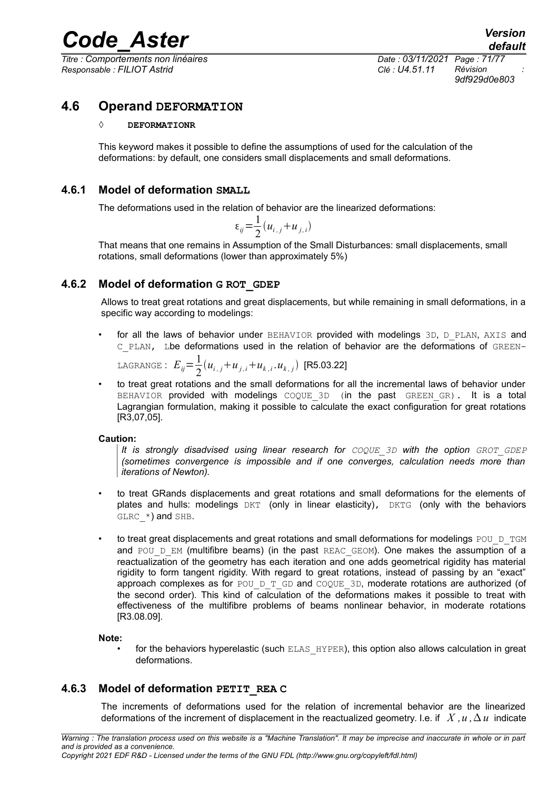*Titre : Comportements non linéaires Date : 03/11/2021 Page : 71/77 Responsable : FILIOT Astrid Clé : U4.51.11 Révision :*

*9df929d0e803*

# **4.6 Operand DEFORMATION**

### **◊ DEFORMATIONR**

This keyword makes it possible to define the assumptions of used for the calculation of the deformations: by default, one considers small displacements and small deformations.

# **4.6.1 Model of deformation SMALL**

The deformations used in the relation of behavior are the linearized deformations:

$$
\varepsilon_{ij} = \frac{1}{2} (u_{i,j} + u_{j,i})
$$

That means that one remains in Assumption of the Small Disturbances: small displacements, small rotations, small deformations (lower than approximately 5%)

# **4.6.2 Model of deformation G ROT\_GDEP**

Allows to treat great rotations and great displacements, but while remaining in small deformations, in a specific way according to modelings:

for all the laws of behavior under BEHAVIOR provided with modelings 3D, D\_PLAN, AXIS and C\_PLAN, Lbe deformations used in the relation of behavior are the deformations of GREEN-

LAGRANGE: 
$$
E_{ij} = \frac{1}{2} (u_{i,j} + u_{j,i} + u_{k,i}, u_{k,j})
$$
 [R5.03.22]

• to treat great rotations and the small deformations for all the incremental laws of behavior under BEHAVIOR provided with modelings COQUE 3D (in the past GREEN GR). It is a total Lagrangian formulation, making it possible to calculate the exact configuration for great rotations [R3,07,05].

# **Caution:**

*It is strongly disadvised using linear research for*  $COQUE$  *3D with the option GROT GDEP (sometimes convergence is impossible and if one converges, calculation needs more than iterations of Newton).*

- to treat GRands displacements and great rotations and small deformations for the elements of plates and hulls: modelings  $DKT$  (only in linear elasticity),  $DKTG$  (only with the behaviors  $GLRC$  \*) and SHB.
- to treat great displacements and great rotations and small deformations for modelings POU D TGM and POU  $D$  EM (multifibre beams) (in the past REAC GEOM). One makes the assumption of a reactualization of the geometry has each iteration and one adds geometrical rigidity has material rigidity to form tangent rigidity. With regard to great rotations, instead of passing by an "exact" approach complexes as for POU\_D\_T\_GD and COQUE\_3D, moderate rotations are authorized (of the second order). This kind of calculation of the deformations makes it possible to treat with effectiveness of the multifibre problems of beams nonlinear behavior, in moderate rotations [R3.08.09].

# **Note:**

for the behaviors hyperelastic (such ELAS HYPER), this option also allows calculation in great deformations.

# **4.6.3 Model of deformation PETIT\_REA C**

The increments of deformations used for the relation of incremental behavior are the linearized deformations of the increment of displacement in the reactualized geometry. I.e. if  $X, u, \Delta u$  indicate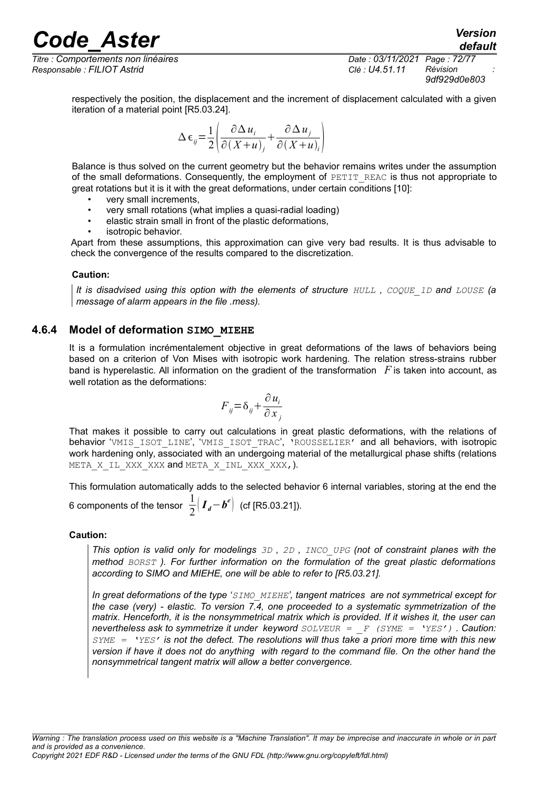*Titre : Comportements non linéaires Date : 03/11/2021 Page : 72/77 Responsable : FILIOT Astrid Clé : U4.51.11 Révision :*

*9df929d0e803*

*default*

respectively the position, the displacement and the increment of displacement calculated with a given iteration of a material point [R5.03.24].

$$
\Delta \epsilon_{ij} = \frac{1}{2} \left( \frac{\partial \Delta u_i}{\partial (X + u)_j} + \frac{\partial \Delta u_j}{\partial (X + u)_i} \right)
$$

Balance is thus solved on the current geometry but the behavior remains writes under the assumption of the small deformations. Consequently, the employment of PETIT REAC is thus not appropriate to great rotations but it is it with the great deformations, under certain conditions [10]:

- very small increments,
- very small rotations (what implies a quasi-radial loading)
- elastic strain small in front of the plastic deformations,
- isotropic behavior.

Apart from these assumptions, this approximation can give very bad results. It is thus advisable to check the convergence of the results compared to the discretization.

#### **Caution:**

*It is disadvised using this option with the elements of structure*  $HULL$ *,*  $CQQUE$  *1D and LOUSE (a message of alarm appears in the file .mess).*

# **4.6.4 Model of deformation SIMO\_MIEHE**

It is a formulation incrémentalement objective in great deformations of the laws of behaviors being based on a criterion of Von Mises with isotropic work hardening. The relation stress-strains rubber band is hyperelastic. All information on the gradient of the transformation *F* is taken into account, as well rotation as the deformations:

$$
F_{ij} = \delta_{ij} + \frac{\partial u_i}{\partial x_j}
$$

That makes it possible to carry out calculations in great plastic deformations, with the relations of behavior 'VMIS ISOT LINE', 'VMIS ISOT TRAC', 'ROUSSELIER' and all behaviors, with isotropic work hardening only, associated with an undergoing material of the metallurgical phase shifts (relations META X IL XXX XXX and META X INL XXX XXX,).

This formulation automatically adds to the selected behavior 6 internal variables, storing at the end the 6 components of the tensor  $\frac{1}{2}$  $\frac{1}{2}$   $\left(I_{d} - b^{e}\right)$  (cf [R5.03.21]).

# **Caution:**

*This option is valid only for modelings 3D , 2D , INCO\_UPG (not of constraint planes with the method BORST ). For further information on the formulation of the great plastic deformations according to SIMO and MIEHE, one will be able to refer to [R5.03.21].*

*In great deformations of the type 'SIMO\_MIEHE', tangent matrices are not symmetrical except for the case (very) - elastic. To version 7.4, one proceeded to a systematic symmetrization of the matrix. Henceforth, it is the nonsymmetrical matrix which is provided. If it wishes it, the user can nevertheless ask to symmetrize it under keyword SOLVEUR = \_F (SYME = 'YES') . Caution: SYME = 'YES' is not the defect. The resolutions will thus take a priori more time with this new version if have it does not do anything with regard to the command file. On the other hand the nonsymmetrical tangent matrix will allow a better convergence.*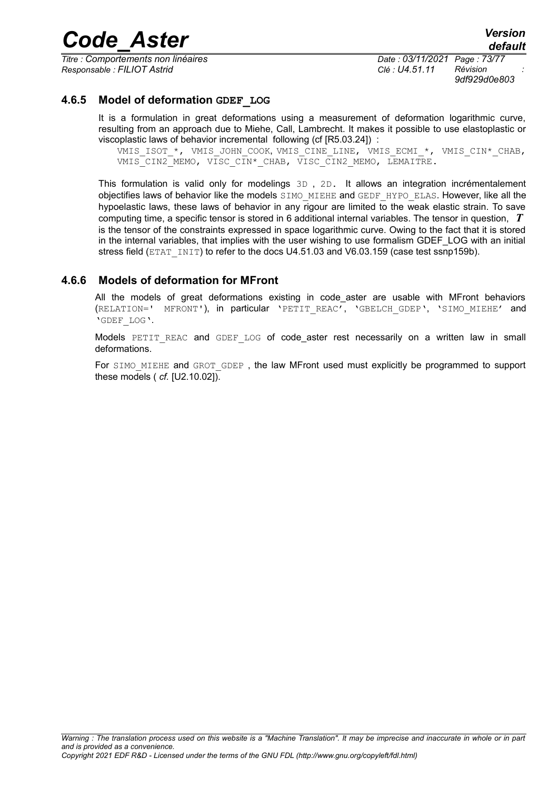*Code\_Aster Version*

*Titre : Comportements non linéaires Date : 03/11/2021 Page : 73/77 Responsable : FILIOT Astrid Clé : U4.51.11 Révision :*

*9df929d0e803*

#### **4.6.5 Model of deformation GDEF\_LOG**

It is a formulation in great deformations using a measurement of deformation logarithmic curve, resulting from an approach due to Miehe, Call, Lambrecht. It makes it possible to use elastoplastic or viscoplastic laws of behavior incremental following (cf [R5.03.24]) :

VMIS ISOT \*, VMIS JOHN COOK, VMIS CINE LINE, VMIS ECMI \*, VMIS CIN\* CHAB, VMIS CIN2 MEMO, VISC CIN\* CHAB, VISC CIN2 MEMO, LEMAITRE.

This formulation is valid only for modelings 3D , 2D. It allows an integration incrémentalement objectifies laws of behavior like the models SIMO\_MIEHE and GEDF\_HYPO\_ELAS. However, like all the hypoelastic laws, these laws of behavior in any rigour are limited to the weak elastic strain. To save computing time, a specific tensor is stored in 6 additional internal variables. The tensor in question, *T* is the tensor of the constraints expressed in space logarithmic curve. Owing to the fact that it is stored in the internal variables, that implies with the user wishing to use formalism GDEF\_LOG with an initial stress field (ETAT INIT) to refer to the docs U4.51.03 and V6.03.159 (case test ssnp159b).

#### **4.6.6 Models of deformation for MFront**

All the models of great deformations existing in code aster are usable with MFront behaviors (RELATION=' MFRONT'), in particular 'PETIT REAC', 'GBELCH GDEP', 'SIMO MIEHE' and 'GDEF\_LOG'.

Models PETIT REAC and GDEF LOG of code aster rest necessarily on a written law in small deformations.

For SIMO MIEHE and GROT GDEP, the law MFront used must explicitly be programmed to support these models ( *cf.* [U2.10.02]).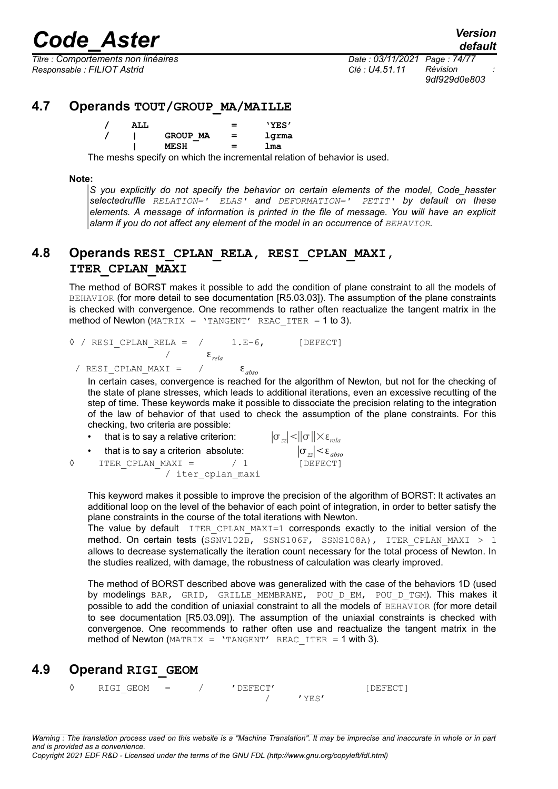*Titre : Comportements non linéaires Date : 03/11/2021 Page : 74/77 Responsable : FILIOT Astrid Clé : U4.51.11 Révision :*

*9df929d0e803*

## **4.7 Operands TOUT/GROUP\_MA/MAILLE**

| ALL |          |     | 'YES' |
|-----|----------|-----|-------|
|     | GROUP MA | $=$ | lgrma |
|     | MESH     | $=$ | lma   |

The meshs specify on which the incremental relation of behavior is used.

#### **Note:**

*S you explicitly do not specify the behavior on certain elements of the model, Code\_hasster selectedruffle RELATION=' ELAS' and DEFORMATION=' PETIT' by default on these elements. A message of information is printed in the file of message. You will have an explicit alarm if you do not affect any element of the model in an occurrence of BEHAVIOR.*

## **4.8 Operands RESI\_CPLAN\_RELA, RESI\_CPLAN\_MAXI, ITER\_CPLAN\_MAXI**

The method of BORST makes it possible to add the condition of plane constraint to all the models of BEHAVIOR (for more detail to see documentation [R5.03.03]). The assumption of the plane constraints is checked with convergence. One recommends to rather often reactualize the tangent matrix in the method of Newton (MATRIX =  $'$ TANGENT' REAC ITER = 1 to 3).

 $\Diamond$  / RESI CPLAN RELA = / 1.E-6, [DEFECT] / *rela* / RESI CPLAN\_MAXI =  $/$   $\epsilon_{abso}$ 

In certain cases, convergence is reached for the algorithm of Newton, but not for the checking of the state of plane stresses, which leads to additional iterations, even an excessive recutting of the step of time. These keywords make it possible to dissociate the precision relating to the integration of the law of behavior of that used to check the assumption of the plane constraints. For this checking, two criteria are possible:

|   | • that is to say a relative criterion: | $ \sigma_{zz} <$ $ \sigma $ $\times$ $\varepsilon_{rela}$ |
|---|----------------------------------------|-----------------------------------------------------------|
|   | • that is to say a criterion absolute: | $ \sigma_{zz}  < \varepsilon_{abso}$                      |
| ♦ | ITER CPLAN MAXI =<br>$\prime$ 1        | [DEFECT]                                                  |
|   | / iter cplan maxi                      |                                                           |

This keyword makes it possible to improve the precision of the algorithm of BORST: It activates an additional loop on the level of the behavior of each point of integration, in order to better satisfy the plane constraints in the course of the total iterations with Newton.

The value by default  $ITER$  CPLAN MAXI=1 corresponds exactly to the initial version of the method. On certain tests (SSNV102B, SSNS106F, SSNS108A), ITER CPLAN MAXI > 1 allows to decrease systematically the iteration count necessary for the total process of Newton. In the studies realized, with damage, the robustness of calculation was clearly improved.

The method of BORST described above was generalized with the case of the behaviors 1D (used by modelings BAR, GRID, GRILLE MEMBRANE, POU D EM, POU D TGM). This makes it possible to add the condition of uniaxial constraint to all the models of BEHAVIOR (for more detail to see documentation [R5.03.09]). The assumption of the uniaxial constraints is checked with convergence. One recommends to rather often use and reactualize the tangent matrix in the method of Newton (MATRIX =  $'$ TANGENT' REAC ITER = 1 with 3).

## **4.9 Operand RIGI\_GEOM**

◊ RIGI\_GEOM = / 'DEFECT' [DEFECT] / 'YES'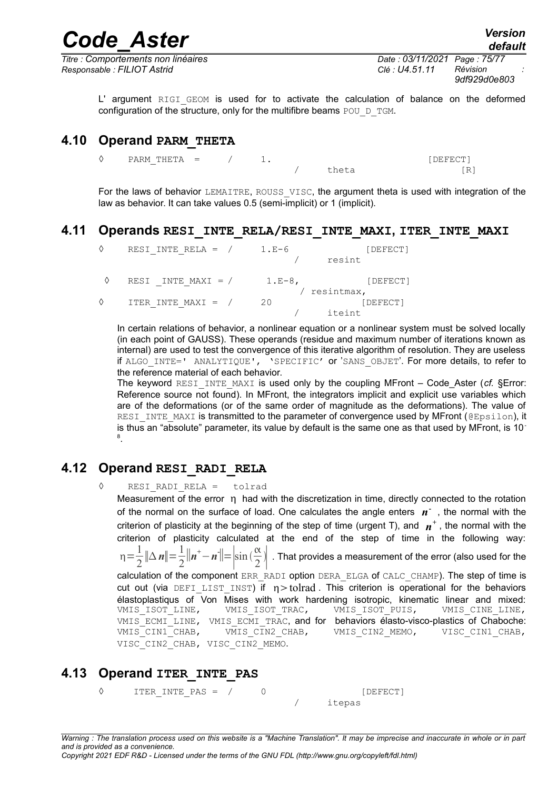*Titre : Comportements non linéaires Date : 03/11/2021 Page : 75/77 Responsable : FILIOT Astrid Clé : U4.51.11 Révision :*

*9df929d0e803*

L' argument RIGI GEOM is used for to activate the calculation of balance on the deformed configuration of the structure, only for the multifibre beams POU D\_TGM.

### **4.10 Operand PARM\_THETA**

 $\Diamond$  PARM THETA = / 1. [DEFECT] theta [R]

For the laws of behavior LEMAITRE, ROUSS VISC, the argument theta is used with integration of the law as behavior. It can take values 0.5 (semi-implicit) or 1 (implicit).

#### **4.11 Operands RESI\_INTE\_RELA/RESI\_INTE\_MAXI, ITER\_INTE\_MAXI**

| ♦ | RESI INTE RELA = $/$        | $1.E-6$    | [DEFECT] |
|---|-----------------------------|------------|----------|
|   |                             |            | resint   |
|   | RESI INTE MAXI = $/$ 1.E-8, |            | [DEFECT] |
|   |                             | resintmax, |          |
| ♦ | ITER INTE MAXI = $/$        | -20        | [DEFECT] |
|   |                             |            | iteint   |

In certain relations of behavior, a nonlinear equation or a nonlinear system must be solved locally (in each point of GAUSS). These operands (residue and maximum number of iterations known as internal) are used to test the convergence of this iterative algorithm of resolution. They are useless if ALGO\_INTE=' ANALYTIQUE', 'SPECIFIC' or 'SANS\_OBJET'. For more details, to refer to the reference material of each behavior.

<span id="page-74-0"></span>The keyword RESI INTE MAXI is used only by the coupling MFront – Code Aster ( $cf.$  [§Error:](#page-74-0) [Reference source not found\)](#page-74-0). In MFront, the integrators implicit and explicit use variables which are of the deformations (or of the same order of magnitude as the deformations). The value of RESI INTE MAXI is transmitted to the parameter of convergence used by MFront (@Epsilon), it is thus an "absolute" parameter, its value by default is the same one as that used by MFront, is 10 8 .

#### **4.12 Operand RESI\_RADI\_RELA**

◊ RESI\_RADI\_RELA = tolrad

Measurement of the error  $\eta$  had with the discretization in time, directly connected to the rotation of the normal on the surface of load. One calculates the angle enters  $n<sup>-</sup>$ , the normal with the criterion of plasticity at the beginning of the step of time (urgent T), and  $\mathbf{n}^+$  , the normal with the criterion of plasticity calculated at the end of the step of time in the following way:  $\eta = \frac{1}{2}$ 2  $\|\Delta n\| = \frac{1}{2}$ 2  $\|\boldsymbol{n}^+ - \boldsymbol{n}^-\| = \left|\sin\left(\frac{\alpha}{2}\right)\right|$  $\left\lceil \frac{\alpha}{2} \right\rceil$  . That provides a measurement of the error (also used for the calculation of the component ERR\_RADI option DERA\_ELGA of CALC\_CHAMP). The step of time is cut out (via DEFI LIST INST) if  $\eta$  > tolrad . This criterion is operational for the behaviors élastoplastiqus of Von Mises with work hardening isotropic, kinematic linear and mixed: VMIS ISOT LINE, VMIS ISOT TRAC, VMIS ISOT PUIS, VMIS CINE LINE, VMIS ECMI LINE, VMIS ECMI TRAC, and for behaviors élasto-visco-plastics of Chaboche: VMIS CIN1 CHAB, VMIS CIN2 CHAB, VMIS CIN2 MEMO, VISC CIN1 CHAB, VISC CIN2 CHAB, VISC CIN2 MEMO.

## **4.13 Operand ITER\_INTE\_PAS**

◊ ITER\_INTE\_PAS = / 0 [DEFECT] / itepas

*Copyright 2021 EDF R&D - Licensed under the terms of the GNU FDL (http://www.gnu.org/copyleft/fdl.html)*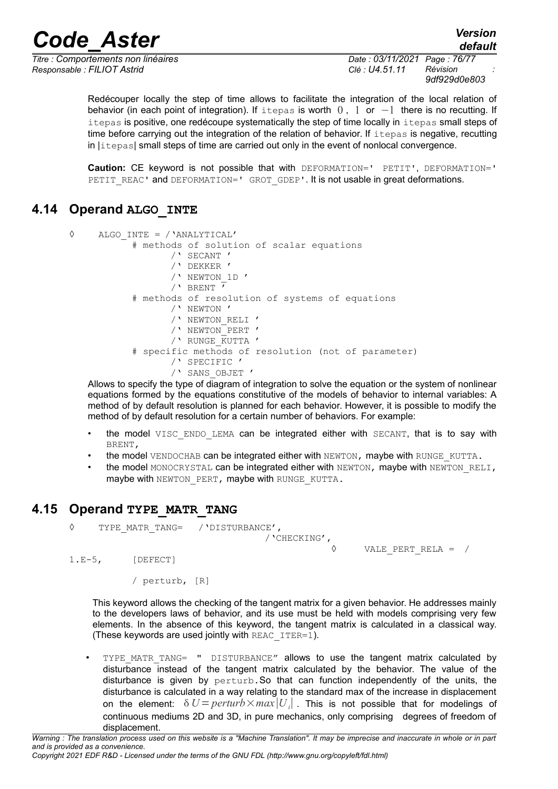# *Code\_Aster Version*

*Titre : Comportements non linéaires Date : 03/11/2021 Page : 76/77 Responsable : FILIOT Astrid Clé : U4.51.11 Révision :*

*9df929d0e803*

*default*

Redécouper locally the step of time allows to facilitate the integration of the local relation of behavior (in each point of integration). If itepas is worth  $0, 1$  or  $-1$  there is no recutting. If itepas is positive, one redécoupe systematically the step of time locally in itepas small steps of time before carrying out the integration of the relation of behavior. If itepas is negative, recutting in |itepas| small steps of time are carried out only in the event of nonlocal convergence.

**Caution:** CE keyword is not possible that with DEFORMATION=' PETIT', DEFORMATION=' PETIT\_REAC' and DEFORMATION=' GROT\_GDEP'. It is not usable in great deformations.

## **4.14 Operand ALGO\_INTE**

◊ ALGO\_INTE = /'ANALYTICAL' # methods of solution of scalar equations /' SECANT ' /' DEKKER ' /' NEWTON\_1D '  $/$ ' BRENT  $\overline{'}$ # methods of resolution of systems of equations /' NEWTON ' /' NEWTON\_RELI ' /' NEWTON\_PERT ' /' RUNGE\_KUTTA ' # specific methods of resolution (not of parameter) /' SPECIFIC ' /' SANS\_OBJET '

Allows to specify the type of diagram of integration to solve the equation or the system of nonlinear equations formed by the equations constitutive of the models of behavior to internal variables: A method of by default resolution is planned for each behavior. However, it is possible to modify the method of by default resolution for a certain number of behaviors. For example:

- the model VISC ENDO LEMA can be integrated either with SECANT, that is to say with BRENT,
- the model VENDOCHAB can be integrated either with NEWTON, maybe with RUNGE\_KUTTA.
- the model MONOCRYSTAL can be integrated either with NEWTON, maybe with NEWTON RELI, maybe with NEWTON PERT, maybe with RUNGE KUTTA.

## **4.15 Operand TYPE\_MATR\_TANG**

◊ TYPE\_MATR\_TANG= /'DISTURBANCE',

E',<br>/'CHECKING',<br>0

VALE PERT RELA =  $/$ 

1.E-5, [DEFECT]

/ perturb, [R]

This keyword allows the checking of the tangent matrix for a given behavior. He addresses mainly to the developers laws of behavior, and its use must be held with models comprising very few elements. In the absence of this keyword, the tangent matrix is calculated in a classical way. (These keywords are used jointly with REAC  $IFER=1$ ).

• TYPE MATR TANG= " DISTURBANCE" allows to use the tangent matrix calculated by disturbance instead of the tangent matrix calculated by the behavior. The value of the disturbance is given by perturb.So that can function independently of the units, the disturbance is calculated in a way relating to the standard max of the increase in displacement on the element:  $\delta U = perturb \times max|U_i|$  . This is not possible that for modelings of continuous mediums 2D and 3D, in pure mechanics, only comprising degrees of freedom of displacement.

*Warning : The translation process used on this website is a "Machine Translation". It may be imprecise and inaccurate in whole or in part and is provided as a convenience. Copyright 2021 EDF R&D - Licensed under the terms of the GNU FDL (http://www.gnu.org/copyleft/fdl.html)*